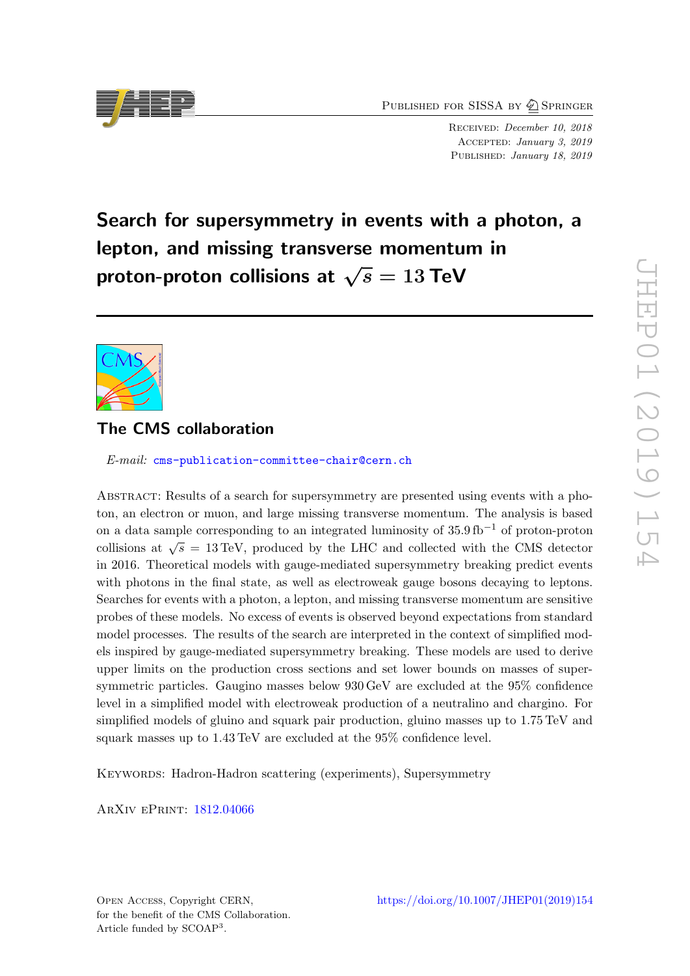PUBLISHED FOR SISSA BY 2 SPRINGER

Received: December 10, 2018 Accepted: January 3, 2019 PUBLISHED: January 18, 2019

# Search for supersymmetry in events with a photon, a lepton, and missing transverse momentum in proton-proton collisions at  $\sqrt{s} = 13$  TeV



## The CMS collaboration

E-mail: [cms-publication-committee-chair@cern.ch](mailto:cms-publication-committee-chair@cern.ch)

Abstract: Results of a search for supersymmetry are presented using events with a photon, an electron or muon, and large missing transverse momentum. The analysis is based on a data sample corresponding to an integrated luminosity of  $35.9 \text{ fb}^{-1}$  of proton-proton collisions at  $\sqrt{s} = 13 \text{ TeV}$ , produced by the LHC and collected with the CMS detector in 2016. Theoretical models with gauge-mediated supersymmetry breaking predict events with photons in the final state, as well as electroweak gauge bosons decaying to leptons. Searches for events with a photon, a lepton, and missing transverse momentum are sensitive probes of these models. No excess of events is observed beyond expectations from standard model processes. The results of the search are interpreted in the context of simplified models inspired by gauge-mediated supersymmetry breaking. These models are used to derive upper limits on the production cross sections and set lower bounds on masses of supersymmetric particles. Gaugino masses below 930 GeV are excluded at the 95% confidence level in a simplified model with electroweak production of a neutralino and chargino. For simplified models of gluino and squark pair production, gluino masses up to 1.75 TeV and squark masses up to 1.43 TeV are excluded at the 95% confidence level.

Keywords: Hadron-Hadron scattering (experiments), Supersymmetry

ArXiv ePrint: [1812.04066](https://arxiv.org/abs/1812.04066)

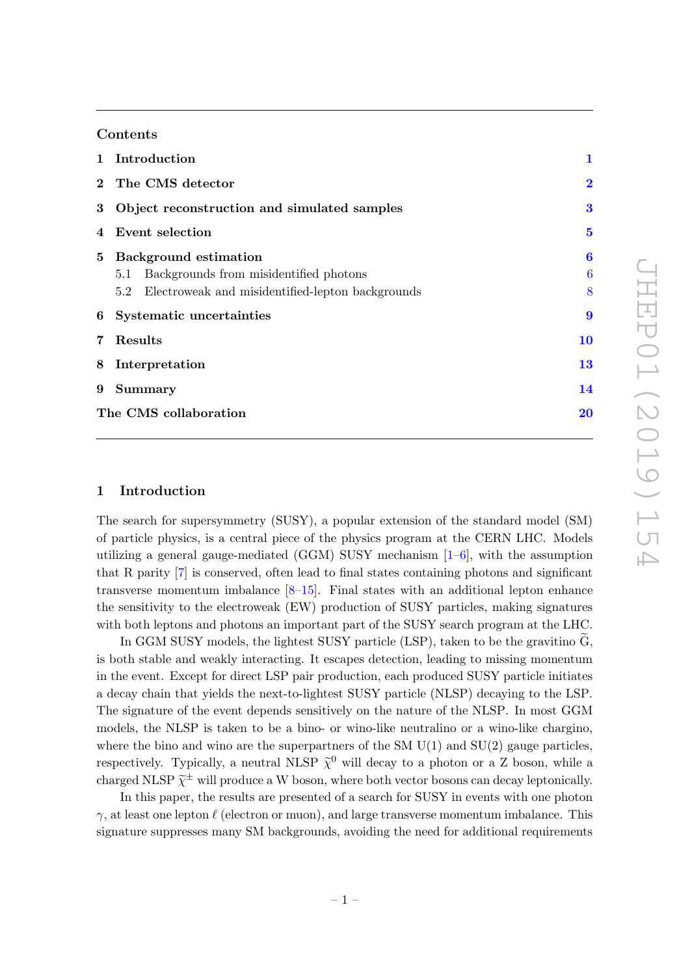## Contents

|             | 1 Introduction                                                                                                                    |                            |
|-------------|-----------------------------------------------------------------------------------------------------------------------------------|----------------------------|
|             | 2 The CMS detector                                                                                                                | $\overline{2}$             |
|             | 3 Object reconstruction and simulated samples                                                                                     | 3                          |
|             | 4 Event selection                                                                                                                 | $\mathbf{5}$               |
| $5^{\circ}$ | Background estimation<br>Backgrounds from misidentified photons<br>5.1<br>Electroweak and misidentified-lepton backgrounds<br>5.2 | 6<br>$\boldsymbol{6}$<br>8 |
|             | 6 Systematic uncertainties                                                                                                        | 9                          |
| $7\degree$  | Results                                                                                                                           | 10                         |
|             | 8 Interpretation                                                                                                                  | 13                         |
|             | 9 Summary                                                                                                                         | 14                         |
|             | The CMS collaboration                                                                                                             | 20                         |

### <span id="page-1-0"></span>1 Introduction

The search for supersymmetry (SUSY), a popular extension of the standard model (SM) of particle physics, is a central piece of the physics program at the CERN LHC. Models utilizing a general gauge-mediated (GGM) SUSY mechanism  $[1-6]$  $[1-6]$ , with the assumption that R parity [\[7\]](#page-16-2) is conserved, often lead to final states containing photons and significant transverse momentum imbalance [\[8–](#page-16-3)[15\]](#page-16-4). Final states with an additional lepton enhance the sensitivity to the electroweak (EW) production of SUSY particles, making signatures with both leptons and photons an important part of the SUSY search program at the LHC.

In GGM SUSY models, the lightest SUSY particle  $(LSP)$ , taken to be the gravitino  $G$ , is both stable and weakly interacting. It escapes detection, leading to missing momentum in the event. Except for direct LSP pair production, each produced SUSY particle initiates a decay chain that yields the next-to-lightest SUSY particle (NLSP) decaying to the LSP. The signature of the event depends sensitively on the nature of the NLSP. In most GGM models, the NLSP is taken to be a bino- or wino-like neutralino or a wino-like chargino, where the bino and wino are the superpartners of the SM  $U(1)$  and  $SU(2)$  gauge particles, respectively. Typically, a neutral NLSP  $\tilde{\chi}^0$  will decay to a photon or a Z boson, while a charged NLSP  $\tilde{\chi}^{\pm}$  will produce a W boson, where both vector bosons can decay leptonically.

In this paper, the results are presented of a search for SUSY in events with one photon  $\gamma$ , at least one lepton  $\ell$  (electron or muon), and large transverse momentum imbalance. This signature suppresses many SM backgrounds, avoiding the need for additional requirements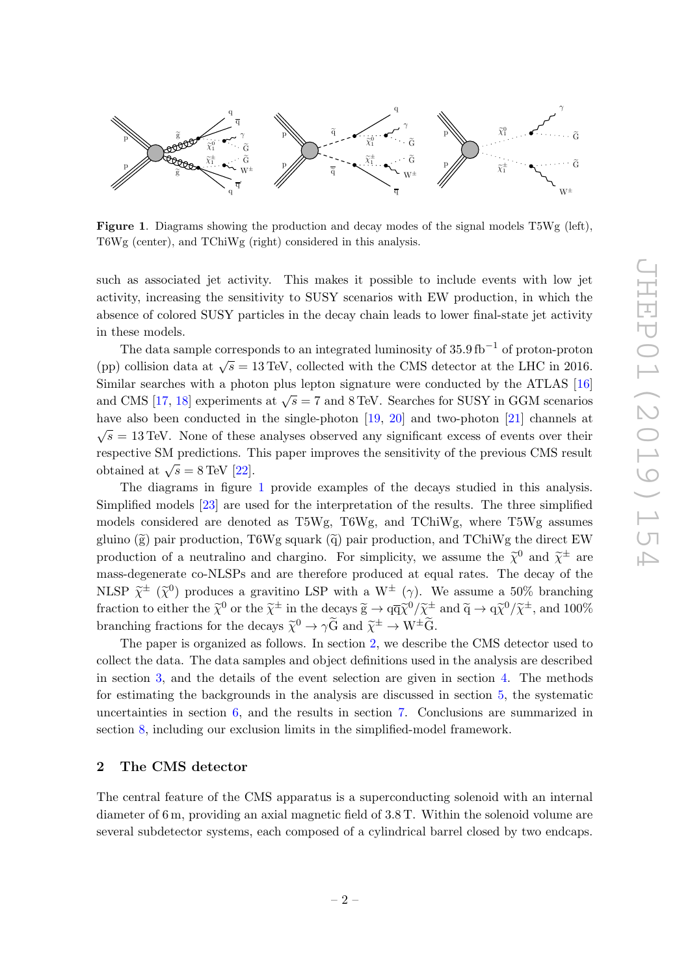

<span id="page-2-1"></span>Figure 1. Diagrams showing the production and decay modes of the signal models T5Wg (left), T6Wg (center), and TChiWg (right) considered in this analysis.

such as associated jet activity. This makes it possible to include events with low jet activity, increasing the sensitivity to SUSY scenarios with EW production, in which the absence of colored SUSY particles in the decay chain leads to lower final-state jet activity in these models.

The data sample corresponds to an integrated luminosity of  $35.9\,\mathrm{fb}^{-1}$  of proton-proton (pp) collision data at  $\sqrt{s} = 13$  TeV, collected with the CMS detector at the LHC in 2016. Similar searches with a photon plus lepton signature were conducted by the ATLAS [\[16\]](#page-16-5) and CMS [\[17,](#page-17-0) [18\]](#page-17-1) experiments at  $\sqrt{s} = 7$  and 8 TeV. Searches for SUSY in GGM scenarios have also been conducted in the single-photon [\[19,](#page-17-2) [20\]](#page-17-3) and two-photon [\[21\]](#page-17-4) channels at √  $\overline{s} = 13 \,\text{TeV}$ . None of these analyses observed any significant excess of events over their respective SM predictions. This paper improves the sensitivity of the previous CMS result obtained at  $\sqrt{s} = 8 \text{ TeV}$  [\[22\]](#page-17-5).

The diagrams in figure [1](#page-2-1) provide examples of the decays studied in this analysis. Simplified models [\[23\]](#page-17-6) are used for the interpretation of the results. The three simplified models considered are denoted as T5Wg, T6Wg, and TChiWg, where T5Wg assumes gluino  $(\tilde{g})$  pair production, T6Wg squark  $(\tilde{q})$  pair production, and TChiWg the direct EW production of a neutralino and chargino. For simplicity, we assume the  $\tilde{\chi}^0$  and  $\tilde{\chi}^{\pm}$  are mass-degenerate co-NLSPs and are therefore produced at equal rates. The decay of the NLSP  $\tilde{\chi}^{\pm}$  ( $\tilde{\chi}^0$ ) produces a gravitino LSP with a W<sup> $\pm$ </sup> ( $\gamma$ ). We assume a 50% branching fraction to either the  $\tilde{\chi}^0$  or the  $\tilde{\chi}^{\pm}$  in the decays  $\tilde{g} \to q\bar{q}\tilde{\chi}^0/\tilde{\chi}^{\pm}$  and  $\tilde{q} \to q\tilde{\chi}^0/\tilde{\chi}^{\pm}$ , and 100% branching fractions for the decays  $\tilde{\chi}^0 \to \gamma \tilde{G}$  and  $\tilde{\chi}^{\pm} \to W^{\pm} \tilde{G}$ .

The paper is organized as follows. In section [2,](#page-2-0) we describe the CMS detector used to collect the data. The data samples and object definitions used in the analysis are described in section [3,](#page-3-0) and the details of the event selection are given in section [4.](#page-5-0) The methods for estimating the backgrounds in the analysis are discussed in section [5,](#page-6-0) the systematic uncertainties in section [6,](#page-9-0) and the results in section [7.](#page-10-0) Conclusions are summarized in section [8,](#page-13-0) including our exclusion limits in the simplified-model framework.

#### <span id="page-2-0"></span>2 The CMS detector

The central feature of the CMS apparatus is a superconducting solenoid with an internal diameter of 6 m, providing an axial magnetic field of 3.8 T. Within the solenoid volume are several subdetector systems, each composed of a cylindrical barrel closed by two endcaps.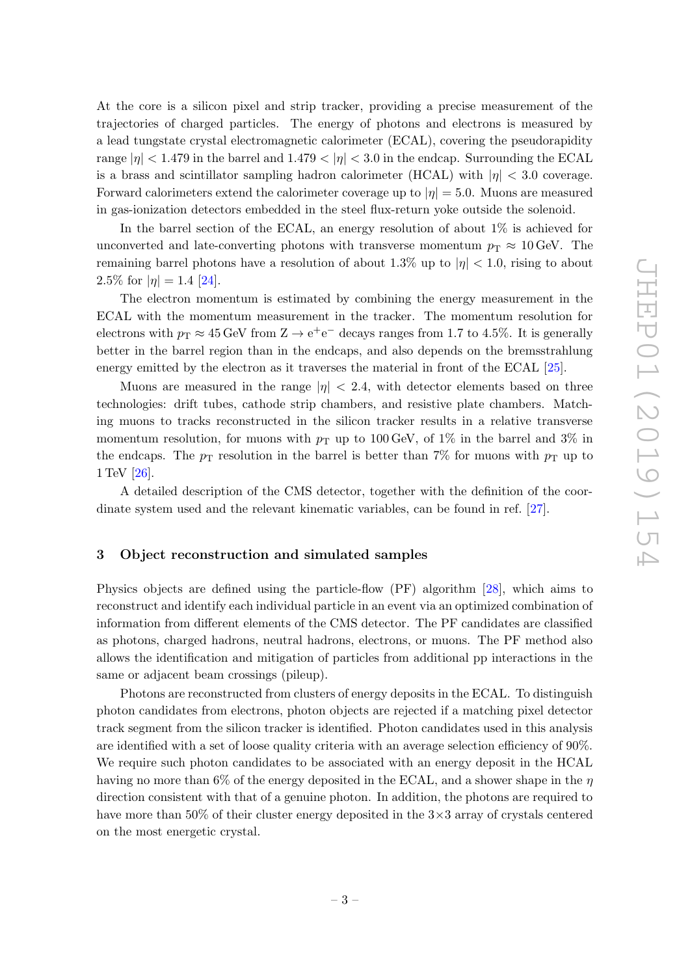At the core is a silicon pixel and strip tracker, providing a precise measurement of the trajectories of charged particles. The energy of photons and electrons is measured by a lead tungstate crystal electromagnetic calorimeter (ECAL), covering the pseudorapidity range  $|\eta| < 1.479$  in the barrel and  $1.479 < |\eta| < 3.0$  in the endcap. Surrounding the ECAL is a brass and scintillator sampling hadron calorimeter (HCAL) with  $|\eta| < 3.0$  coverage. Forward calorimeters extend the calorimeter coverage up to  $|\eta| = 5.0$ . Muons are measured in gas-ionization detectors embedded in the steel flux-return yoke outside the solenoid.

In the barrel section of the ECAL, an energy resolution of about 1% is achieved for unconverted and late-converting photons with transverse momentum  $p_T \approx 10$  GeV. The remaining barrel photons have a resolution of about 1.3% up to  $|\eta| < 1.0$ , rising to about 2.5% for  $|\eta| = 1.4$  [\[24\]](#page-17-7).

The electron momentum is estimated by combining the energy measurement in the ECAL with the momentum measurement in the tracker. The momentum resolution for electrons with  $p_T \approx 45 \,\text{GeV}$  from  $Z \to e^+e^-$  decays ranges from 1.7 to 4.5%. It is generally better in the barrel region than in the endcaps, and also depends on the bremsstrahlung energy emitted by the electron as it traverses the material in front of the ECAL [\[25\]](#page-17-8).

Muons are measured in the range  $|\eta| < 2.4$ , with detector elements based on three technologies: drift tubes, cathode strip chambers, and resistive plate chambers. Matching muons to tracks reconstructed in the silicon tracker results in a relative transverse momentum resolution, for muons with  $p_T$  up to 100 GeV, of 1% in the barrel and 3% in the endcaps. The  $p_T$  resolution in the barrel is better than 7% for muons with  $p_T$  up to 1 TeV [\[26\]](#page-17-9).

A detailed description of the CMS detector, together with the definition of the coordinate system used and the relevant kinematic variables, can be found in ref. [\[27\]](#page-17-10).

## <span id="page-3-0"></span>3 Object reconstruction and simulated samples

Physics objects are defined using the particle-flow (PF) algorithm [\[28\]](#page-17-11), which aims to reconstruct and identify each individual particle in an event via an optimized combination of information from different elements of the CMS detector. The PF candidates are classified as photons, charged hadrons, neutral hadrons, electrons, or muons. The PF method also allows the identification and mitigation of particles from additional pp interactions in the same or adjacent beam crossings (pileup).

Photons are reconstructed from clusters of energy deposits in the ECAL. To distinguish photon candidates from electrons, photon objects are rejected if a matching pixel detector track segment from the silicon tracker is identified. Photon candidates used in this analysis are identified with a set of loose quality criteria with an average selection efficiency of 90%. We require such photon candidates to be associated with an energy deposit in the HCAL having no more than 6% of the energy deposited in the ECAL, and a shower shape in the  $\eta$ direction consistent with that of a genuine photon. In addition, the photons are required to have more than 50% of their cluster energy deposited in the  $3\times3$  array of crystals centered on the most energetic crystal.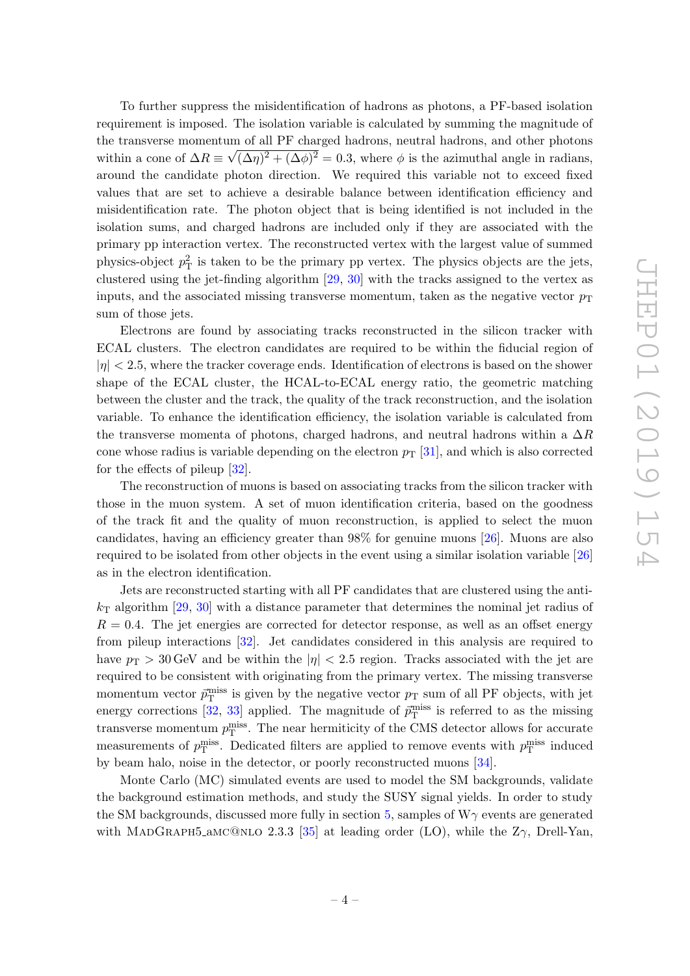To further suppress the misidentification of hadrons as photons, a PF-based isolation requirement is imposed. The isolation variable is calculated by summing the magnitude of the transverse momentum of all PF charged hadrons, neutral hadrons, and other photons within a cone of  $\Delta R \equiv \sqrt{(\Delta \eta)^2 + (\Delta \phi)^2} = 0.3$ , where  $\phi$  is the azimuthal angle in radians, around the candidate photon direction. We required this variable not to exceed fixed values that are set to achieve a desirable balance between identification efficiency and misidentification rate. The photon object that is being identified is not included in the isolation sums, and charged hadrons are included only if they are associated with the primary pp interaction vertex. The reconstructed vertex with the largest value of summed physics-object  $p_T^2$  is taken to be the primary pp vertex. The physics objects are the jets, clustered using the jet-finding algorithm [\[29,](#page-17-12) [30\]](#page-17-13) with the tracks assigned to the vertex as inputs, and the associated missing transverse momentum, taken as the negative vector  $p_T$ sum of those jets.

Electrons are found by associating tracks reconstructed in the silicon tracker with ECAL clusters. The electron candidates are required to be within the fiducial region of  $|\eta|$   $\langle$  2.5, where the tracker coverage ends. Identification of electrons is based on the shower shape of the ECAL cluster, the HCAL-to-ECAL energy ratio, the geometric matching between the cluster and the track, the quality of the track reconstruction, and the isolation variable. To enhance the identification efficiency, the isolation variable is calculated from the transverse momenta of photons, charged hadrons, and neutral hadrons within a  $\Delta R$ cone whose radius is variable depending on the electron  $p_T$  [\[31\]](#page-17-14), and which is also corrected for the effects of pileup [\[32\]](#page-17-15).

The reconstruction of muons is based on associating tracks from the silicon tracker with those in the muon system. A set of muon identification criteria, based on the goodness of the track fit and the quality of muon reconstruction, is applied to select the muon candidates, having an efficiency greater than 98% for genuine muons [\[26\]](#page-17-9). Muons are also required to be isolated from other objects in the event using a similar isolation variable [\[26\]](#page-17-9) as in the electron identification.

Jets are reconstructed starting with all PF candidates that are clustered using the anti $k_{\text{T}}$  algorithm [\[29,](#page-17-12) [30\]](#page-17-13) with a distance parameter that determines the nominal jet radius of  $R = 0.4$ . The jet energies are corrected for detector response, as well as an offset energy from pileup interactions [\[32\]](#page-17-15). Jet candidates considered in this analysis are required to have  $p_T > 30$  GeV and be within the  $|\eta| < 2.5$  region. Tracks associated with the jet are required to be consistent with originating from the primary vertex. The missing transverse momentum vector  $\vec{p}_{\rm T}^{\rm miss}$  is given by the negative vector  $p_{\rm T}$  sum of all PF objects, with jet energy corrections [\[32,](#page-17-15) [33\]](#page-17-16) applied. The magnitude of  $\bar{p}_{\rm T}^{\rm miss}$  is referred to as the missing transverse momentum  $p_T^{\text{miss}}$ . The near hermiticity of the CMS detector allows for accurate measurements of  $p_T^{\text{miss}}$ . Dedicated filters are applied to remove events with  $p_T^{\text{miss}}$  induced by beam halo, noise in the detector, or poorly reconstructed muons [\[34\]](#page-18-0).

Monte Carlo (MC) simulated events are used to model the SM backgrounds, validate the background estimation methods, and study the SUSY signal yields. In order to study the SM backgrounds, discussed more fully in section [5,](#page-6-0) samples of  $W\gamma$  events are generated with MADGRAPH5 aMC@NLO 2.3.3 [\[35\]](#page-18-1) at leading order (LO), while the  $Z_{\gamma}$ , Drell-Yan,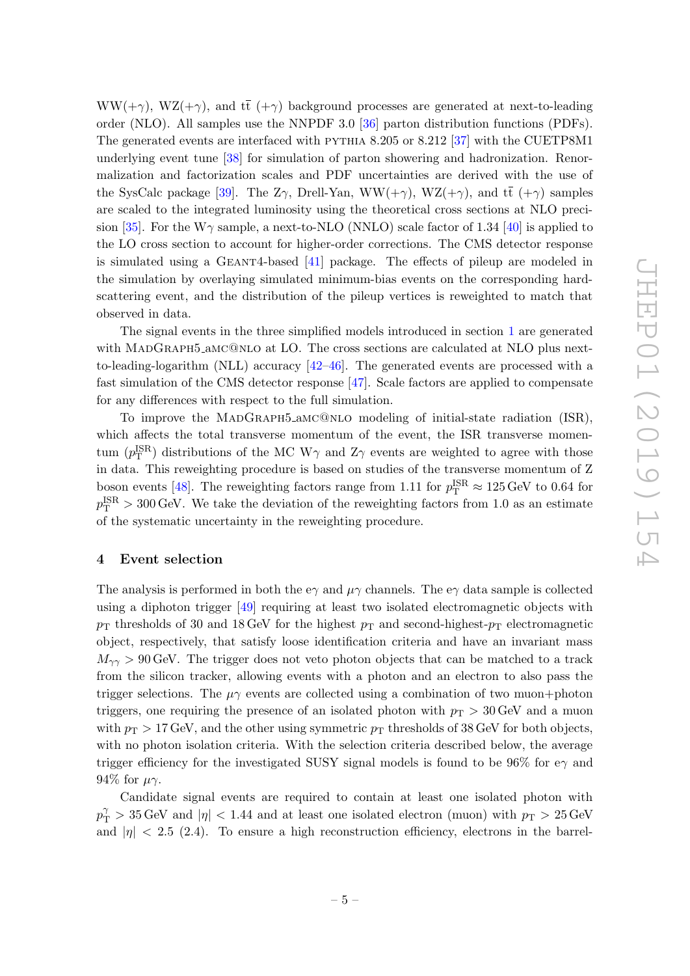$WW(+\gamma)$ ,  $WZ(+\gamma)$ , and  $t\bar{t}$  (+ $\gamma$ ) background processes are generated at next-to-leading order (NLO). All samples use the NNPDF 3.0 [\[36\]](#page-18-2) parton distribution functions (PDFs). The generated events are interfaced with PYTHIA 8.205 or 8.212 [\[37\]](#page-18-3) with the CUETP8M1 underlying event tune [\[38\]](#page-18-4) for simulation of parton showering and hadronization. Renormalization and factorization scales and PDF uncertainties are derived with the use of the SysCalc package [\[39\]](#page-18-5). The Z $\gamma$ , Drell-Yan, WW(+ $\gamma$ ), WZ(+ $\gamma$ ), and tt (+ $\gamma$ ) samples are scaled to the integrated luminosity using the theoretical cross sections at NLO preci-sion [\[35\]](#page-18-1). For the W $\gamma$  sample, a next-to-NLO (NNLO) scale factor of 1.34 [\[40\]](#page-18-6) is applied to the LO cross section to account for higher-order corrections. The CMS detector response is simulated using a GEANT4-based  $[41]$  package. The effects of pileup are modeled in the simulation by overlaying simulated minimum-bias events on the corresponding hardscattering event, and the distribution of the pileup vertices is reweighted to match that observed in data.

The signal events in the three simplified models introduced in section [1](#page-1-0) are generated with MADGRAPH5 aMC@NLO at LO. The cross sections are calculated at NLO plus nextto-leading-logarithm (NLL) accuracy  $[42-46]$  $[42-46]$ . The generated events are processed with a fast simulation of the CMS detector response [\[47\]](#page-18-10). Scale factors are applied to compensate for any differences with respect to the full simulation.

To improve the MadGraph5 amc@nlo modeling of initial-state radiation (ISR), which affects the total transverse momentum of the event, the ISR transverse momentum  $(p_{\text{T}}^{\text{ISR}})$  distributions of the MC W $\gamma$  and Z $\gamma$  events are weighted to agree with those in data. This reweighting procedure is based on studies of the transverse momentum of Z boson events [\[48\]](#page-18-11). The reweighting factors range from 1.11 for  $p_T^{\rm ISR} \approx 125\,\text{GeV}$  to 0.64 for  $p_T^{\rm ISR} > 300$  GeV. We take the deviation of the reweighting factors from 1.0 as an estimate of the systematic uncertainty in the reweighting procedure.

#### <span id="page-5-0"></span>4 Event selection

The analysis is performed in both the e $\gamma$  and  $\mu\gamma$  channels. The e $\gamma$  data sample is collected using a diphoton trigger [\[49\]](#page-18-12) requiring at least two isolated electromagnetic objects with  $p_{\rm T}$  thresholds of 30 and 18 GeV for the highest  $p_{\rm T}$  and second-highest- $p_{\rm T}$  electromagnetic object, respectively, that satisfy loose identification criteria and have an invariant mass  $M_{\gamma\gamma} > 90$  GeV. The trigger does not veto photon objects that can be matched to a track from the silicon tracker, allowing events with a photon and an electron to also pass the trigger selections. The  $\mu\gamma$  events are collected using a combination of two muon+photon triggers, one requiring the presence of an isolated photon with  $p_T > 30$  GeV and a muon with  $p_T > 17$  GeV, and the other using symmetric  $p_T$  thresholds of 38 GeV for both objects, with no photon isolation criteria. With the selection criteria described below, the average trigger efficiency for the investigated SUSY signal models is found to be 96% for  $e\gamma$  and 94% for  $\mu\gamma$ .

Candidate signal events are required to contain at least one isolated photon with  $p_T^{\gamma} > 35\,\text{GeV}$  and  $|\eta| < 1.44$  and at least one isolated electron (muon) with  $p_T > 25\,\text{GeV}$ and  $|\eta|$  < 2.5 (2.4). To ensure a high reconstruction efficiency, electrons in the barrel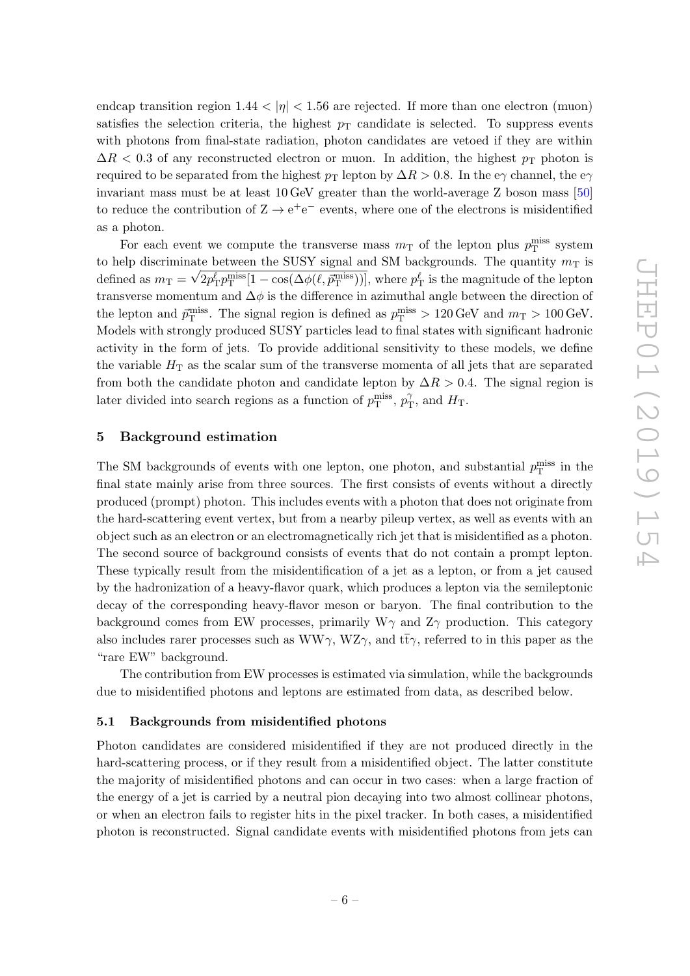endcap transition region  $1.44 < |\eta| < 1.56$  are rejected. If more than one electron (muon) satisfies the selection criteria, the highest  $p<sub>T</sub>$  candidate is selected. To suppress events with photons from final-state radiation, photon candidates are vetoed if they are within  $\Delta R$  < 0.3 of any reconstructed electron or muon. In addition, the highest  $p_{\rm T}$  photon is required to be separated from the highest  $p_T$  lepton by  $\Delta R > 0.8$ . In the eγ channel, the eγ invariant mass must be at least 10 GeV greater than the world-average Z boson mass [\[50\]](#page-18-13) to reduce the contribution of  $Z \to e^+e^-$  events, where one of the electrons is misidentified as a photon.

For each event we compute the transverse mass  $m<sub>T</sub>$  of the lepton plus  $p_T^{\text{miss}}$  system to help discriminate between the SUSY signal and SM backgrounds. The quantity  $m<sub>T</sub>$  is defined as  $m_T = \sqrt{2p_T^{\ell}p_T^{\text{miss}}} [1 - \cos(\Delta\phi(\ell, \vec{p}_T^{\text{miss}}))]$ , where  $p_T^{\ell}$  is the magnitude of the lepton transverse momentum and  $\Delta \phi$  is the difference in azimuthal angle between the direction of the lepton and  $\vec{p}_{\rm T}^{\rm miss}$ . The signal region is defined as  $p_{\rm T}^{\rm miss} > 120\,\text{GeV}$  and  $m_{\rm T} > 100\,\text{GeV}$ . Models with strongly produced SUSY particles lead to final states with significant hadronic activity in the form of jets. To provide additional sensitivity to these models, we define the variable  $H_T$  as the scalar sum of the transverse momenta of all jets that are separated from both the candidate photon and candidate lepton by  $\Delta R > 0.4$ . The signal region is later divided into search regions as a function of  $p_{\rm T}^{\rm miss}$ ,  $p_{\rm T}^{\gamma}$  $T_{\rm T}$ , and  $H_{\rm T}$ .

## <span id="page-6-0"></span>5 Background estimation

The SM backgrounds of events with one lepton, one photon, and substantial  $p_T^{\text{miss}}$  in the final state mainly arise from three sources. The first consists of events without a directly produced (prompt) photon. This includes events with a photon that does not originate from the hard-scattering event vertex, but from a nearby pileup vertex, as well as events with an object such as an electron or an electromagnetically rich jet that is misidentified as a photon. The second source of background consists of events that do not contain a prompt lepton. These typically result from the misidentification of a jet as a lepton, or from a jet caused by the hadronization of a heavy-flavor quark, which produces a lepton via the semileptonic decay of the corresponding heavy-flavor meson or baryon. The final contribution to the background comes from EW processes, primarily  $W_{\gamma}$  and  $Z_{\gamma}$  production. This category also includes rarer processes such as WW $\gamma$ , WZ $\gamma$ , and  $t\bar{t}\gamma$ , referred to in this paper as the "rare EW" background.

The contribution from EW processes is estimated via simulation, while the backgrounds due to misidentified photons and leptons are estimated from data, as described below.

#### <span id="page-6-1"></span>5.1 Backgrounds from misidentified photons

Photon candidates are considered misidentified if they are not produced directly in the hard-scattering process, or if they result from a misidentified object. The latter constitute the majority of misidentified photons and can occur in two cases: when a large fraction of the energy of a jet is carried by a neutral pion decaying into two almost collinear photons, or when an electron fails to register hits in the pixel tracker. In both cases, a misidentified photon is reconstructed. Signal candidate events with misidentified photons from jets can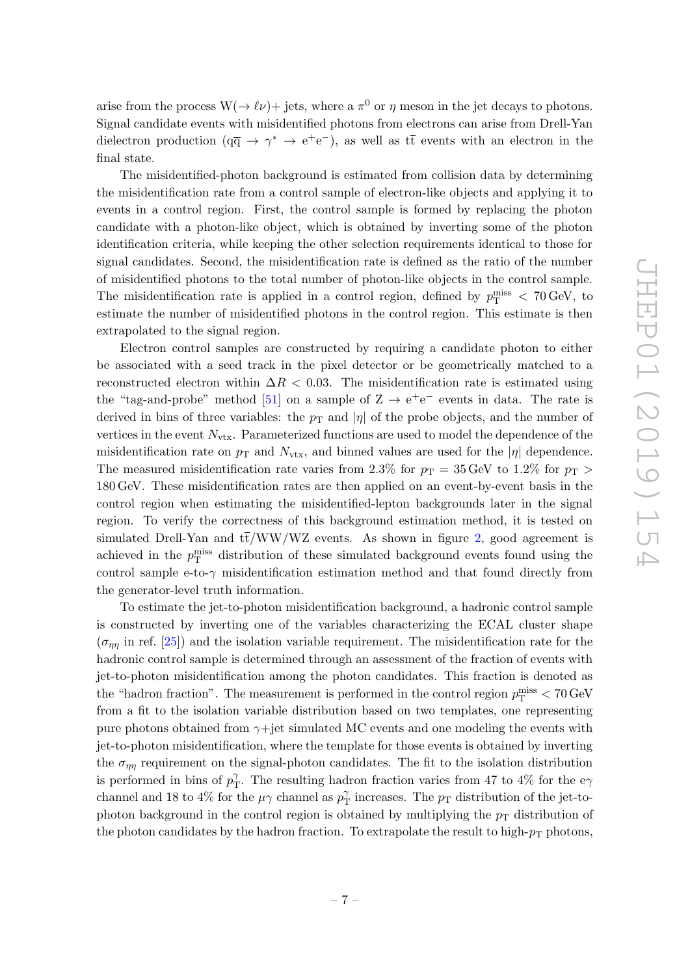arise from the process  $W(\to \ell \nu)$  + jets, where a  $\pi^0$  or  $\eta$  meson in the jet decays to photons. Signal candidate events with misidentified photons from electrons can arise from Drell-Yan dielectron production  $(q\bar{q} \rightarrow \gamma^* \rightarrow e^+e^-)$ , as well as tte events with an electron in the final state.

The misidentified-photon background is estimated from collision data by determining the misidentification rate from a control sample of electron-like objects and applying it to events in a control region. First, the control sample is formed by replacing the photon candidate with a photon-like object, which is obtained by inverting some of the photon identification criteria, while keeping the other selection requirements identical to those for signal candidates. Second, the misidentification rate is defined as the ratio of the number of misidentified photons to the total number of photon-like objects in the control sample. The misidentification rate is applied in a control region, defined by  $p_T^{\text{miss}} < 70 \,\text{GeV}$ , to estimate the number of misidentified photons in the control region. This estimate is then extrapolated to the signal region.

Electron control samples are constructed by requiring a candidate photon to either be associated with a seed track in the pixel detector or be geometrically matched to a reconstructed electron within  $\Delta R$  < 0.03. The misidentification rate is estimated using the "tag-and-probe" method [\[51\]](#page-18-14) on a sample of  $Z \rightarrow e^+e^-$  events in data. The rate is derived in bins of three variables: the  $p<sub>T</sub>$  and  $|\eta|$  of the probe objects, and the number of vertices in the event  $N_{\text{vtx}}$ . Parameterized functions are used to model the dependence of the misidentification rate on  $p_T$  and  $N_{\text{vtx}}$ , and binned values are used for the  $|\eta|$  dependence. The measured misidentification rate varies from 2.3% for  $p_T = 35 \,\text{GeV}$  to 1.2% for  $p_T >$ 180 GeV. These misidentification rates are then applied on an event-by-event basis in the control region when estimating the misidentified-lepton backgrounds later in the signal region. To verify the correctness of this background estimation method, it is tested on simulated Drell-Yan and  $t\bar{t}/WW/WZ$  events. As shown in figure [2,](#page-8-1) good agreement is achieved in the  $p_T^{\text{miss}}$  distribution of these simulated background events found using the control sample e-to- $\gamma$  misidentification estimation method and that found directly from the generator-level truth information.

To estimate the jet-to-photon misidentification background, a hadronic control sample is constructed by inverting one of the variables characterizing the ECAL cluster shape  $(\sigma_{mn}$  in ref. [\[25\]](#page-17-8)) and the isolation variable requirement. The misidentification rate for the hadronic control sample is determined through an assessment of the fraction of events with jet-to-photon misidentification among the photon candidates. This fraction is denoted as the "hadron fraction". The measurement is performed in the control region  $p_T^{\text{miss}} < 70 \,\text{GeV}$ from a fit to the isolation variable distribution based on two templates, one representing pure photons obtained from  $\gamma$ +jet simulated MC events and one modeling the events with jet-to-photon misidentification, where the template for those events is obtained by inverting the  $\sigma_{\eta\eta}$  requirement on the signal-photon candidates. The fit to the isolation distribution is performed in bins of  $p_{\text{t}}^{\gamma}$ T<sub>T</sub>. The resulting hadron fraction varies from 47 to 4% for the e<sub>7</sub> channel and 18 to 4% for the  $\mu\gamma$  channel as  $p_{\rm T}^{\gamma}$  $\gamma_{\rm T}^{\gamma}$  increases. The  $p_{\rm T}$  distribution of the jet-tophoton background in the control region is obtained by multiplying the  $p_T$  distribution of the photon candidates by the hadron fraction. To extrapolate the result to high- $p_T$  photons,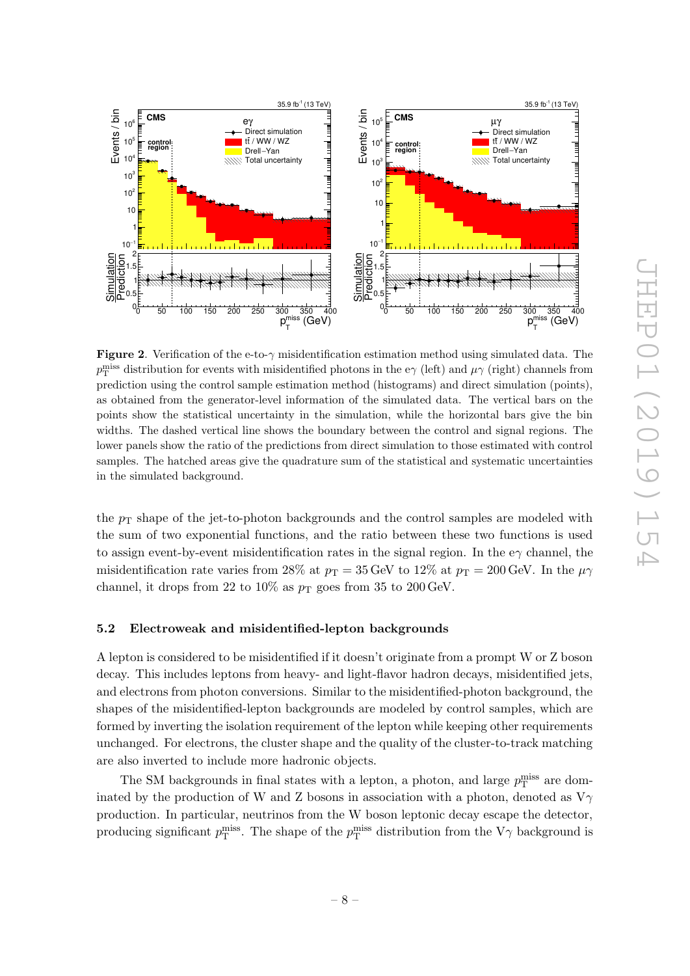

<span id="page-8-1"></span>**Figure 2.** Verification of the e-to- $\gamma$  misidentification estimation method using simulated data. The  $p_T^{\text{miss}}$  distribution for events with misidentified photons in the e $\gamma$  (left) and  $\mu\gamma$  (right) channels from prediction using the control sample estimation method (histograms) and direct simulation (points), as obtained from the generator-level information of the simulated data. The vertical bars on the points show the statistical uncertainty in the simulation, while the horizontal bars give the bin widths. The dashed vertical line shows the boundary between the control and signal regions. The lower panels show the ratio of the predictions from direct simulation to those estimated with control samples. The hatched areas give the quadrature sum of the statistical and systematic uncertainties in the simulated background.

the  $p_T$  shape of the jet-to-photon backgrounds and the control samples are modeled with the sum of two exponential functions, and the ratio between these two functions is used to assign event-by-event misidentification rates in the signal region. In the e $\gamma$  channel, the misidentification rate varies from 28% at  $p_T = 35$  GeV to 12% at  $p_T = 200$  GeV. In the  $\mu\gamma$ channel, it drops from 22 to 10% as  $p_T$  goes from 35 to 200 GeV.

### <span id="page-8-0"></span>5.2 Electroweak and misidentified-lepton backgrounds

A lepton is considered to be misidentified if it doesn't originate from a prompt W or Z boson decay. This includes leptons from heavy- and light-flavor hadron decays, misidentified jets, and electrons from photon conversions. Similar to the misidentified-photon background, the shapes of the misidentified-lepton backgrounds are modeled by control samples, which are formed by inverting the isolation requirement of the lepton while keeping other requirements unchanged. For electrons, the cluster shape and the quality of the cluster-to-track matching are also inverted to include more hadronic objects.

The SM backgrounds in final states with a lepton, a photon, and large  $p_T^{\text{miss}}$  are dominated by the production of W and Z bosons in association with a photon, denoted as  $V\gamma$ production. In particular, neutrinos from the W boson leptonic decay escape the detector, producing significant  $p_T^{\text{miss}}$ . The shape of the  $p_T^{\text{miss}}$  distribution from the V $\gamma$  background is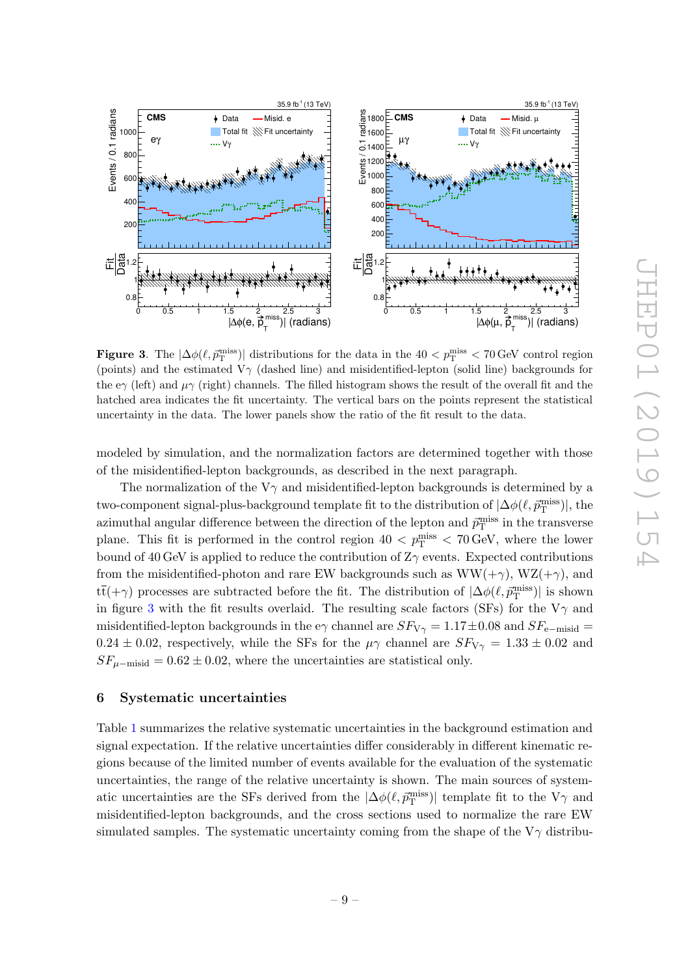

<span id="page-9-1"></span>Figure 3. The  $|\Delta\phi(\ell, \vec{p}_{\rm T}^{\rm miss})|$  distributions for the data in the  $40 < p_{\rm T}^{\rm miss} < 70$  GeV control region (points) and the estimated  $V\gamma$  (dashed line) and misidentified-lepton (solid line) backgrounds for the e $\gamma$  (left) and  $\mu\gamma$  (right) channels. The filled histogram shows the result of the overall fit and the hatched area indicates the fit uncertainty. The vertical bars on the points represent the statistical uncertainty in the data. The lower panels show the ratio of the fit result to the data.

modeled by simulation, and the normalization factors are determined together with those of the misidentified-lepton backgrounds, as described in the next paragraph.

The normalization of the  $V\gamma$  and misidentified-lepton backgrounds is determined by a two-component signal-plus-background template fit to the distribution of  $|\Delta\phi(\ell,\vec{p}_{\rm T}^{\rm miss})|$ , the azimuthal angular difference between the direction of the lepton and  $\vec{p}_{\rm T}^{\rm miss}$  in the transverse plane. This fit is performed in the control region  $40 < p_T^{\text{miss}} < 70 \,\text{GeV}$ , where the lower bound of 40 GeV is applied to reduce the contribution of  $Z_{\gamma}$  events. Expected contributions from the misidentified-photon and rare EW backgrounds such as  $WW(+\gamma)$ ,  $WZ(+\gamma)$ , and  $t\bar{t}(+\gamma)$  processes are subtracted before the fit. The distribution of  $|\Delta\phi(\ell, \vec{p}_{\rm T}^{\rm miss})|$  is shown in figure [3](#page-9-1) with the fit results overlaid. The resulting scale factors (SFs) for the V $\gamma$  and misidentified-lepton backgrounds in the eγ channel are  $SF_{V\gamma} = 1.17 \pm 0.08$  and  $SF_{e-misid}$  $0.24 \pm 0.02$ , respectively, while the SFs for the  $\mu\gamma$  channel are  $SF_{V\gamma} = 1.33 \pm 0.02$  and  $SF_{\mu-\text{misid}} = 0.62 \pm 0.02$ , where the uncertainties are statistical only.

## <span id="page-9-0"></span>6 Systematic uncertainties

Table [1](#page-10-1) summarizes the relative systematic uncertainties in the background estimation and signal expectation. If the relative uncertainties differ considerably in different kinematic regions because of the limited number of events available for the evaluation of the systematic uncertainties, the range of the relative uncertainty is shown. The main sources of systematic uncertainties are the SFs derived from the  $|\Delta\phi(\ell, \vec{p}_{\rm T}^{\rm miss})|$  template fit to the V $\gamma$  and misidentified-lepton backgrounds, and the cross sections used to normalize the rare EW simulated samples. The systematic uncertainty coming from the shape of the  $V_{\gamma}$  distribu-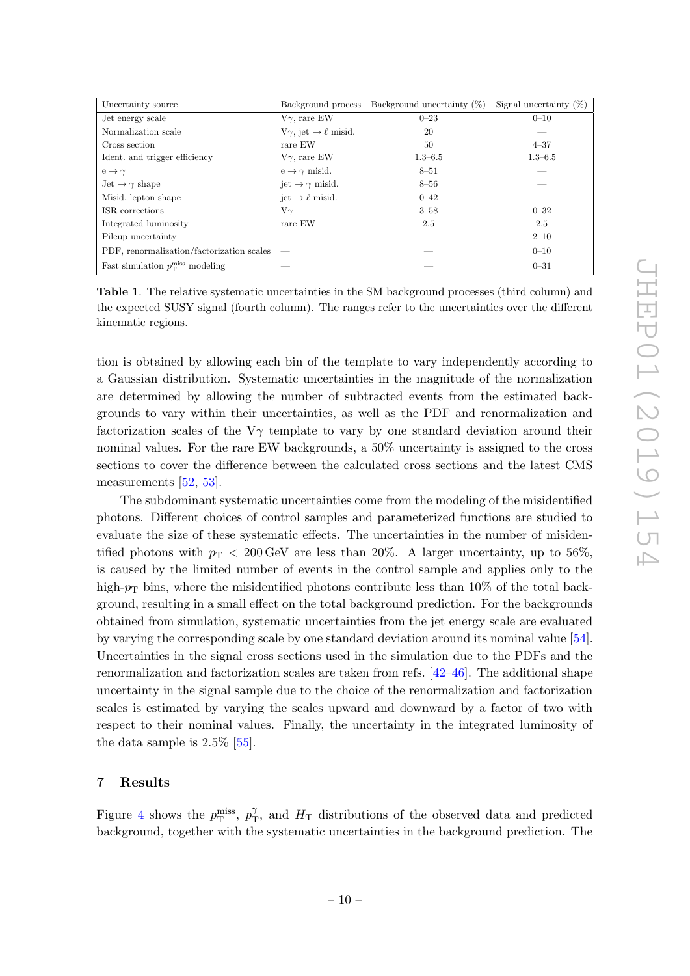| Uncertainty source                           |                                           | Background process Background uncertainty $(\%)$ | Signal uncertainty $(\%)$ |
|----------------------------------------------|-------------------------------------------|--------------------------------------------------|---------------------------|
| Jet energy scale                             | $V\gamma$ , rare EW                       | $0 - 23$                                         | $0 - 10$                  |
| Normalization scale                          | $V\gamma$ , jet $\rightarrow \ell$ misid. | 20                                               |                           |
| Cross section                                | rare EW                                   | 50                                               | $4 - 37$                  |
| Ident. and trigger efficiency                | $V_{\gamma}$ , rare EW                    | $1.3 - 6.5$                                      | $1.3 - 6.5$               |
| $e \rightarrow \gamma$                       | $e \rightarrow \gamma$ misid.             | $8 - 51$                                         |                           |
| Jet $\rightarrow \gamma$ shape               | jet $\rightarrow \gamma$ misid.           | $8 - 56$                                         |                           |
| Misid. lepton shape                          | jet $\rightarrow \ell$ misid.             | $0 - 42$                                         |                           |
| ISR corrections                              | $V\gamma$                                 | $3 - 58$                                         | $0 - 32$                  |
| Integrated luminosity                        | rare EW                                   | 2.5                                              | 2.5                       |
| Pileup uncertainty                           |                                           |                                                  | $2 - 10$                  |
| PDF, renormalization/factorization scales    |                                           |                                                  | $0 - 10$                  |
| Fast simulation $p_T^{\text{miss}}$ modeling |                                           |                                                  | $0 - 31$                  |

<span id="page-10-1"></span>Table 1. The relative systematic uncertainties in the SM background processes (third column) and the expected SUSY signal (fourth column). The ranges refer to the uncertainties over the different kinematic regions.

tion is obtained by allowing each bin of the template to vary independently according to a Gaussian distribution. Systematic uncertainties in the magnitude of the normalization are determined by allowing the number of subtracted events from the estimated backgrounds to vary within their uncertainties, as well as the PDF and renormalization and factorization scales of the  $V\gamma$  template to vary by one standard deviation around their nominal values. For the rare EW backgrounds, a 50% uncertainty is assigned to the cross sections to cover the difference between the calculated cross sections and the latest CMS measurements [\[52,](#page-19-0) [53\]](#page-19-1).

The subdominant systematic uncertainties come from the modeling of the misidentified photons. Different choices of control samples and parameterized functions are studied to evaluate the size of these systematic effects. The uncertainties in the number of misidentified photons with  $p_T < 200$  GeV are less than 20%. A larger uncertainty, up to 56%, is caused by the limited number of events in the control sample and applies only to the high- $p<sub>T</sub>$  bins, where the misidentified photons contribute less than 10% of the total background, resulting in a small effect on the total background prediction. For the backgrounds obtained from simulation, systematic uncertainties from the jet energy scale are evaluated by varying the corresponding scale by one standard deviation around its nominal value [\[54\]](#page-19-2). Uncertainties in the signal cross sections used in the simulation due to the PDFs and the renormalization and factorization scales are taken from refs. [\[42–](#page-18-8)[46\]](#page-18-9). The additional shape uncertainty in the signal sample due to the choice of the renormalization and factorization scales is estimated by varying the scales upward and downward by a factor of two with respect to their nominal values. Finally, the uncertainty in the integrated luminosity of the data sample is 2.5% [\[55\]](#page-19-3).

## <span id="page-10-0"></span>7 Results

Figure [4](#page-11-0) shows the  $p_T^{\text{miss}}, p_T^{\gamma}$  $T_{\rm T}$ , and  $H_{\rm T}$  distributions of the observed data and predicted background, together with the systematic uncertainties in the background prediction. The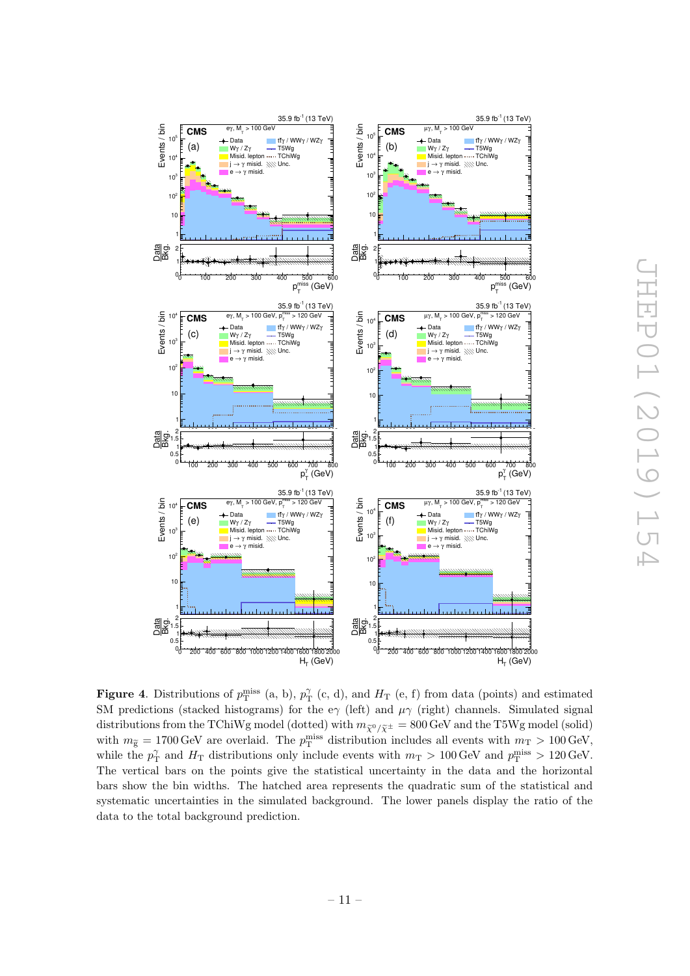

PST (6T07) TOHET JHEP01(2019)154

<span id="page-11-0"></span>**Figure 4.** Distributions of  $p_T^{\text{miss}}$  (a, b),  $p_T^{\gamma}$  (c, d), and  $H_T$  (e, f) from data (points) and estimated SM predictions (stacked histograms) for the e $\gamma$  (left) and  $\mu\gamma$  (right) channels. Simulated signal distributions from the TChiWg model (dotted) with  $m_{\tilde{\chi}^0/\tilde{\chi}^{\pm}} = 800 \,\text{GeV}$  and the T5Wg model (solid) with  $m_{\tilde{g}} = 1700 \text{ GeV}$  are overlaid. The  $p_T^{\text{miss}}$  distribution includes all events with  $m_T > 100 \text{ GeV}$ , while the  $p_T^{\gamma}$  and  $H_T$  distributions only include events with  $m_T > 100 \,\text{GeV}$  and  $p_T^{\text{miss}} > 120 \,\text{GeV}$ . The vertical bars on the points give the statistical uncertainty in the data and the horizontal bars show the bin widths. The hatched area represents the quadratic sum of the statistical and systematic uncertainties in the simulated background. The lower panels display the ratio of the data to the total background prediction.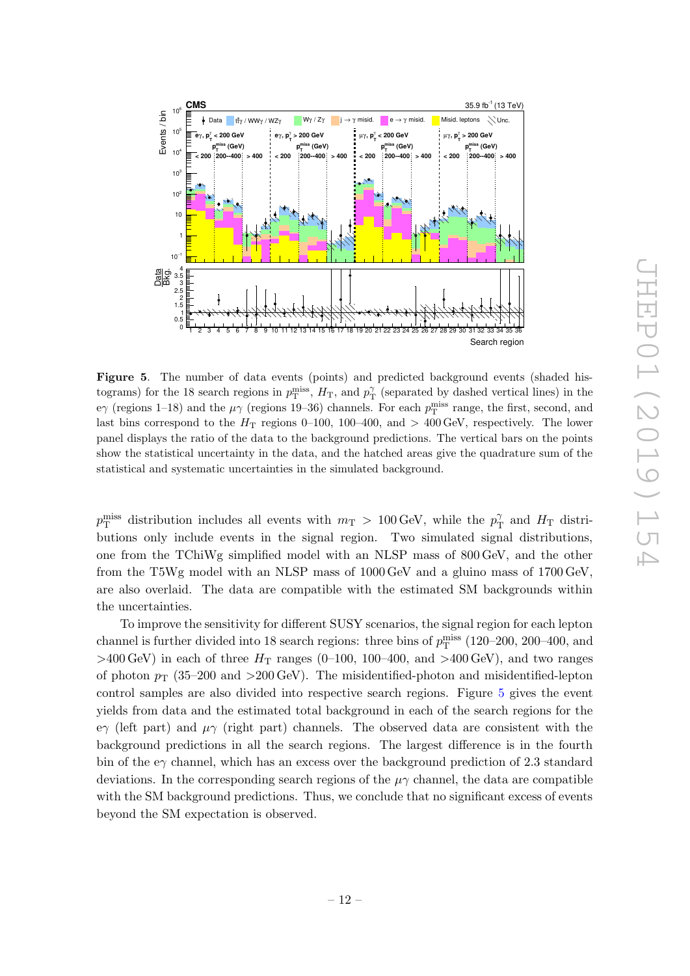

<span id="page-12-0"></span>Figure 5. The number of data events (points) and predicted background events (shaded histograms) for the 18 search regions in  $p_T^{\text{miss}}$ ,  $H_T$ , and  $p_T^{\gamma}$  (separated by dashed vertical lines) in the e $\gamma$  (regions 1–18) and the  $\mu\gamma$  (regions 19–36) channels. For each  $p_T^{\text{miss}}$  range, the first, second, and last bins correspond to the  $H_T$  regions 0–100, 100–400, and > 400 GeV, respectively. The lower panel displays the ratio of the data to the background predictions. The vertical bars on the points show the statistical uncertainty in the data, and the hatched areas give the quadrature sum of the statistical and systematic uncertainties in the simulated background.

 $p_{\rm T}^{\rm miss}$  distribution includes all events with  $m_{\rm T} > 100\,\text{GeV}$ , while the  $p_{\rm T}^{\gamma}$  $H_T$  and  $H_T$  distributions only include events in the signal region. Two simulated signal distributions, one from the TChiWg simplified model with an NLSP mass of 800 GeV, and the other from the T5Wg model with an NLSP mass of 1000 GeV and a gluino mass of 1700 GeV, are also overlaid. The data are compatible with the estimated SM backgrounds within the uncertainties.

To improve the sensitivity for different SUSY scenarios, the signal region for each lepton channel is further divided into 18 search regions: three bins of  $p_T^{\text{miss}}$  (120–200, 200–400, and  $>400$  GeV) in each of three  $H_T$  ranges (0–100, 100–400, and  $>400$  GeV), and two ranges of photon  $p_T$  (35–200 and >200 GeV). The misidentified-photon and misidentified-lepton control samples are also divided into respective search regions. Figure [5](#page-12-0) gives the event yields from data and the estimated total background in each of the search regions for the eγ (left part) and  $\mu\gamma$  (right part) channels. The observed data are consistent with the background predictions in all the search regions. The largest difference is in the fourth bin of the e $\gamma$  channel, which has an excess over the background prediction of 2.3 standard deviations. In the corresponding search regions of the  $\mu\gamma$  channel, the data are compatible with the SM background predictions. Thus, we conclude that no significant excess of events beyond the SM expectation is observed.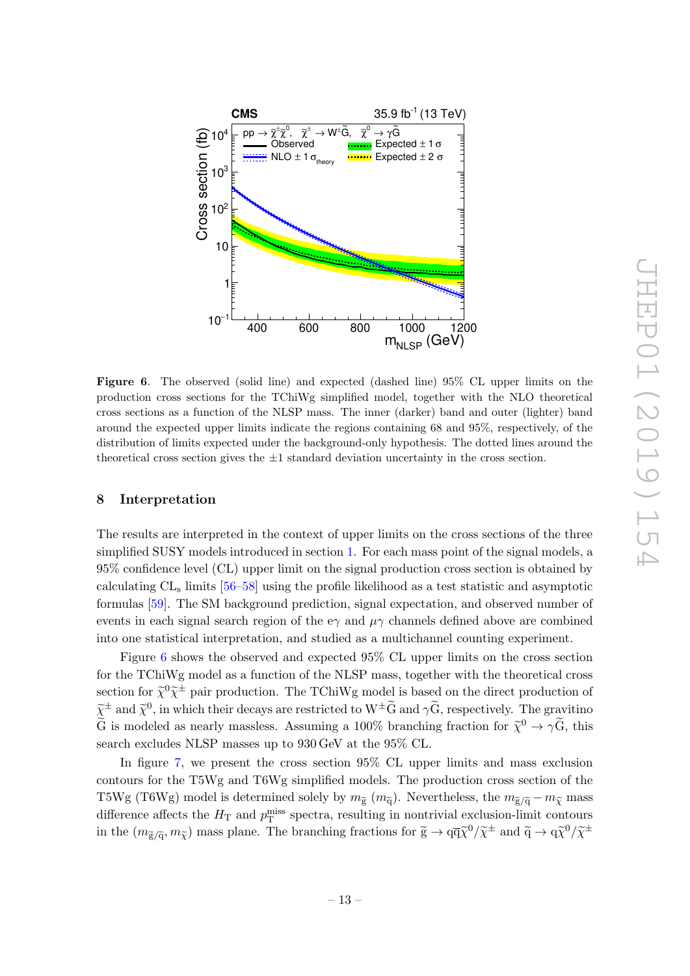

<span id="page-13-1"></span>Figure 6. The observed (solid line) and expected (dashed line) 95% CL upper limits on the production cross sections for the TChiWg simplified model, together with the NLO theoretical cross sections as a function of the NLSP mass. The inner (darker) band and outer (lighter) band around the expected upper limits indicate the regions containing 68 and 95%, respectively, of the distribution of limits expected under the background-only hypothesis. The dotted lines around the theoretical cross section gives the  $\pm 1$  standard deviation uncertainty in the cross section.

### <span id="page-13-0"></span>8 Interpretation

The results are interpreted in the context of upper limits on the cross sections of the three simplified SUSY models introduced in section [1.](#page-1-0) For each mass point of the signal models, a 95% confidence level (CL) upper limit on the signal production cross section is obtained by calculating CL<sup>s</sup> limits [\[56–](#page-19-4)[58\]](#page-19-5) using the profile likelihood as a test statistic and asymptotic formulas [\[59\]](#page-19-6). The SM background prediction, signal expectation, and observed number of events in each signal search region of the eγ and  $\mu\gamma$  channels defined above are combined into one statistical interpretation, and studied as a multichannel counting experiment.

Figure [6](#page-13-1) shows the observed and expected 95% CL upper limits on the cross section for the TChiWg model as a function of the NLSP mass, together with the theoretical cross section for  $\tilde{\chi}^0 \tilde{\chi}^{\pm}$  pair production. The TChiWg model is based on the direct production of  $\widetilde{\chi}^{\pm}$  and  $\widetilde{\chi}^{0}$ , in which their decays are restricted to  $W^{\pm}\widetilde{G}$  and  $\gamma\widetilde{G}$ , respectively. The gravitino  $\widetilde{\tilde{\chi}}$  $\widetilde{G}$  is modeled as nearly massless. Assuming a 100% branching fraction for  $\widetilde{\chi}^0 \to \gamma \widetilde{G}$ , this search excludes NLSP masses up to 930 GeV at the 95% CL.

In figure [7,](#page-14-1) we present the cross section 95% CL upper limits and mass exclusion contours for the T5Wg and T6Wg simplified models. The production cross section of the T5Wg (T6Wg) model is determined solely by  $m_{\tilde{g}}(m_{\tilde{g}})$ . Nevertheless, the  $m_{\tilde{g}/\tilde{g}} - m_{\tilde{\gamma}}$  mass difference affects the  $H_T$  and  $p_T^{\text{miss}}$  spectra, resulting in nontrivial exclusion-limit contours in the  $(m_{\tilde{g}/\tilde{q}}, m_{\tilde{\chi}})$  mass plane. The branching fractions for  $\tilde{g} \to q\bar{q}\tilde{\chi}^0/\tilde{\chi}^{\pm}$  and  $\tilde{q} \to q\tilde{\chi}^0/\tilde{\chi}^{\pm}$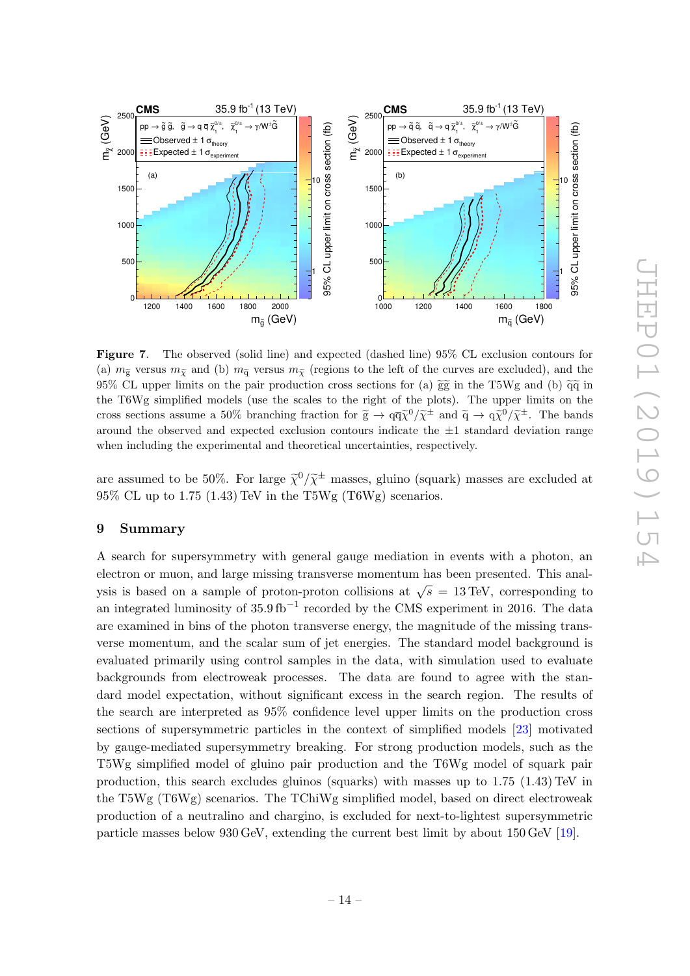

<span id="page-14-1"></span>Figure 7. The observed (solid line) and expected (dashed line) 95% CL exclusion contours for (a)  $m_{\tilde{g}}$  versus  $m_{\tilde{\chi}}$  and (b)  $m_{\tilde{q}}$  versus  $m_{\tilde{\chi}}$  (regions to the left of the curves are excluded), and the 95% CL upper limits on the pair production cross sections for (a)  $\tilde{g}$  in the T5Wg and (b)  $\tilde{q}\tilde{q}$  in the T6Wg simplified models (use the scales to the right of the plots). The upper limits on the cross sections assume a 50% branching fraction for  $\tilde{g} \to q\overline{q}\tilde{\chi}^0/\tilde{\chi}^{\pm}$  and  $\tilde{q} \to q\tilde{\chi}^0/\tilde{\chi}^{\pm}$ . The bands around the observed and expected exclusion contours indicate the  $\pm 1$  standard deviation range when including the experimental and theoretical uncertainties, respectively.

are assumed to be 50%. For large  $\tilde{\chi}^0/\tilde{\chi}^{\pm}$  masses, gluino (squark) masses are excluded at 95% CL up to 1.75 (1.43) TeV in the T5Wg (T6Wg) scenarios.

#### <span id="page-14-0"></span>9 Summary

A search for supersymmetry with general gauge mediation in events with a photon, an electron or muon, and large missing transverse momentum has been presented. This analysis is based on a sample of proton-proton collisions at  $\sqrt{s} = 13$  TeV, corresponding to an integrated luminosity of  $35.9 \text{ fb}^{-1}$  recorded by the CMS experiment in 2016. The data are examined in bins of the photon transverse energy, the magnitude of the missing transverse momentum, and the scalar sum of jet energies. The standard model background is evaluated primarily using control samples in the data, with simulation used to evaluate backgrounds from electroweak processes. The data are found to agree with the standard model expectation, without significant excess in the search region. The results of the search are interpreted as 95% confidence level upper limits on the production cross sections of supersymmetric particles in the context of simplified models [\[23\]](#page-17-6) motivated by gauge-mediated supersymmetry breaking. For strong production models, such as the T5Wg simplified model of gluino pair production and the T6Wg model of squark pair production, this search excludes gluinos (squarks) with masses up to 1.75 (1.43) TeV in the T5Wg (T6Wg) scenarios. The TChiWg simplified model, based on direct electroweak production of a neutralino and chargino, is excluded for next-to-lightest supersymmetric particle masses below 930 GeV, extending the current best limit by about 150 GeV [\[19\]](#page-17-2).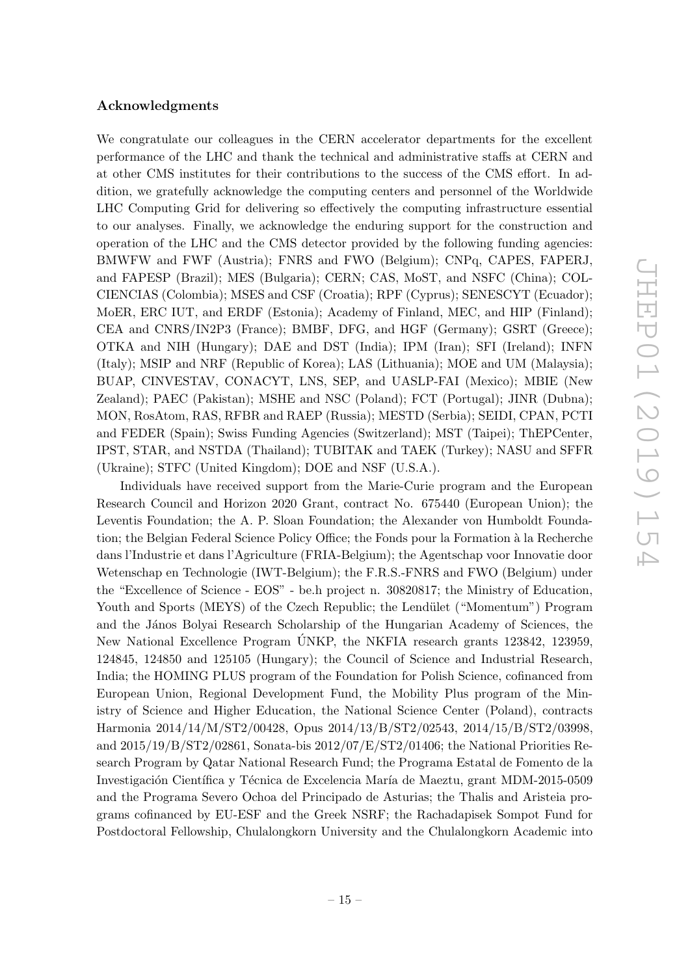### Acknowledgments

We congratulate our colleagues in the CERN accelerator departments for the excellent performance of the LHC and thank the technical and administrative staffs at CERN and at other CMS institutes for their contributions to the success of the CMS effort. In addition, we gratefully acknowledge the computing centers and personnel of the Worldwide LHC Computing Grid for delivering so effectively the computing infrastructure essential to our analyses. Finally, we acknowledge the enduring support for the construction and operation of the LHC and the CMS detector provided by the following funding agencies: BMWFW and FWF (Austria); FNRS and FWO (Belgium); CNPq, CAPES, FAPERJ, and FAPESP (Brazil); MES (Bulgaria); CERN; CAS, MoST, and NSFC (China); COL-CIENCIAS (Colombia); MSES and CSF (Croatia); RPF (Cyprus); SENESCYT (Ecuador); MoER, ERC IUT, and ERDF (Estonia); Academy of Finland, MEC, and HIP (Finland); CEA and CNRS/IN2P3 (France); BMBF, DFG, and HGF (Germany); GSRT (Greece); OTKA and NIH (Hungary); DAE and DST (India); IPM (Iran); SFI (Ireland); INFN (Italy); MSIP and NRF (Republic of Korea); LAS (Lithuania); MOE and UM (Malaysia); BUAP, CINVESTAV, CONACYT, LNS, SEP, and UASLP-FAI (Mexico); MBIE (New Zealand); PAEC (Pakistan); MSHE and NSC (Poland); FCT (Portugal); JINR (Dubna); MON, RosAtom, RAS, RFBR and RAEP (Russia); MESTD (Serbia); SEIDI, CPAN, PCTI and FEDER (Spain); Swiss Funding Agencies (Switzerland); MST (Taipei); ThEPCenter, IPST, STAR, and NSTDA (Thailand); TUBITAK and TAEK (Turkey); NASU and SFFR (Ukraine); STFC (United Kingdom); DOE and NSF (U.S.A.).

Individuals have received support from the Marie-Curie program and the European Research Council and Horizon 2020 Grant, contract No. 675440 (European Union); the Leventis Foundation; the A. P. Sloan Foundation; the Alexander von Humboldt Foundation; the Belgian Federal Science Policy Office; the Fonds pour la Formation à la Recherche dans l'Industrie et dans l'Agriculture (FRIA-Belgium); the Agentschap voor Innovatie door Wetenschap en Technologie (IWT-Belgium); the F.R.S.-FNRS and FWO (Belgium) under the "Excellence of Science - EOS" - be.h project n. 30820817; the Ministry of Education, Youth and Sports (MEYS) of the Czech Republic; the Lendület ("Momentum") Program and the János Bolyai Research Scholarship of the Hungarian Academy of Sciences, the New National Excellence Program UNKP, the NKFIA research grants 123842, 123959, ´ 124845, 124850 and 125105 (Hungary); the Council of Science and Industrial Research, India; the HOMING PLUS program of the Foundation for Polish Science, cofinanced from European Union, Regional Development Fund, the Mobility Plus program of the Ministry of Science and Higher Education, the National Science Center (Poland), contracts Harmonia 2014/14/M/ST2/00428, Opus 2014/13/B/ST2/02543, 2014/15/B/ST2/03998, and 2015/19/B/ST2/02861, Sonata-bis 2012/07/E/ST2/01406; the National Priorities Research Program by Qatar National Research Fund; the Programa Estatal de Fomento de la Investigación Científica y Técnica de Excelencia María de Maeztu, grant MDM-2015-0509 and the Programa Severo Ochoa del Principado de Asturias; the Thalis and Aristeia programs cofinanced by EU-ESF and the Greek NSRF; the Rachadapisek Sompot Fund for Postdoctoral Fellowship, Chulalongkorn University and the Chulalongkorn Academic into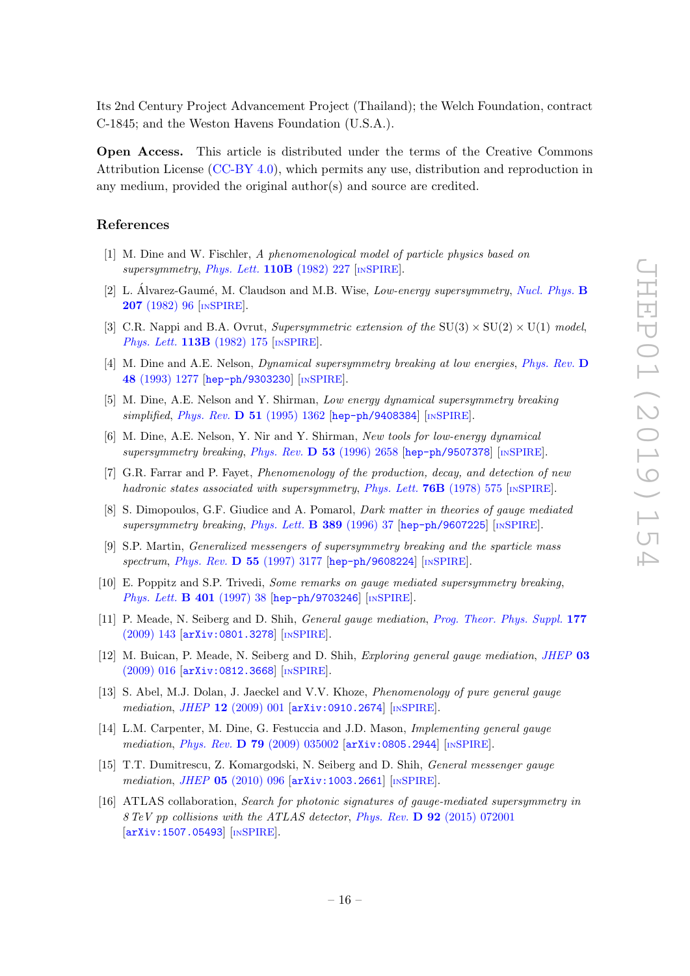Its 2nd Century Project Advancement Project (Thailand); the Welch Foundation, contract C-1845; and the Weston Havens Foundation (U.S.A.).

Open Access. This article is distributed under the terms of the Creative Commons Attribution License [\(CC-BY 4.0\)](https://creativecommons.org/licenses/by/4.0/), which permits any use, distribution and reproduction in any medium, provided the original author(s) and source are credited.

## References

- <span id="page-16-0"></span>[1] M. Dine and W. Fischler, A phenomenological model of particle physics based on supersymmetry, [Phys. Lett.](https://doi.org/10.1016/0370-2693(82)91241-2)  $110B$  (1982) 227 [IN[SPIRE](https://inspirehep.net/search?p=find+J+%22Phys.Lett.,B110,227%22)].
- [2] L. Alvarez-Gaumé, M. Claudson and M.B. Wise,  $Low\text{-}energy \, supersymmetry, \, Nucl. \, Phys. \, \mathbf{B}$ 207 [\(1982\) 96](https://doi.org/10.1016/0550-3213(82)90138-9) [IN[SPIRE](https://inspirehep.net/search?p=find+J+%22Nucl.Phys.,B207,96%22)].
- [3] C.R. Nappi and B.A. Ovrut, Supersymmetric extension of the  $SU(3) \times SU(2) \times U(1)$  model, [Phys. Lett.](https://doi.org/10.1016/0370-2693(82)90418-X) **113B** (1982) 175 [IN[SPIRE](https://inspirehep.net/search?p=find+J+%22Phys.Lett.,B113,175%22)].
- [4] M. Dine and A.E. Nelson, Dynamical supersymmetry breaking at low energies, [Phys. Rev.](https://doi.org/10.1103/PhysRevD.48.1277) D 48 [\(1993\) 1277](https://doi.org/10.1103/PhysRevD.48.1277) [[hep-ph/9303230](https://arxiv.org/abs/hep-ph/9303230)] [IN[SPIRE](https://inspirehep.net/search?p=find+EPRINT+hep-ph/9303230)].
- [5] M. Dine, A.E. Nelson and Y. Shirman, Low energy dynamical supersymmetry breaking simplified, Phys. Rev. **D 51** [\(1995\) 1362](https://doi.org/10.1103/PhysRevD.51.1362) [[hep-ph/9408384](https://arxiv.org/abs/hep-ph/9408384)] [IN[SPIRE](https://inspirehep.net/search?p=find+EPRINT+hep-ph/9408384)].
- <span id="page-16-1"></span>[6] M. Dine, A.E. Nelson, Y. Nir and Y. Shirman, New tools for low-energy dynamical supersymmetry breaking, Phys. Rev. D 53 [\(1996\) 2658](https://doi.org/10.1103/PhysRevD.53.2658) [[hep-ph/9507378](https://arxiv.org/abs/hep-ph/9507378)] [IN[SPIRE](https://inspirehep.net/search?p=find+EPRINT+hep-ph/9507378)].
- <span id="page-16-2"></span>[7] G.R. Farrar and P. Fayet, Phenomenology of the production, decay, and detection of new hadronic states associated with supersymmetry, [Phys. Lett.](https://doi.org/10.1016/0370-2693(78)90858-4) **76B** (1978) 575 [IN[SPIRE](https://inspirehep.net/search?p=find+J+%22Phys.Lett.,B76,575%22)].
- <span id="page-16-3"></span>[8] S. Dimopoulos, G.F. Giudice and A. Pomarol, Dark matter in theories of gauge mediated supersymmetry breaking, [Phys. Lett.](https://doi.org/10.1016/S0370-2693(96)01241-5) B 389 (1996) 37 [[hep-ph/9607225](https://arxiv.org/abs/hep-ph/9607225)] [IN[SPIRE](https://inspirehep.net/search?p=find+EPRINT+hep-ph/9607225)].
- [9] S.P. Martin, Generalized messengers of supersymmetry breaking and the sparticle mass spectrum, Phys. Rev. D 55 [\(1997\) 3177](https://doi.org/10.1103/PhysRevD.55.3177)  $[hep-ph/9608224]$  $[hep-ph/9608224]$  $[hep-ph/9608224]$   $[NSPIRE]$  $[NSPIRE]$  $[NSPIRE]$ .
- [10] E. Poppitz and S.P. Trivedi, Some remarks on gauge mediated supersymmetry breaking, [Phys. Lett.](https://doi.org/10.1016/S0370-2693(97)00367-5) **B 401** (1997) 38 [[hep-ph/9703246](https://arxiv.org/abs/hep-ph/9703246)] [IN[SPIRE](https://inspirehep.net/search?p=find+EPRINT+hep-ph/9703246)].
- [11] P. Meade, N. Seiberg and D. Shih, General gauge mediation, [Prog. Theor. Phys. Suppl.](https://doi.org/10.1143/PTPS.177.143) 177 [\(2009\) 143](https://doi.org/10.1143/PTPS.177.143) [[arXiv:0801.3278](https://arxiv.org/abs/0801.3278)] [IN[SPIRE](https://inspirehep.net/search?p=find+EPRINT+arXiv:0801.3278)].
- [12] M. Buican, P. Meade, N. Seiberg and D. Shih, Exploring general gauge mediation, [JHEP](https://doi.org/10.1088/1126-6708/2009/03/016) 03 [\(2009\) 016](https://doi.org/10.1088/1126-6708/2009/03/016) [[arXiv:0812.3668](https://arxiv.org/abs/0812.3668)] [IN[SPIRE](https://inspirehep.net/search?p=find+EPRINT+arXiv:0812.3668)].
- [13] S. Abel, M.J. Dolan, J. Jaeckel and V.V. Khoze, *Phenomenology of pure general gauge* mediation, JHEP 12 [\(2009\) 001](https://doi.org/10.1088/1126-6708/2009/12/001) [[arXiv:0910.2674](https://arxiv.org/abs/0910.2674)] [IN[SPIRE](https://inspirehep.net/search?p=find+EPRINT+arXiv:0910.2674)].
- [14] L.M. Carpenter, M. Dine, G. Festuccia and J.D. Mason, Implementing general gauge mediation, *Phys. Rev.* **D 79** [\(2009\) 035002](https://doi.org/10.1103/PhysRevD.79.035002) [[arXiv:0805.2944](https://arxiv.org/abs/0805.2944)] [IN[SPIRE](https://inspirehep.net/search?p=find+EPRINT+arXiv:0805.2944)].
- <span id="page-16-4"></span>[15] T.T. Dumitrescu, Z. Komargodski, N. Seiberg and D. Shih, General messenger gauge mediation, JHEP 05 [\(2010\) 096](https://doi.org/10.1007/JHEP05(2010)096) [[arXiv:1003.2661](https://arxiv.org/abs/1003.2661)] [IN[SPIRE](https://inspirehep.net/search?p=find+EPRINT+arXiv:1003.2661)].
- <span id="page-16-5"></span>[16] ATLAS collaboration, Search for photonic signatures of gauge-mediated supersymmetry in 8 TeV pp collisions with the ATLAS detector, Phys. Rev. D 92 [\(2015\) 072001](https://doi.org/10.1103/PhysRevD.92.072001) [[arXiv:1507.05493](https://arxiv.org/abs/1507.05493)] [IN[SPIRE](https://inspirehep.net/search?p=find+EPRINT+arXiv:1507.05493)].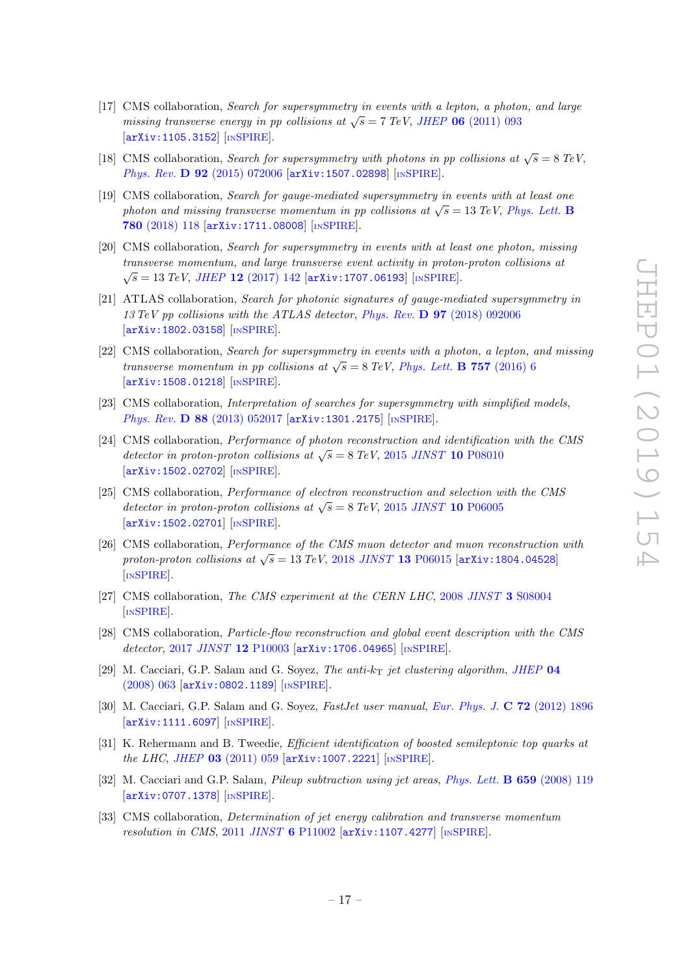- <span id="page-17-0"></span>[17] CMS collaboration, Search for supersymmetry in events with a lepton, a photon, and large missing transverse energy in pp collisions at  $\sqrt{s} = 7 \text{ TeV}$ , JHEP 06 [\(2011\) 093](https://doi.org/10.1007/JHEP06(2011)093) [[arXiv:1105.3152](https://arxiv.org/abs/1105.3152)] [IN[SPIRE](https://inspirehep.net/search?p=find+EPRINT+arXiv:1105.3152)].
- <span id="page-17-1"></span>[18] CMS collaboration, Search for supersymmetry with photons in pp collisions at  $\sqrt{s} = 8 \text{ TeV}$ , Phys. Rev. D 92 [\(2015\) 072006](https://doi.org/10.1103/PhysRevD.92.072006) [[arXiv:1507.02898](https://arxiv.org/abs/1507.02898)] [IN[SPIRE](https://inspirehep.net/search?p=find+EPRINT+arXiv:1507.02898)].
- <span id="page-17-2"></span>[19] CMS collaboration, Search for gauge-mediated supersymmetry in events with at least one photon and missing transverse momentum in pp collisions at  $\sqrt{s} = 13 \text{ TeV}$ , [Phys. Lett.](https://doi.org/10.1016/j.physletb.2018.02.045) B 780 [\(2018\) 118](https://doi.org/10.1016/j.physletb.2018.02.045) [[arXiv:1711.08008](https://arxiv.org/abs/1711.08008)] [IN[SPIRE](https://inspirehep.net/search?p=find+EPRINT+arXiv:1711.08008)].
- <span id="page-17-3"></span>[20] CMS collaboration, Search for supersymmetry in events with at least one photon, missing transverse momentum, and large transverse event activity in proton-proton collisions at  $\sqrt{s} = 13 \text{ TeV}, \text{ JHEP } 12 \text{ (2017) } 142 \text{ [arXiv:1707.06193] [nSPIRE]}.$  $\sqrt{s} = 13 \text{ TeV}, \text{ JHEP } 12 \text{ (2017) } 142 \text{ [arXiv:1707.06193] [nSPIRE]}.$  $\sqrt{s} = 13 \text{ TeV}, \text{ JHEP } 12 \text{ (2017) } 142 \text{ [arXiv:1707.06193] [nSPIRE]}.$  $\sqrt{s} = 13 \text{ TeV}, \text{ JHEP } 12 \text{ (2017) } 142 \text{ [arXiv:1707.06193] [nSPIRE]}.$  $\sqrt{s} = 13 \text{ TeV}, \text{ JHEP } 12 \text{ (2017) } 142 \text{ [arXiv:1707.06193] [nSPIRE]}.$
- <span id="page-17-4"></span>[21] ATLAS collaboration, Search for photonic signatures of gauge-mediated supersymmetry in 13 TeV pp collisions with the ATLAS detector, Phys. Rev. D 97 [\(2018\) 092006](https://doi.org/10.1103/PhysRevD.97.092006) [[arXiv:1802.03158](https://arxiv.org/abs/1802.03158)] [IN[SPIRE](https://inspirehep.net/search?p=find+EPRINT+arXiv:1802.03158)].
- <span id="page-17-5"></span>[22] CMS collaboration, Search for supersymmetry in events with a photon, a lepton, and missing transverse momentum in pp collisions at  $\sqrt{s} = 8 \text{ TeV}$ , [Phys. Lett.](https://doi.org/10.1016/j.physletb.2016.03.039) **B 757** (2016) 6 [[arXiv:1508.01218](https://arxiv.org/abs/1508.01218)] [IN[SPIRE](https://inspirehep.net/search?p=find+EPRINT+arXiv:1508.01218)].
- <span id="page-17-6"></span>[23] CMS collaboration, Interpretation of searches for supersymmetry with simplified models, Phys. Rev. **D 88** [\(2013\) 052017](https://doi.org/10.1103/PhysRevD.88.052017) [[arXiv:1301.2175](https://arxiv.org/abs/1301.2175)] [IN[SPIRE](https://inspirehep.net/search?p=find+EPRINT+arXiv:1301.2175)].
- <span id="page-17-7"></span>[24] CMS collaboration, Performance of photon reconstruction and identification with the CMS detector in proton-proton collisions at  $\sqrt{s} = 8$  TeV, 2015 JINST 10 [P08010](https://doi.org/10.1088/1748-0221/10/08/P08010) [[arXiv:1502.02702](https://arxiv.org/abs/1502.02702)] [IN[SPIRE](https://inspirehep.net/search?p=find+EPRINT+arXiv:1502.02702)].
- <span id="page-17-8"></span>[25] CMS collaboration, Performance of electron reconstruction and selection with the CMS detector in proton-proton collisions at  $\sqrt{s} = 8$  TeV, 2015 JINST 10 [P06005](https://doi.org/10.1088/1748-0221/10/06/P06005) [[arXiv:1502.02701](https://arxiv.org/abs/1502.02701)] [IN[SPIRE](https://inspirehep.net/search?p=find+EPRINT+arXiv:1502.02701)].
- <span id="page-17-9"></span>[26] CMS collaboration, Performance of the CMS muon detector and muon reconstruction with proton-proton collisions at  $\sqrt{s} = 13 \text{ TeV}$ , 2018 JINST 13 [P06015](https://doi.org/10.1088/1748-0221/13/06/P06015) [[arXiv:1804.04528](https://arxiv.org/abs/1804.04528)] [IN[SPIRE](https://inspirehep.net/search?p=find+EPRINT+arXiv:1804.04528)].
- <span id="page-17-10"></span>[27] CMS collaboration, The CMS experiment at the CERN LHC, 2008 JINST 3 [S08004](https://doi.org/10.1088/1748-0221/3/08/S08004) [IN[SPIRE](https://inspirehep.net/search?p=find+J+%22JINST,3,S08004%22)].
- <span id="page-17-11"></span>[28] CMS collaboration, Particle-flow reconstruction and global event description with the CMS detector, 2017 JINST 12 [P10003](https://doi.org/10.1088/1748-0221/12/10/P10003) [[arXiv:1706.04965](https://arxiv.org/abs/1706.04965)] [IN[SPIRE](https://inspirehep.net/search?p=find+EPRINT+arXiv:1706.04965)].
- <span id="page-17-12"></span>[29] M. Cacciari, G.P. Salam and G. Soyez, The anti- $k_T$  jet clustering algorithm, [JHEP](https://doi.org/10.1088/1126-6708/2008/04/063) 04 [\(2008\) 063](https://doi.org/10.1088/1126-6708/2008/04/063) [[arXiv:0802.1189](https://arxiv.org/abs/0802.1189)] [IN[SPIRE](https://inspirehep.net/search?p=find+EPRINT+arXiv:0802.1189)].
- <span id="page-17-13"></span>[30] M. Cacciari, G.P. Salam and G. Soyez, FastJet user manual, [Eur. Phys. J.](https://doi.org/10.1140/epjc/s10052-012-1896-2) C 72 (2012) 1896 [[arXiv:1111.6097](https://arxiv.org/abs/1111.6097)] [IN[SPIRE](https://inspirehep.net/search?p=find+EPRINT+arXiv:1111.6097)].
- <span id="page-17-14"></span>[31] K. Rehermann and B. Tweedie, Efficient identification of boosted semileptonic top quarks at the LHC, JHEP  $03$  [\(2011\) 059](https://doi.org/10.1007/JHEP03(2011)059) [[arXiv:1007.2221](https://arxiv.org/abs/1007.2221)] [IN[SPIRE](https://inspirehep.net/search?p=find+J+%22JHEP,1103,059%22)].
- <span id="page-17-15"></span>[32] M. Cacciari and G.P. Salam, Pileup subtraction using jet areas, [Phys. Lett.](https://doi.org/10.1016/j.physletb.2007.09.077) B 659 (2008) 119 [[arXiv:0707.1378](https://arxiv.org/abs/0707.1378)] [IN[SPIRE](https://inspirehep.net/search?p=find+EPRINT+arXiv:0707.1378)].
- <span id="page-17-16"></span>[33] CMS collaboration, Determination of jet energy calibration and transverse momentum resolution in CMS, 2011 JINST 6 [P11002](https://doi.org/10.1088/1748-0221/6/11/P11002) [[arXiv:1107.4277](https://arxiv.org/abs/1107.4277)] [IN[SPIRE](https://inspirehep.net/search?p=find+EPRINT+arXiv:1107.4277)].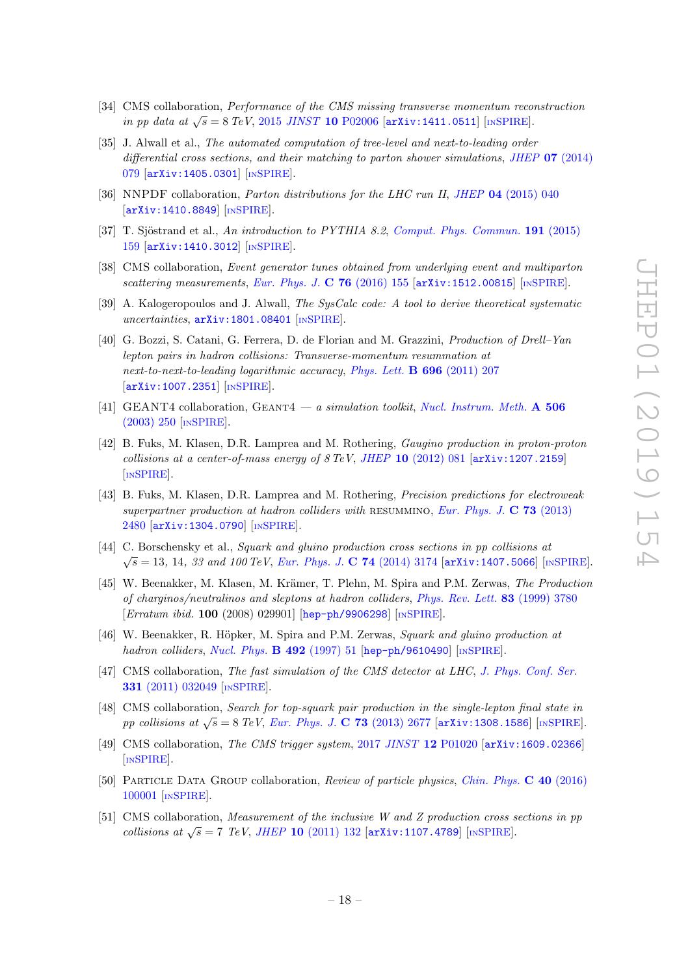- <span id="page-18-0"></span>[34] CMS collaboration, Performance of the CMS missing transverse momentum reconstruction  $\frac{1}{2}$  in pp data at  $\sqrt{s} = 8 \text{ TeV}$ , 2015 JINST 10 [P02006](https://doi.org/10.1088/1748-0221/10/02/P02006) [[arXiv:1411.0511](https://arxiv.org/abs/1411.0511)] [IN[SPIRE](https://inspirehep.net/search?p=find+EPRINT+arXiv:1411.0511)].
- <span id="page-18-1"></span>[35] J. Alwall et al., The automated computation of tree-level and next-to-leading order differential cross sections, and their matching to parton shower simulations, JHEP 07 [\(2014\)](https://doi.org/10.1007/JHEP07(2014)079) [079](https://doi.org/10.1007/JHEP07(2014)079) [[arXiv:1405.0301](https://arxiv.org/abs/1405.0301)] [IN[SPIRE](https://inspirehep.net/search?p=find+EPRINT+arXiv:1405.0301)].
- <span id="page-18-2"></span>[36] NNPDF collaboration, *Parton distributions for the LHC run II, JHEP* 04 [\(2015\) 040](https://doi.org/10.1007/JHEP04(2015)040) [[arXiv:1410.8849](https://arxiv.org/abs/1410.8849)] [IN[SPIRE](https://inspirehep.net/search?p=find+EPRINT+arXiv:1410.8849)].
- <span id="page-18-3"></span>[37] T. Sjöstrand et al., An introduction to PYTHIA 8.2, [Comput. Phys. Commun.](https://doi.org/10.1016/j.cpc.2015.01.024)  $191$  (2015) [159](https://doi.org/10.1016/j.cpc.2015.01.024) [[arXiv:1410.3012](https://arxiv.org/abs/1410.3012)] [IN[SPIRE](https://inspirehep.net/search?p=find+EPRINT+arXiv:1410.3012)].
- <span id="page-18-4"></span>[38] CMS collaboration, Event generator tunes obtained from underlying event and multiparton scattering measurements, [Eur. Phys. J.](https://doi.org/10.1140/epjc/s10052-016-3988-x) C  $76$  (2016) 155 [[arXiv:1512.00815](https://arxiv.org/abs/1512.00815)] [IN[SPIRE](https://inspirehep.net/search?p=find+EPRINT+arXiv:1512.00815)].
- <span id="page-18-5"></span>[39] A. Kalogeropoulos and J. Alwall, The SysCalc code: A tool to derive theoretical systematic uncertainties,  $arXiv:1801.08401$  [IN[SPIRE](https://inspirehep.net/search?p=find+EPRINT+arXiv:1801.08401)].
- <span id="page-18-6"></span>[40] G. Bozzi, S. Catani, G. Ferrera, D. de Florian and M. Grazzini, Production of Drell–Yan lepton pairs in hadron collisions: Transverse-momentum resummation at next-to-next-to-leading logarithmic accuracy, [Phys. Lett.](https://doi.org/10.1016/j.physletb.2010.12.024) **B 696** (2011) 207 [[arXiv:1007.2351](https://arxiv.org/abs/1007.2351)] [IN[SPIRE](https://inspirehep.net/search?p=find+EPRINT+arXiv:1007.2351)].
- <span id="page-18-7"></span>[41] GEANT4 collaboration, GEANT4 — a simulation toolkit, [Nucl. Instrum. Meth.](https://doi.org/10.1016/S0168-9002(03)01368-8)  $A$  506 [\(2003\) 250](https://doi.org/10.1016/S0168-9002(03)01368-8) [IN[SPIRE](https://inspirehep.net/search?p=find+J+%22Nucl.Instrum.Meth.,A506,250%22)].
- <span id="page-18-8"></span>[42] B. Fuks, M. Klasen, D.R. Lamprea and M. Rothering, Gaugino production in proton-proton collisions at a center-of-mass energy of  $8 \text{ TeV}$ , JHEP 10 [\(2012\) 081](https://doi.org/10.1007/JHEP10(2012)081) [[arXiv:1207.2159](https://arxiv.org/abs/1207.2159)] [IN[SPIRE](https://inspirehep.net/search?p=find+EPRINT+arXiv:1207.2159)].
- [43] B. Fuks, M. Klasen, D.R. Lamprea and M. Rothering, Precision predictions for electroweak superpartner production at hadron colliders with RESUMMINO, [Eur. Phys. J.](https://doi.org/10.1140/epjc/s10052-013-2480-0) C 73 (2013) [2480](https://doi.org/10.1140/epjc/s10052-013-2480-0) [[arXiv:1304.0790](https://arxiv.org/abs/1304.0790)] [IN[SPIRE](https://inspirehep.net/search?p=find+EPRINT+arXiv:1304.0790)].
- [44] C. Borschensky et al., Squark and gluino production cross sections in pp collisions at √  $\sqrt{s} = 13, 14, 33 \text{ and } 100 \text{ TeV}, \text{ Eur. Phys. J. C } 74 (2014) 3174 [\text{arXiv:1407.5066} ] \text{ [INSPIRE]}.$  $\sqrt{s} = 13, 14, 33 \text{ and } 100 \text{ TeV}, \text{ Eur. Phys. J. C } 74 (2014) 3174 [\text{arXiv:1407.5066} ] \text{ [INSPIRE]}.$  $\sqrt{s} = 13, 14, 33 \text{ and } 100 \text{ TeV}, \text{ Eur. Phys. J. C } 74 (2014) 3174 [\text{arXiv:1407.5066} ] \text{ [INSPIRE]}.$  $\sqrt{s} = 13, 14, 33 \text{ and } 100 \text{ TeV}, \text{ Eur. Phys. J. C } 74 (2014) 3174 [\text{arXiv:1407.5066} ] \text{ [INSPIRE]}.$  $\sqrt{s} = 13, 14, 33 \text{ and } 100 \text{ TeV}, \text{ Eur. Phys. J. C } 74 (2014) 3174 [\text{arXiv:1407.5066} ] \text{ [INSPIRE]}.$  $\sqrt{s} = 13, 14, 33 \text{ and } 100 \text{ TeV}, \text{ Eur. Phys. J. C } 74 (2014) 3174 [\text{arXiv:1407.5066} ] \text{ [INSPIRE]}.$  $\sqrt{s} = 13, 14, 33 \text{ and } 100 \text{ TeV}, \text{ Eur. Phys. J. C } 74 (2014) 3174 [\text{arXiv:1407.5066} ] \text{ [INSPIRE]}.$
- [45] W. Beenakker, M. Klasen, M. Krämer, T. Plehn, M. Spira and P.M. Zerwas, The Production of charginos/neutralinos and sleptons at hadron colliders, [Phys. Rev. Lett.](https://doi.org/10.1103/PhysRevLett.100.029901) 83 (1999) 3780 [*Erratum ibid.* **100** (2008) 029901] [[hep-ph/9906298](https://arxiv.org/abs/hep-ph/9906298)] [IN[SPIRE](https://inspirehep.net/search?p=find+EPRINT+hep-ph/9906298)].
- <span id="page-18-9"></span>[46] W. Beenakker, R. Höpker, M. Spira and P.M. Zerwas, Squark and gluino production at hadron colliders, [Nucl. Phys.](https://doi.org/10.1016/S0550-3213(97)80027-2)  $\bf{B}$  492 (1997) 51 [[hep-ph/9610490](https://arxiv.org/abs/hep-ph/9610490)] [IN[SPIRE](https://inspirehep.net/search?p=find+EPRINT+hep-ph/9610490)].
- <span id="page-18-10"></span>[47] CMS collaboration, The fast simulation of the CMS detector at LHC, [J. Phys. Conf. Ser.](https://doi.org/10.1088/1742-6596/331/3/032049) 331 [\(2011\) 032049](https://doi.org/10.1088/1742-6596/331/3/032049) [IN[SPIRE](https://inspirehep.net/search?p=find+J+%22J.Phys.Conf.Ser.,331,032049%22)].
- <span id="page-18-11"></span>[48] CMS collaboration, Search for top-squark pair production in the single-lepton final state in pp collisions at  $\sqrt{s} = 8$  TeV, [Eur. Phys. J.](https://doi.org/10.1140/epjc/s10052-013-2677-2) C 73 (2013) 2677 [[arXiv:1308.1586](https://arxiv.org/abs/1308.1586)] [IN[SPIRE](https://inspirehep.net/search?p=find+EPRINT+arXiv:1308.1586)].
- <span id="page-18-12"></span>[49] CMS collaboration, *The CMS trigger system*, 2017 *JINST* 12 [P01020](https://doi.org/10.1088/1748-0221/12/01/P01020) [[arXiv:1609.02366](https://arxiv.org/abs/1609.02366)] [IN[SPIRE](https://inspirehep.net/search?p=find+EPRINT+arXiv:1609.02366)].
- <span id="page-18-13"></span>[50] Particle Data Group collaboration, Review of particle physics, [Chin. Phys.](https://doi.org/10.1088/1674-1137/40/10/100001) C 40 (2016) [100001](https://doi.org/10.1088/1674-1137/40/10/100001) [IN[SPIRE](https://inspirehep.net/search?p=find+J+%22Chin.Phys.,C40,100001%22)].
- <span id="page-18-14"></span>[51] CMS collaboration, *Measurement of the inclusive W and Z production cross sections in pp* collisions at  $\sqrt{s}$  = 7 TeV, JHEP 10 [\(2011\) 132](https://doi.org/10.1007/JHEP10(2011)132) [[arXiv:1107.4789](https://arxiv.org/abs/1107.4789)] [IN[SPIRE](https://inspirehep.net/search?p=find+EPRINT+arXiv:1107.4789)].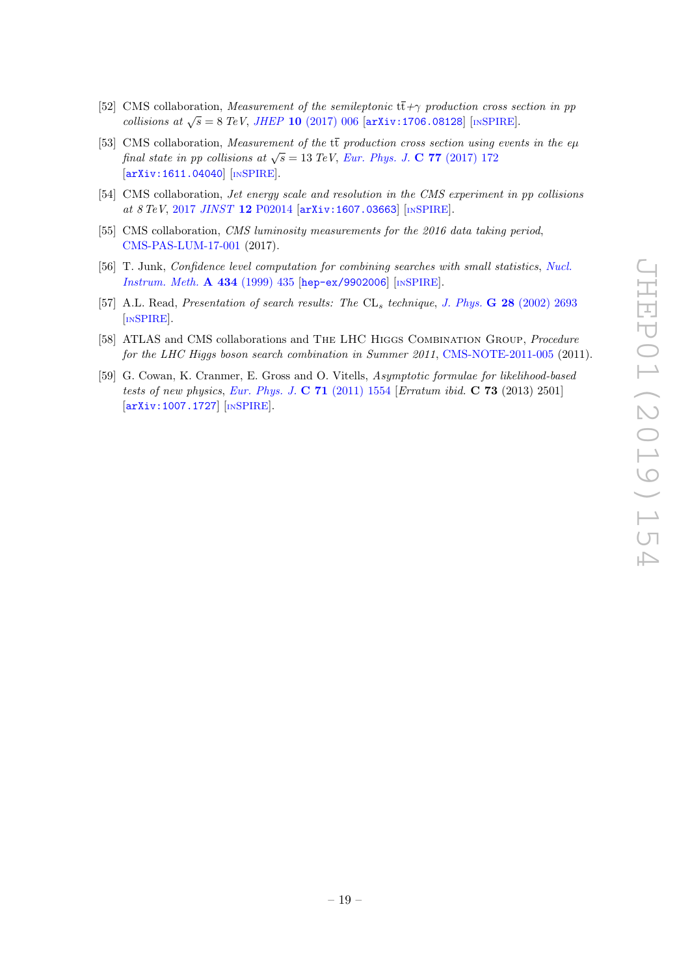- <span id="page-19-0"></span>[52] CMS collaboration, *Measurement of the semileptonic*  $t\bar{t}+\gamma$  production cross section in pp collisions at  $\sqrt{s} = 8 \text{ TeV}$ , JHEP 10 [\(2017\) 006](https://doi.org/10.1007/JHEP10(2017)006) [[arXiv:1706.08128](https://arxiv.org/abs/1706.08128)] [IN[SPIRE](https://inspirehep.net/search?p=find+EPRINT+arXiv:1706.08128)].
- <span id="page-19-1"></span>[53] CMS collaboration, *Measurement of the*  $t\bar{t}$  production cross section using events in the e $\mu$ final state in pp collisions at  $\sqrt{s} = 13 \text{ TeV}$ , [Eur. Phys. J.](https://doi.org/10.1140/epjc/s10052-017-4718-8) C 77 (2017) 172 [[arXiv:1611.04040](https://arxiv.org/abs/1611.04040)] [IN[SPIRE](https://inspirehep.net/search?p=find+EPRINT+arXiv:1611.04040)].
- <span id="page-19-2"></span>[54] CMS collaboration, *Jet energy scale and resolution in the CMS experiment in pp collisions* at 8 TeV, 2017 JINST 12 [P02014](https://doi.org/10.1088/1748-0221/12/02/P02014) [[arXiv:1607.03663](https://arxiv.org/abs/1607.03663)] [IN[SPIRE](https://inspirehep.net/search?p=find+EPRINT+arXiv:1607.03663)].
- <span id="page-19-3"></span>[55] CMS collaboration, *CMS luminosity measurements for the 2016 data taking period*, [CMS-PAS-LUM-17-001](http://cds.cern.ch/record/2257069) (2017).
- <span id="page-19-4"></span>[56] T. Junk, Confidence level computation for combining searches with small statistics, [Nucl.](https://doi.org/10.1016/S0168-9002(99)00498-2) [Instrum. Meth.](https://doi.org/10.1016/S0168-9002(99)00498-2) A 434 (1999) 435 [[hep-ex/9902006](https://arxiv.org/abs/hep-ex/9902006)] [IN[SPIRE](https://inspirehep.net/search?p=find+EPRINT+hep-ex/9902006)].
- [57] A.L. Read, Presentation of search results: The CL<sub>s</sub> technique, J. Phys. **G 28** [\(2002\) 2693](https://doi.org/10.1088/0954-3899/28/10/313) [IN[SPIRE](https://inspirehep.net/search?p=find+J+%22J.Phys.,G28,2693%22)].
- <span id="page-19-5"></span>[58] ATLAS and CMS collaborations and The LHC Higgs Combination Group, Procedure for the LHC Higgs boson search combination in Summer 2011, [CMS-NOTE-2011-005](http://cds.cern.ch/record/1379837) (2011).
- <span id="page-19-6"></span>[59] G. Cowan, K. Cranmer, E. Gross and O. Vitells, Asymptotic formulae for likelihood-based tests of new physics, [Eur. Phys. J.](https://doi.org/10.1140/epjc/s10052-011-1554-0) C 71 (2011) 1554 [Erratum ibid. C 73 (2013) 2501]  $\begin{bmatrix} \texttt{arXiv:1007.1727} \end{bmatrix}$  $\begin{bmatrix} \texttt{arXiv:1007.1727} \end{bmatrix}$  $\begin{bmatrix} \texttt{arXiv:1007.1727} \end{bmatrix}$  [IN[SPIRE](https://inspirehep.net/search?p=find+EPRINT+arXiv:1007.1727)].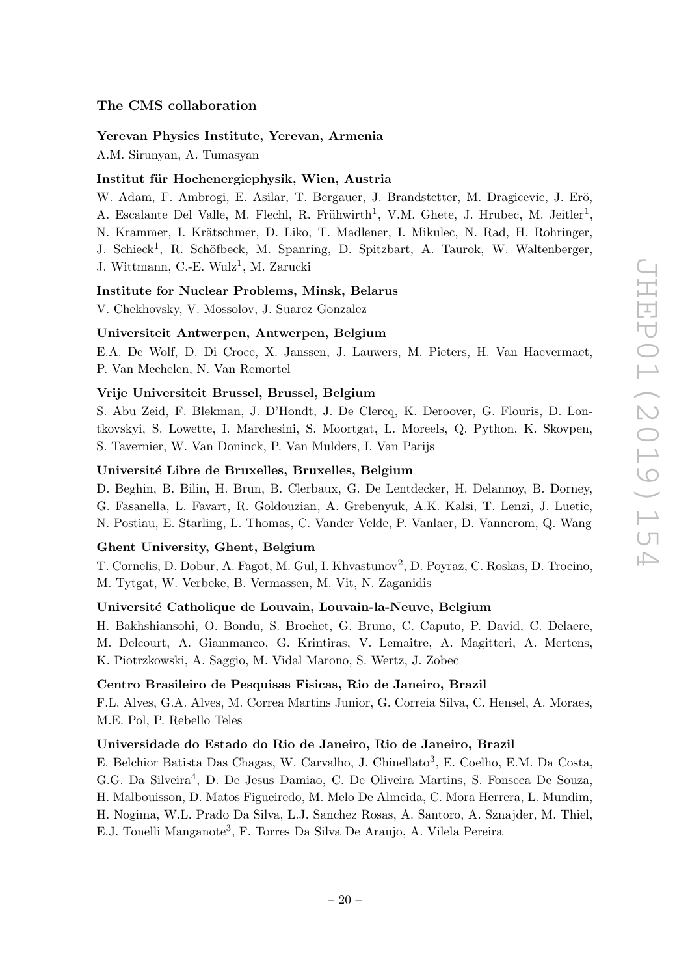### The CMS collaboration

### <span id="page-20-0"></span>Yerevan Physics Institute, Yerevan, Armenia

A.M. Sirunyan, A. Tumasyan

#### Institut für Hochenergiephysik, Wien, Austria

W. Adam, F. Ambrogi, E. Asilar, T. Bergauer, J. Brandstetter, M. Dragicevic, J. Erö,

A. Escalante Del Valle, M. Flechl, R. Frühwirth<sup>1</sup>, V.M. Ghete, J. Hrubec, M. Jeitler<sup>1</sup>,

N. Krammer, I. Krätschmer, D. Liko, T. Madlener, I. Mikulec, N. Rad, H. Rohringer,

J. Schieck<sup>1</sup>, R. Schöfbeck, M. Spanring, D. Spitzbart, A. Taurok, W. Waltenberger,

J. Wittmann, C.-E. Wulz<sup>1</sup>, M. Zarucki

## Institute for Nuclear Problems, Minsk, Belarus

V. Chekhovsky, V. Mossolov, J. Suarez Gonzalez

#### Universiteit Antwerpen, Antwerpen, Belgium

E.A. De Wolf, D. Di Croce, X. Janssen, J. Lauwers, M. Pieters, H. Van Haevermaet, P. Van Mechelen, N. Van Remortel

#### Vrije Universiteit Brussel, Brussel, Belgium

S. Abu Zeid, F. Blekman, J. D'Hondt, J. De Clercq, K. Deroover, G. Flouris, D. Lontkovskyi, S. Lowette, I. Marchesini, S. Moortgat, L. Moreels, Q. Python, K. Skovpen, S. Tavernier, W. Van Doninck, P. Van Mulders, I. Van Parijs

#### Universit´e Libre de Bruxelles, Bruxelles, Belgium

D. Beghin, B. Bilin, H. Brun, B. Clerbaux, G. De Lentdecker, H. Delannoy, B. Dorney, G. Fasanella, L. Favart, R. Goldouzian, A. Grebenyuk, A.K. Kalsi, T. Lenzi, J. Luetic,

N. Postiau, E. Starling, L. Thomas, C. Vander Velde, P. Vanlaer, D. Vannerom, Q. Wang

#### Ghent University, Ghent, Belgium

T. Cornelis, D. Dobur, A. Fagot, M. Gul, I. Khvastunov<sup>2</sup>, D. Poyraz, C. Roskas, D. Trocino, M. Tytgat, W. Verbeke, B. Vermassen, M. Vit, N. Zaganidis

#### Université Catholique de Louvain, Louvain-la-Neuve, Belgium

H. Bakhshiansohi, O. Bondu, S. Brochet, G. Bruno, C. Caputo, P. David, C. Delaere, M. Delcourt, A. Giammanco, G. Krintiras, V. Lemaitre, A. Magitteri, A. Mertens, K. Piotrzkowski, A. Saggio, M. Vidal Marono, S. Wertz, J. Zobec

## Centro Brasileiro de Pesquisas Fisicas, Rio de Janeiro, Brazil

F.L. Alves, G.A. Alves, M. Correa Martins Junior, G. Correia Silva, C. Hensel, A. Moraes, M.E. Pol, P. Rebello Teles

#### Universidade do Estado do Rio de Janeiro, Rio de Janeiro, Brazil

E. Belchior Batista Das Chagas, W. Carvalho, J. Chinellato<sup>3</sup>, E. Coelho, E.M. Da Costa, G.G. Da Silveira<sup>4</sup>, D. De Jesus Damiao, C. De Oliveira Martins, S. Fonseca De Souza, H. Malbouisson, D. Matos Figueiredo, M. Melo De Almeida, C. Mora Herrera, L. Mundim, H. Nogima, W.L. Prado Da Silva, L.J. Sanchez Rosas, A. Santoro, A. Sznajder, M. Thiel, E.J. Tonelli Manganote<sup>3</sup> , F. Torres Da Silva De Araujo, A. Vilela Pereira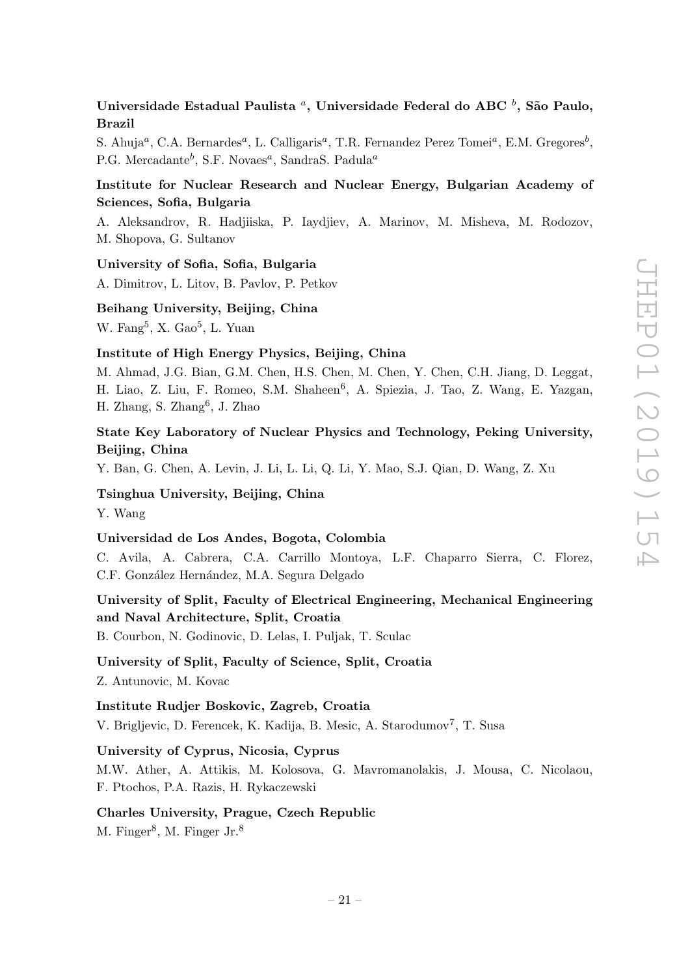## Universidade Estadual Paulista <sup>a</sup>, Universidade Federal do ABC  $^b$ , São Paulo, Brazil

S. Ahuja<sup>a</sup>, C.A. Bernardes<sup>a</sup>, L. Calligaris<sup>a</sup>, T.R. Fernandez Perez Tomei<sup>a</sup>, E.M. Gregores<sup>b</sup>, P.G. Mercadante<sup>b</sup>, S.F. Novaes<sup>a</sup>, SandraS. Padula<sup>a</sup>

## Institute for Nuclear Research and Nuclear Energy, Bulgarian Academy of Sciences, Sofia, Bulgaria

A. Aleksandrov, R. Hadjiiska, P. Iaydjiev, A. Marinov, M. Misheva, M. Rodozov, M. Shopova, G. Sultanov

### University of Sofia, Sofia, Bulgaria

A. Dimitrov, L. Litov, B. Pavlov, P. Petkov

## Beihang University, Beijing, China

W. Fang<sup>5</sup>, X. Gao<sup>5</sup>, L. Yuan

## Institute of High Energy Physics, Beijing, China

M. Ahmad, J.G. Bian, G.M. Chen, H.S. Chen, M. Chen, Y. Chen, C.H. Jiang, D. Leggat, H. Liao, Z. Liu, F. Romeo, S.M. Shaheen<sup>6</sup>, A. Spiezia, J. Tao, Z. Wang, E. Yazgan, H. Zhang, S. Zhang<sup>6</sup>, J. Zhao

## State Key Laboratory of Nuclear Physics and Technology, Peking University, Beijing, China

Y. Ban, G. Chen, A. Levin, J. Li, L. Li, Q. Li, Y. Mao, S.J. Qian, D. Wang, Z. Xu

Tsinghua University, Beijing, China

Y. Wang

## Universidad de Los Andes, Bogota, Colombia

C. Avila, A. Cabrera, C.A. Carrillo Montoya, L.F. Chaparro Sierra, C. Florez, C.F. González Hernández, M.A. Segura Delgado

## University of Split, Faculty of Electrical Engineering, Mechanical Engineering and Naval Architecture, Split, Croatia

B. Courbon, N. Godinovic, D. Lelas, I. Puljak, T. Sculac

### University of Split, Faculty of Science, Split, Croatia

Z. Antunovic, M. Kovac

## Institute Rudjer Boskovic, Zagreb, Croatia

V. Brigljevic, D. Ferencek, K. Kadija, B. Mesic, A. Starodumov<sup>7</sup>, T. Susa

#### University of Cyprus, Nicosia, Cyprus

M.W. Ather, A. Attikis, M. Kolosova, G. Mavromanolakis, J. Mousa, C. Nicolaou, F. Ptochos, P.A. Razis, H. Rykaczewski

#### Charles University, Prague, Czech Republic

M. Finger<sup>8</sup>, M. Finger  $Jr.^8$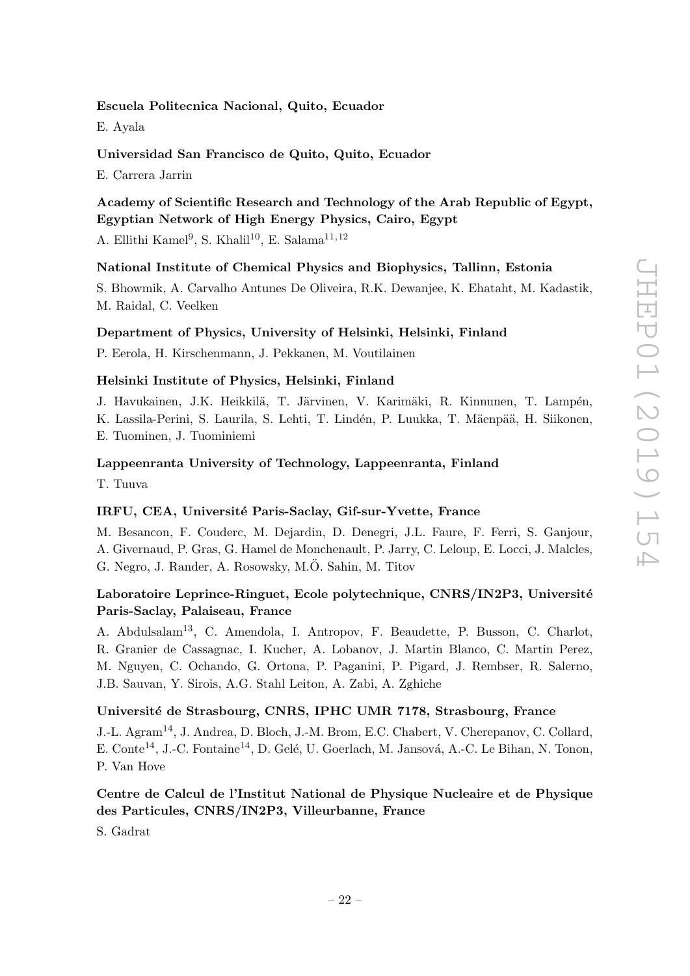## Escuela Politecnica Nacional, Quito, Ecuador

E. Ayala

### Universidad San Francisco de Quito, Quito, Ecuador

E. Carrera Jarrin

## Academy of Scientific Research and Technology of the Arab Republic of Egypt, Egyptian Network of High Energy Physics, Cairo, Egypt

A. Ellithi Kamel<sup>9</sup>, S. Khalil<sup>10</sup>, E. Salama<sup>11,12</sup>

### National Institute of Chemical Physics and Biophysics, Tallinn, Estonia

S. Bhowmik, A. Carvalho Antunes De Oliveira, R.K. Dewanjee, K. Ehataht, M. Kadastik, M. Raidal, C. Veelken

### Department of Physics, University of Helsinki, Helsinki, Finland

P. Eerola, H. Kirschenmann, J. Pekkanen, M. Voutilainen

### Helsinki Institute of Physics, Helsinki, Finland

J. Havukainen, J.K. Heikkilä, T. Järvinen, V. Karimäki, R. Kinnunen, T. Lampén, K. Lassila-Perini, S. Laurila, S. Lehti, T. Lindén, P. Luukka, T. Mäenpää, H. Siikonen, E. Tuominen, J. Tuominiemi

### Lappeenranta University of Technology, Lappeenranta, Finland

T. Tuuva

#### IRFU, CEA, Université Paris-Saclay, Gif-sur-Yvette, France

M. Besancon, F. Couderc, M. Dejardin, D. Denegri, J.L. Faure, F. Ferri, S. Ganjour, A. Givernaud, P. Gras, G. Hamel de Monchenault, P. Jarry, C. Leloup, E. Locci, J. Malcles, G. Negro, J. Rander, A. Rosowsky, M.Ö. Sahin, M. Titov

## Laboratoire Leprince-Ringuet, Ecole polytechnique, CNRS/IN2P3, Université Paris-Saclay, Palaiseau, France

A. Abdulsalam13, C. Amendola, I. Antropov, F. Beaudette, P. Busson, C. Charlot, R. Granier de Cassagnac, I. Kucher, A. Lobanov, J. Martin Blanco, C. Martin Perez, M. Nguyen, C. Ochando, G. Ortona, P. Paganini, P. Pigard, J. Rembser, R. Salerno, J.B. Sauvan, Y. Sirois, A.G. Stahl Leiton, A. Zabi, A. Zghiche

## Universit´e de Strasbourg, CNRS, IPHC UMR 7178, Strasbourg, France

J.-L. Agram<sup>14</sup>, J. Andrea, D. Bloch, J.-M. Brom, E.C. Chabert, V. Cherepanov, C. Collard, E. Conte<sup>14</sup>, J.-C. Fontaine<sup>14</sup>, D. Gelé, U. Goerlach, M. Jansová, A.-C. Le Bihan, N. Tonon, P. Van Hove

## Centre de Calcul de l'Institut National de Physique Nucleaire et de Physique des Particules, CNRS/IN2P3, Villeurbanne, France

S. Gadrat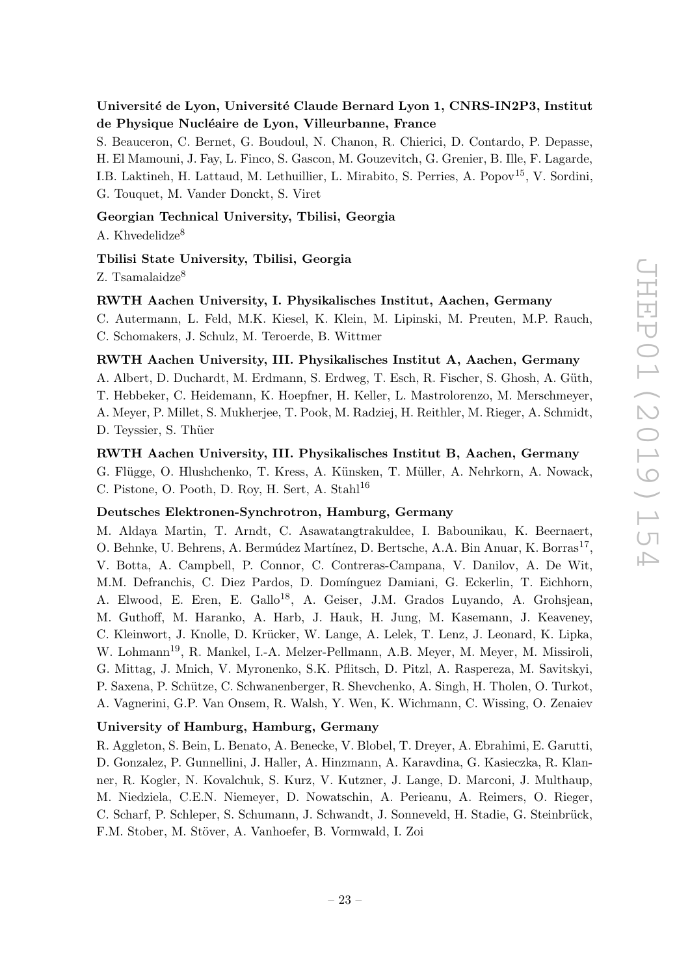## Université de Lyon, Université Claude Bernard Lyon 1, CNRS-IN2P3, Institut de Physique Nucléaire de Lyon, Villeurbanne, France

S. Beauceron, C. Bernet, G. Boudoul, N. Chanon, R. Chierici, D. Contardo, P. Depasse, H. El Mamouni, J. Fay, L. Finco, S. Gascon, M. Gouzevitch, G. Grenier, B. Ille, F. Lagarde, I.B. Laktineh, H. Lattaud, M. Lethuillier, L. Mirabito, S. Perries, A. Popov<sup>15</sup>, V. Sordini. G. Touquet, M. Vander Donckt, S. Viret

## Georgian Technical University, Tbilisi, Georgia

A. Khvedelidze<sup>8</sup>

## Tbilisi State University, Tbilisi, Georgia

Z. Tsamalaidze<sup>8</sup>

### RWTH Aachen University, I. Physikalisches Institut, Aachen, Germany

C. Autermann, L. Feld, M.K. Kiesel, K. Klein, M. Lipinski, M. Preuten, M.P. Rauch, C. Schomakers, J. Schulz, M. Teroerde, B. Wittmer

## RWTH Aachen University, III. Physikalisches Institut A, Aachen, Germany

A. Albert, D. Duchardt, M. Erdmann, S. Erdweg, T. Esch, R. Fischer, S. Ghosh, A. Güth, T. Hebbeker, C. Heidemann, K. Hoepfner, H. Keller, L. Mastrolorenzo, M. Merschmeyer, A. Meyer, P. Millet, S. Mukherjee, T. Pook, M. Radziej, H. Reithler, M. Rieger, A. Schmidt, D. Teyssier, S. Thüer

## RWTH Aachen University, III. Physikalisches Institut B, Aachen, Germany

G. Flügge, O. Hlushchenko, T. Kress, A. Künsken, T. Müller, A. Nehrkorn, A. Nowack, C. Pistone, O. Pooth, D. Roy, H. Sert, A. Stahl<sup>16</sup>

## Deutsches Elektronen-Synchrotron, Hamburg, Germany

M. Aldaya Martin, T. Arndt, C. Asawatangtrakuldee, I. Babounikau, K. Beernaert, O. Behnke, U. Behrens, A. Bermúdez Martínez, D. Bertsche, A.A. Bin Anuar, K. Borras<sup>17</sup>, V. Botta, A. Campbell, P. Connor, C. Contreras-Campana, V. Danilov, A. De Wit, M.M. Defranchis, C. Diez Pardos, D. Dom´ınguez Damiani, G. Eckerlin, T. Eichhorn, A. Elwood, E. Eren, E. Gallo<sup>18</sup>, A. Geiser, J.M. Grados Luyando, A. Grohsjean, M. Guthoff, M. Haranko, A. Harb, J. Hauk, H. Jung, M. Kasemann, J. Keaveney, C. Kleinwort, J. Knolle, D. Krücker, W. Lange, A. Lelek, T. Lenz, J. Leonard, K. Lipka, W. Lohmann<sup>19</sup>, R. Mankel, I.-A. Melzer-Pellmann, A.B. Meyer, M. Meyer, M. Missiroli, G. Mittag, J. Mnich, V. Myronenko, S.K. Pflitsch, D. Pitzl, A. Raspereza, M. Savitskyi, P. Saxena, P. Schütze, C. Schwanenberger, R. Shevchenko, A. Singh, H. Tholen, O. Turkot, A. Vagnerini, G.P. Van Onsem, R. Walsh, Y. Wen, K. Wichmann, C. Wissing, O. Zenaiev

### University of Hamburg, Hamburg, Germany

R. Aggleton, S. Bein, L. Benato, A. Benecke, V. Blobel, T. Dreyer, A. Ebrahimi, E. Garutti, D. Gonzalez, P. Gunnellini, J. Haller, A. Hinzmann, A. Karavdina, G. Kasieczka, R. Klanner, R. Kogler, N. Kovalchuk, S. Kurz, V. Kutzner, J. Lange, D. Marconi, J. Multhaup, M. Niedziela, C.E.N. Niemeyer, D. Nowatschin, A. Perieanu, A. Reimers, O. Rieger, C. Scharf, P. Schleper, S. Schumann, J. Schwandt, J. Sonneveld, H. Stadie, G. Steinbrück, F.M. Stober, M. Stöver, A. Vanhoefer, B. Vormwald, I. Zoi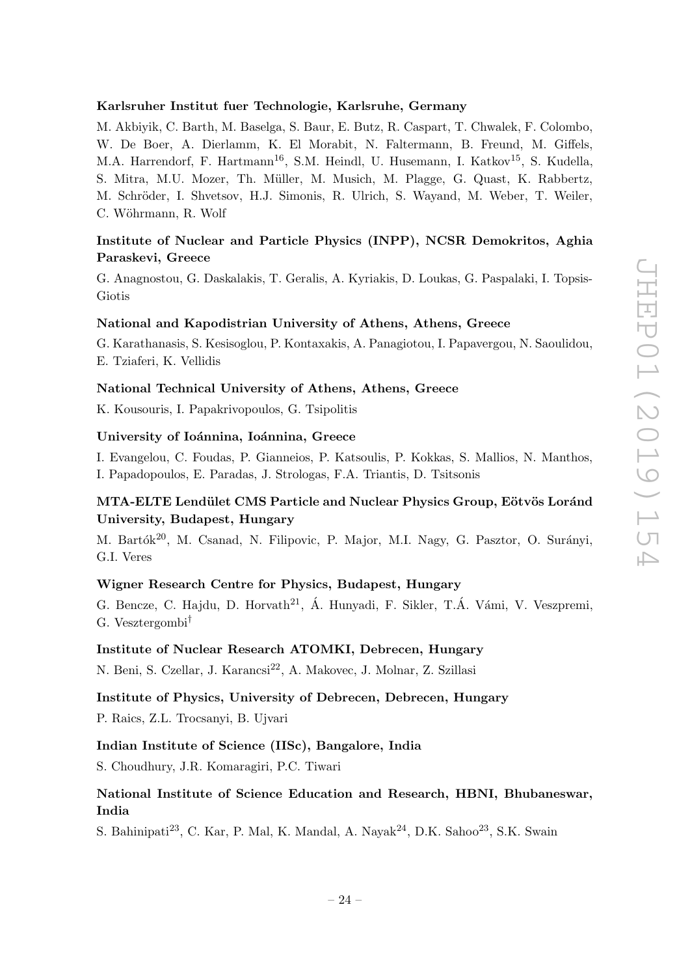### Karlsruher Institut fuer Technologie, Karlsruhe, Germany

M. Akbiyik, C. Barth, M. Baselga, S. Baur, E. Butz, R. Caspart, T. Chwalek, F. Colombo, W. De Boer, A. Dierlamm, K. El Morabit, N. Faltermann, B. Freund, M. Giffels, M.A. Harrendorf, F. Hartmann<sup>16</sup>, S.M. Heindl, U. Husemann, I. Katkov<sup>15</sup>, S. Kudella, S. Mitra, M.U. Mozer, Th. Müller, M. Musich, M. Plagge, G. Quast, K. Rabbertz, M. Schröder, I. Shvetsov, H.J. Simonis, R. Ulrich, S. Wayand, M. Weber, T. Weiler, C. Wöhrmann, R. Wolf

## Institute of Nuclear and Particle Physics (INPP), NCSR Demokritos, Aghia Paraskevi, Greece

G. Anagnostou, G. Daskalakis, T. Geralis, A. Kyriakis, D. Loukas, G. Paspalaki, I. Topsis-Giotis

### National and Kapodistrian University of Athens, Athens, Greece

G. Karathanasis, S. Kesisoglou, P. Kontaxakis, A. Panagiotou, I. Papavergou, N. Saoulidou, E. Tziaferi, K. Vellidis

### National Technical University of Athens, Athens, Greece

K. Kousouris, I. Papakrivopoulos, G. Tsipolitis

### University of Ioánnina, Ioánnina, Greece

I. Evangelou, C. Foudas, P. Gianneios, P. Katsoulis, P. Kokkas, S. Mallios, N. Manthos, I. Papadopoulos, E. Paradas, J. Strologas, F.A. Triantis, D. Tsitsonis

## MTA-ELTE Lendület CMS Particle and Nuclear Physics Group, Eötvös Loránd University, Budapest, Hungary

M. Bartók<sup>20</sup>, M. Csanad, N. Filipovic, P. Major, M.I. Nagy, G. Pasztor, O. Surányi, G.I. Veres

### Wigner Research Centre for Physics, Budapest, Hungary

G. Bencze, C. Hajdu, D. Horvath<sup>21</sup>, Á. Hunyadi, F. Sikler, T.Á. Vámi, V. Veszpremi, G. Vesztergombi†

#### Institute of Nuclear Research ATOMKI, Debrecen, Hungary

N. Beni, S. Czellar, J. Karancsi<sup>22</sup>, A. Makovec, J. Molnar, Z. Szillasi

### Institute of Physics, University of Debrecen, Debrecen, Hungary

P. Raics, Z.L. Trocsanyi, B. Ujvari

### Indian Institute of Science (IISc), Bangalore, India

S. Choudhury, J.R. Komaragiri, P.C. Tiwari

## National Institute of Science Education and Research, HBNI, Bhubaneswar, India

S. Bahinipati<sup>23</sup>, C. Kar, P. Mal, K. Mandal, A. Nayak<sup>24</sup>, D.K. Sahoo<sup>23</sup>, S.K. Swain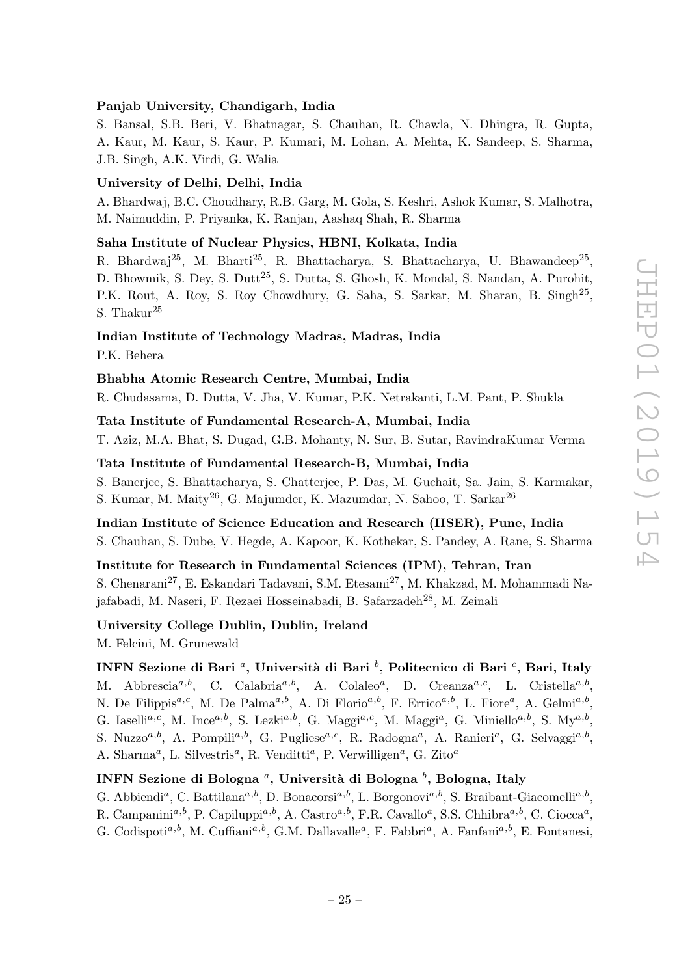## Panjab University, Chandigarh, India

S. Bansal, S.B. Beri, V. Bhatnagar, S. Chauhan, R. Chawla, N. Dhingra, R. Gupta, A. Kaur, M. Kaur, S. Kaur, P. Kumari, M. Lohan, A. Mehta, K. Sandeep, S. Sharma, J.B. Singh, A.K. Virdi, G. Walia

### University of Delhi, Delhi, India

A. Bhardwaj, B.C. Choudhary, R.B. Garg, M. Gola, S. Keshri, Ashok Kumar, S. Malhotra, M. Naimuddin, P. Priyanka, K. Ranjan, Aashaq Shah, R. Sharma

### Saha Institute of Nuclear Physics, HBNI, Kolkata, India

R. Bhardwaj<sup>25</sup>, M. Bharti<sup>25</sup>, R. Bhattacharya, S. Bhattacharya, U. Bhawandeep<sup>25</sup>, D. Bhowmik, S. Dey, S. Dutt<sup>25</sup>, S. Dutta, S. Ghosh, K. Mondal, S. Nandan, A. Purohit, P.K. Rout, A. Roy, S. Roy Chowdhury, G. Saha, S. Sarkar, M. Sharan, B. Singh<sup>25</sup>, S. Thakur $^{25}$ 

## Indian Institute of Technology Madras, Madras, India

P.K. Behera

#### Bhabha Atomic Research Centre, Mumbai, India

R. Chudasama, D. Dutta, V. Jha, V. Kumar, P.K. Netrakanti, L.M. Pant, P. Shukla

#### Tata Institute of Fundamental Research-A, Mumbai, India

T. Aziz, M.A. Bhat, S. Dugad, G.B. Mohanty, N. Sur, B. Sutar, RavindraKumar Verma

### Tata Institute of Fundamental Research-B, Mumbai, India

S. Banerjee, S. Bhattacharya, S. Chatterjee, P. Das, M. Guchait, Sa. Jain, S. Karmakar, S. Kumar, M. Maity<sup>26</sup>, G. Majumder, K. Mazumdar, N. Sahoo, T. Sarkar<sup>26</sup>

## Indian Institute of Science Education and Research (IISER), Pune, India S. Chauhan, S. Dube, V. Hegde, A. Kapoor, K. Kothekar, S. Pandey, A. Rane, S. Sharma

## Institute for Research in Fundamental Sciences (IPM), Tehran, Iran

S. Chenarani27, E. Eskandari Tadavani, S.M. Etesami27, M. Khakzad, M. Mohammadi Najafabadi, M. Naseri, F. Rezaei Hosseinabadi, B. Safarzadeh<sup>28</sup>, M. Zeinali

## University College Dublin, Dublin, Ireland

M. Felcini, M. Grunewald

## INFN Sezione di Bari <sup>a</sup>, Università di Bari  $^b$ , Politecnico di Bari  $^c$ , Bari, Italy M. Abbrescia<sup>a,b</sup>, C. Calabria<sup>a,b</sup>, A. Colaleo<sup>a</sup>, D. Creanza<sup>a,c</sup>, L. Cristella<sup>a,b</sup>, N. De Filippis<sup>a,c</sup>, M. De Palma<sup>a,b</sup>, A. Di Florio<sup>a,b</sup>, F. Errico<sup>a,b</sup>, L. Fiore<sup>a</sup>, A. Gelmi<sup>a,b</sup>, G. Iaselli<sup>a,c</sup>, M. Ince<sup>a,b</sup>, S. Lezki<sup>a,b</sup>, G. Maggi<sup>a,c</sup>, M. Maggi<sup>a</sup>, G. Miniello<sup>a,b</sup>, S. My<sup>a,b</sup>, S. Nuzzo<sup>a,b</sup>, A. Pompili<sup>a,b</sup>, G. Pugliese<sup>a,c</sup>, R. Radogna<sup>a</sup>, A. Ranieri<sup>a</sup>, G. Selvaggi<sup>a,b</sup>, A. Sharma<sup>a</sup>, L. Silvestris<sup>a</sup>, R. Venditti<sup>a</sup>, P. Verwilligen<sup>a</sup>, G. Zito<sup>a</sup>

## INFN Sezione di Bologna  $^a,$  Università di Bologna  $^b,$  Bologna, Italy

G. Abbiendi<sup>a</sup>, C. Battilana<sup>a,b</sup>, D. Bonacorsi<sup>a,b</sup>, L. Borgonovi<sup>a,b</sup>, S. Braibant-Giacomelli<sup>a,b</sup>,

R. Campanini<sup>a,b</sup>, P. Capiluppi<sup>a,b</sup>, A. Castro<sup>a,b</sup>, F.R. Cavallo<sup>a</sup>, S.S. Chhibra<sup>a,b</sup>, C. Ciocca<sup>a</sup>,

G. Codispoti<sup>a,b</sup>, M. Cuffiani<sup>a,b</sup>, G.M. Dallavalle<sup>a</sup>, F. Fabbri<sup>a</sup>, A. Fanfani<sup>a,b</sup>, E. Fontanesi,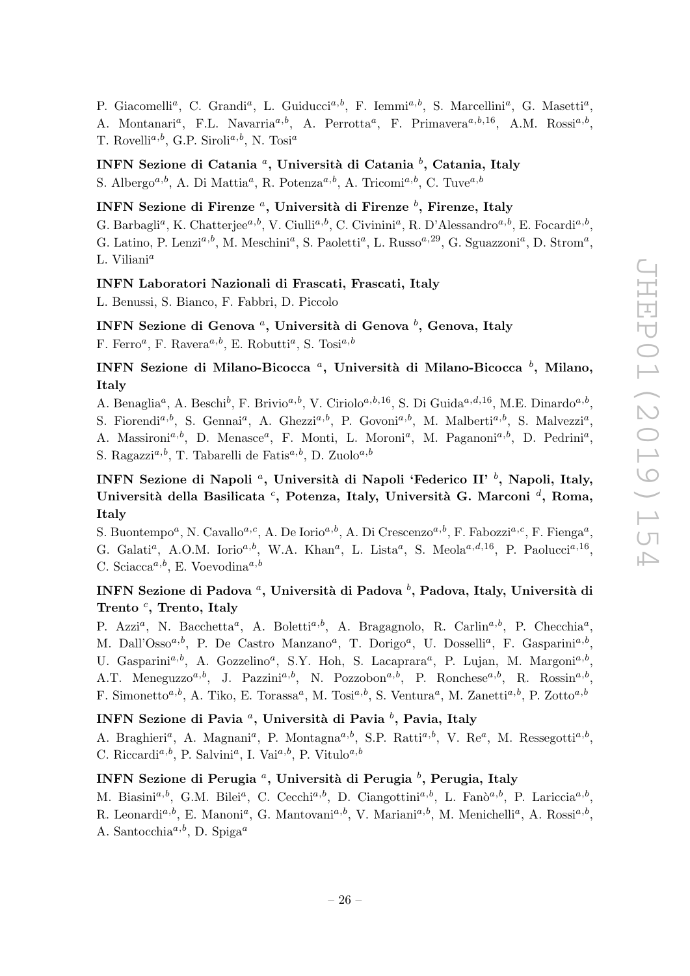P. Giacomelli<sup>a</sup>, C. Grandi<sup>a</sup>, L. Guiducci<sup>a,b</sup>, F. Iemmi<sup>a,b</sup>, S. Marcellini<sup>a</sup>, G. Masetti<sup>a</sup>, A. Montanari<sup>a</sup>, F.L. Navarria<sup>a,b</sup>, A. Perrotta<sup>a</sup>, F. Primavera<sup>a,b,16</sup>, A.M. Rossi<sup>a,b</sup>, T. Rovelli<sup>a,b</sup>, G.P. Siroli<sup>a,b</sup>, N. Tosi<sup>a</sup>

INFN Sezione di Catania <sup>a</sup>, Università di Catania  $^b,$  Catania, Italy

S. Albergo<sup>a,b</sup>, A. Di Mattia<sup>a</sup>, R. Potenza<sup>a,b</sup>, A. Tricomi<sup>a,b</sup>, C. Tuve<sup>a,b</sup>

## INFN Sezione di Firenze <sup>a</sup>, Università di Firenze  $^b$ , Firenze, Italy

G. Barbagli<sup>a</sup>, K. Chatterjee<sup>a,b</sup>, V. Ciulli<sup>a,b</sup>, C. Civinini<sup>a</sup>, R. D'Alessandro<sup>a,b</sup>, E. Focardi<sup>a,b</sup>, G. Latino, P. Lenzi<sup>a,b</sup>, M. Meschini<sup>a</sup>, S. Paoletti<sup>a</sup>, L. Russo<sup>a, 29</sup>, G. Sguazzoni<sup>a</sup>, D. Strom<sup>a</sup>, L. Viliani $^a$ 

## INFN Laboratori Nazionali di Frascati, Frascati, Italy

L. Benussi, S. Bianco, F. Fabbri, D. Piccolo

INFN Sezione di Genova <sup>a</sup>, Università di Genova  $^b,$  Genova, Italy

F. Ferro<sup>a</sup>, F. Ravera<sup>a,b</sup>, E. Robutti<sup>a</sup>, S. Tosi<sup>a,b</sup>

## INFN Sezione di Milano-Bicocca <sup>a</sup>, Università di Milano-Bicocca <sup>b</sup>, Milano, Italy

A. Benaglia<sup>a</sup>, A. Beschi<sup>b</sup>, F. Brivio<sup>a,b</sup>, V. Ciriolo<sup>a,b,16</sup>, S. Di Guida<sup>a,d,16</sup>, M.E. Dinardo<sup>a,b</sup>, S. Fiorendi<sup>a,b</sup>, S. Gennai<sup>a</sup>, A. Ghezzi<sup>a,b</sup>, P. Govoni<sup>a,b</sup>, M. Malberti<sup>a,b</sup>, S. Malvezzi<sup>a</sup>, A. Massironi<sup>a,b</sup>, D. Menasce<sup>a</sup>, F. Monti, L. Moroni<sup>a</sup>, M. Paganoni<sup>a,b</sup>, D. Pedrini<sup>a</sup>, S. Ragazzi<sup>a,b</sup>, T. Tabarelli de Fatis<sup>a,b</sup>, D. Zuolo<sup>a,b</sup>

## INFN Sezione di Napoli <sup>a</sup>, Università di Napoli 'Federico II'  $^b$ , Napoli, Italy, Università della Basilicata  $^c$ , Potenza, Italy, Università G. Marconi  $^d$ , Roma, Italy

S. Buontempo<sup>a</sup>, N. Cavallo<sup>a,c</sup>, A. De Iorio<sup>a,b</sup>, A. Di Crescenzo<sup>a,b</sup>, F. Fabozzi<sup>a,c</sup>, F. Fienga<sup>a</sup>, G. Galati<sup>a</sup>, A.O.M. Iorio<sup>a,b</sup>, W.A. Khan<sup>a</sup>, L. Lista<sup>a</sup>, S. Meola<sup>a,d,16</sup>, P. Paolucci<sup>a,16</sup>, C. Sciacca<sup>a,b</sup>, E. Voevodina<sup>a,b</sup>

## INFN Sezione di Padova <sup>a</sup>, Università di Padova  $^b$ , Padova, Italy, Università di  $Trento<sup>c</sup>$ , Trento, Italy

P. Azzi<sup>a</sup>, N. Bacchetta<sup>a</sup>, A. Boletti<sup>a,b</sup>, A. Bragagnolo, R. Carlin<sup>a,b</sup>, P. Checchia<sup>a</sup>, M. Dall'Osso<sup>a,b</sup>, P. De Castro Manzano<sup>a</sup>, T. Dorigo<sup>a</sup>, U. Dosselli<sup>a</sup>, F. Gasparini<sup>a,b</sup>, U. Gasparini<sup>a,b</sup>, A. Gozzelino<sup>a</sup>, S.Y. Hoh, S. Lacaprara<sup>a</sup>, P. Lujan, M. Margoni<sup>a,b</sup>, A.T. Meneguzzo<sup>a,b</sup>, J. Pazzini<sup>a,b</sup>, N. Pozzobon<sup>a,b</sup>, P. Ronchese<sup>a,b</sup>, R. Rossin<sup>a,b</sup>, F. Simonetto<sup>a,b</sup>, A. Tiko, E. Torassa<sup>a</sup>, M. Tosi<sup>a,b</sup>, S. Ventura<sup>a</sup>, M. Zanetti<sup>a,b</sup>, P. Zotto<sup>a,b</sup>

## INFN Sezione di Pavia  $^a,$  Università di Pavia  $^b,$  Pavia, Italy

A. Braghieri<sup>a</sup>, A. Magnani<sup>a</sup>, P. Montagna<sup>a,b</sup>, S.P. Ratti<sup>a,b</sup>, V. Re<sup>a</sup>, M. Ressegotti<sup>a,b</sup>, C. Riccardi<sup>a,b</sup>, P. Salvini<sup>a</sup>, I. Vai<sup>a,b</sup>, P. Vitulo<sup>a,b</sup>

## INFN Sezione di Perugia <sup>a</sup>, Università di Perugia  $^b$ , Perugia, Italy

M. Biasini<sup>a,b</sup>, G.M. Bilei<sup>a</sup>, C. Cecchi<sup>a,b</sup>, D. Ciangottini<sup>a,b</sup>, L. Fanò<sup>a,b</sup>, P. Lariccia<sup>a,b</sup>, R. Leonardi<sup>a, b</sup>, E. Manoni<sup>a</sup>, G. Mantovani<sup>a, b</sup>, V. Mariani<sup>a, b</sup>, M. Menichelli<sup>a</sup>, A. Rossi<sup>a, b</sup>, A. Santocchia<sup>a,b</sup>, D. Spiga<sup>a</sup>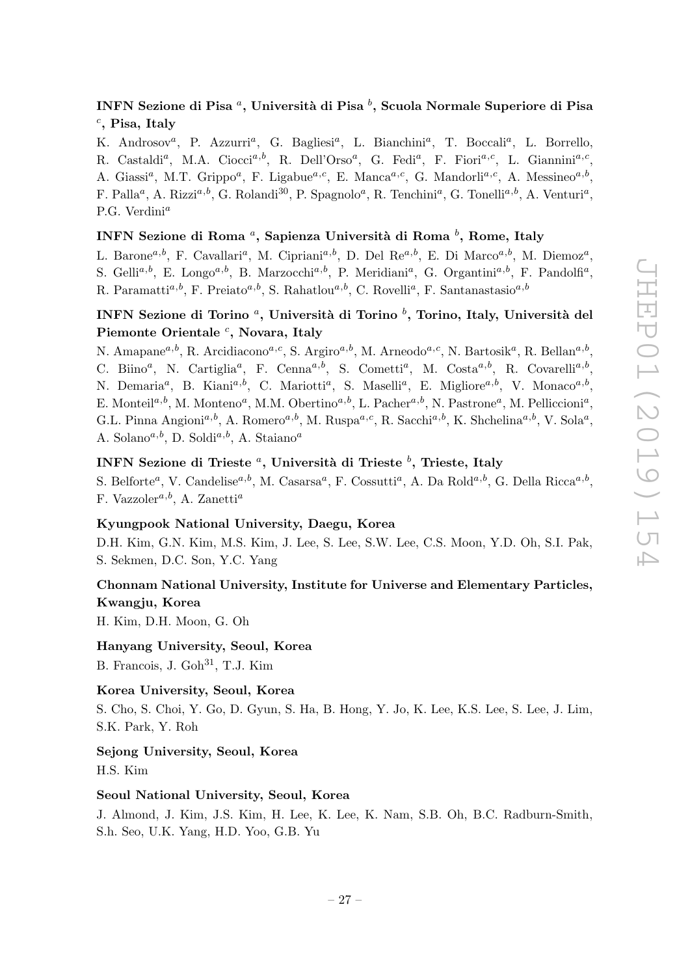## INFN Sezione di Pisa  ${}^a,$  Università di Pisa  ${}^b,$  Scuola Normale Superiore di Pisa  $c$ , Pisa, Italy

K. Androsov<sup>a</sup>, P. Azzurri<sup>a</sup>, G. Bagliesi<sup>a</sup>, L. Bianchini<sup>a</sup>, T. Boccali<sup>a</sup>, L. Borrello, R. Castaldi<sup>a</sup>, M.A. Ciocci<sup>a,b</sup>, R. Dell'Orso<sup>a</sup>, G. Fedi<sup>a</sup>, F. Fiori<sup>a,c</sup>, L. Giannini<sup>a,c</sup>, A. Giassi<sup>a</sup>, M.T. Grippo<sup>a</sup>, F. Ligabue<sup>a,c</sup>, E. Manca<sup>a,c</sup>, G. Mandorli<sup>a,c</sup>, A. Messineo<sup>a,b</sup>, F. Palla<sup>a</sup>, A. Rizzi<sup>a,b</sup>, G. Rolandi<sup>30</sup>, P. Spagnolo<sup>a</sup>, R. Tenchini<sup>a</sup>, G. Tonelli<sup>a,b</sup>, A. Venturi<sup>a</sup>, P.G. Verdini $^a$ 

## INFN Sezione di Roma <sup>a</sup>, Sapienza Università di Roma  $^b$ , Rome, Italy

L. Barone<sup>a,b</sup>, F. Cavallari<sup>a</sup>, M. Cipriani<sup>a,b</sup>, D. Del Re<sup>a,b</sup>, E. Di Marco<sup>a,b</sup>, M. Diemoz<sup>a</sup>, S. Gelli<sup>a,b</sup>, E. Longo<sup>a,b</sup>, B. Marzocchi<sup>a,b</sup>, P. Meridiani<sup>a</sup>, G. Organtini<sup>a,b</sup>, F. Pandolfi<sup>a</sup>, R. Paramatti<sup>a,b</sup>, F. Preiato<sup>a,b</sup>, S. Rahatlou<sup>a,b</sup>, C. Rovelli<sup>a</sup>, F. Santanastasio<sup>a,b</sup>

## INFN Sezione di Torino <sup>a</sup>, Università di Torino <sup>b</sup>, Torino, Italy, Università del Piemonte Orientale  $^c$ , Novara, Italy

N. Amapane $^{a,b}$ , R. Arcidiacono $^{a,c}$ , S. Argiro $^{a,b}$ , M. Arneodo $^{a,c}$ , N. Bartosik $^a$ , R. Bellan $^{a,b}$ , C. Biino<sup>a</sup>, N. Cartiglia<sup>a</sup>, F. Cenna<sup>a,b</sup>, S. Cometti<sup>a</sup>, M. Costa<sup>a,b</sup>, R. Covarelli<sup>a,b</sup>, N. Demaria<sup>a</sup>, B. Kiani<sup>a,b</sup>, C. Mariotti<sup>a</sup>, S. Maselli<sup>a</sup>, E. Migliore<sup>a,b</sup>, V. Monaco<sup>a,b</sup>, E. Monteil<sup>a,b</sup>, M. Monteno<sup>a</sup>, M.M. Obertino<sup>a,b</sup>, L. Pacher<sup>a,b</sup>, N. Pastrone<sup>a</sup>, M. Pelliccioni<sup>a</sup>, G.L. Pinna Angioni<sup>a, b</sup>, A. Romero<sup>a, b</sup>, M. Ruspa<sup>a, c</sup>, R. Sacchi<sup>a, b</sup>, K. Shchelina<sup>a, b</sup>, V. Sola<sup>a</sup>, A. Solano<sup>a,b</sup>, D. Soldi<sup>a,b</sup>, A. Staiano<sup>a</sup>

## INFN Sezione di Trieste <sup>a</sup>, Università di Trieste  $^b$ , Trieste, Italy

S. Belforte<sup>a</sup>, V. Candelise<sup>a,b</sup>, M. Casarsa<sup>a</sup>, F. Cossutti<sup>a</sup>, A. Da Rold<sup>a,b</sup>, G. Della Ricca<sup>a,b</sup>, F. Vazzoler<sup>a,b</sup>, A. Zanetti<sup>a</sup>

## Kyungpook National University, Daegu, Korea

D.H. Kim, G.N. Kim, M.S. Kim, J. Lee, S. Lee, S.W. Lee, C.S. Moon, Y.D. Oh, S.I. Pak, S. Sekmen, D.C. Son, Y.C. Yang

## Chonnam National University, Institute for Universe and Elementary Particles, Kwangju, Korea

H. Kim, D.H. Moon, G. Oh

## Hanyang University, Seoul, Korea

B. Francois, J. Goh<sup>31</sup>, T.J. Kim

## Korea University, Seoul, Korea

S. Cho, S. Choi, Y. Go, D. Gyun, S. Ha, B. Hong, Y. Jo, K. Lee, K.S. Lee, S. Lee, J. Lim, S.K. Park, Y. Roh

Sejong University, Seoul, Korea H.S. Kim

### Seoul National University, Seoul, Korea

J. Almond, J. Kim, J.S. Kim, H. Lee, K. Lee, K. Nam, S.B. Oh, B.C. Radburn-Smith, S.h. Seo, U.K. Yang, H.D. Yoo, G.B. Yu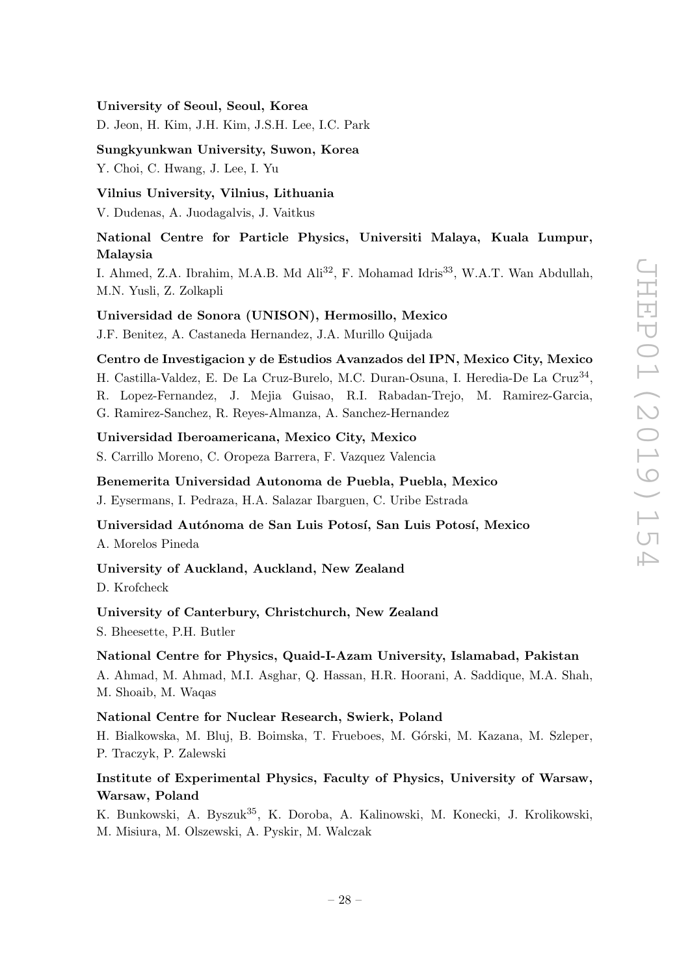### University of Seoul, Seoul, Korea

D. Jeon, H. Kim, J.H. Kim, J.S.H. Lee, I.C. Park

Sungkyunkwan University, Suwon, Korea Y. Choi, C. Hwang, J. Lee, I. Yu

Vilnius University, Vilnius, Lithuania

V. Dudenas, A. Juodagalvis, J. Vaitkus

## National Centre for Particle Physics, Universiti Malaya, Kuala Lumpur, Malaysia

I. Ahmed, Z.A. Ibrahim, M.A.B. Md Ali<sup>32</sup>, F. Mohamad Idris<sup>33</sup>, W.A.T. Wan Abdullah, M.N. Yusli, Z. Zolkapli

## Universidad de Sonora (UNISON), Hermosillo, Mexico

J.F. Benitez, A. Castaneda Hernandez, J.A. Murillo Quijada

## Centro de Investigacion y de Estudios Avanzados del IPN, Mexico City, Mexico H. Castilla-Valdez, E. De La Cruz-Burelo, M.C. Duran-Osuna, I. Heredia-De La Cruz<sup>34</sup>, R. Lopez-Fernandez, J. Mejia Guisao, R.I. Rabadan-Trejo, M. Ramirez-Garcia, G. Ramirez-Sanchez, R. Reyes-Almanza, A. Sanchez-Hernandez

#### Universidad Iberoamericana, Mexico City, Mexico

S. Carrillo Moreno, C. Oropeza Barrera, F. Vazquez Valencia

## Benemerita Universidad Autonoma de Puebla, Puebla, Mexico J. Eysermans, I. Pedraza, H.A. Salazar Ibarguen, C. Uribe Estrada

## Universidad Autónoma de San Luis Potosí, San Luis Potosí, Mexico A. Morelos Pineda

## University of Auckland, Auckland, New Zealand

D. Krofcheck

### University of Canterbury, Christchurch, New Zealand

S. Bheesette, P.H. Butler

#### National Centre for Physics, Quaid-I-Azam University, Islamabad, Pakistan

A. Ahmad, M. Ahmad, M.I. Asghar, Q. Hassan, H.R. Hoorani, A. Saddique, M.A. Shah, M. Shoaib, M. Waqas

## National Centre for Nuclear Research, Swierk, Poland

H. Bialkowska, M. Bluj, B. Boimska, T. Frueboes, M. Górski, M. Kazana, M. Szleper, P. Traczyk, P. Zalewski

## Institute of Experimental Physics, Faculty of Physics, University of Warsaw, Warsaw, Poland

K. Bunkowski, A. Byszuk35, K. Doroba, A. Kalinowski, M. Konecki, J. Krolikowski, M. Misiura, M. Olszewski, A. Pyskir, M. Walczak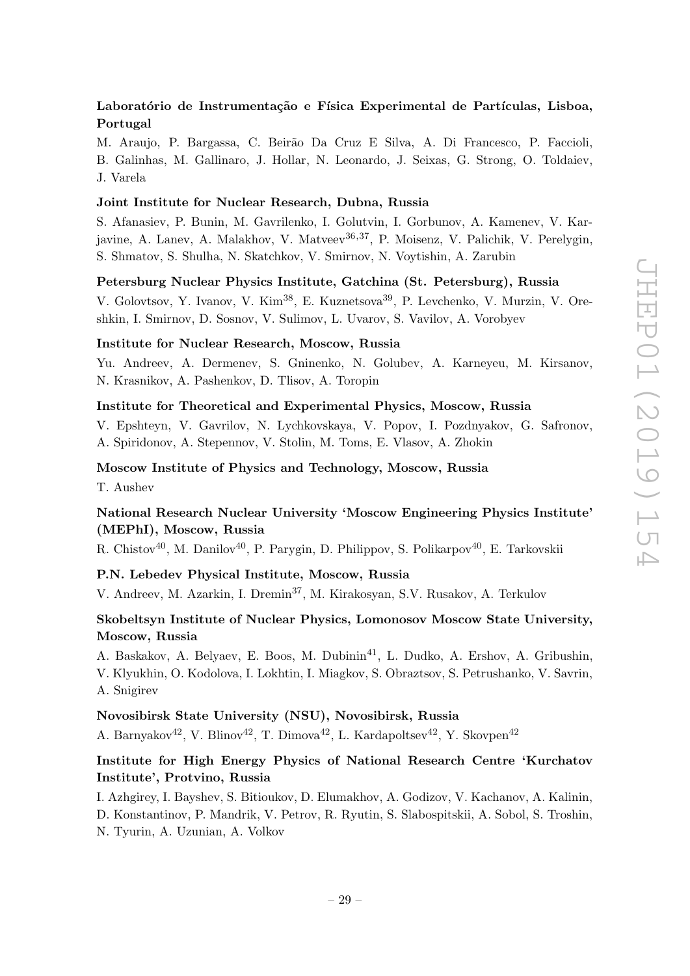## Laboratório de Instrumentação e Física Experimental de Partículas, Lisboa, Portugal

M. Araujo, P. Bargassa, C. Beirão Da Cruz E Silva, A. Di Francesco, P. Faccioli, B. Galinhas, M. Gallinaro, J. Hollar, N. Leonardo, J. Seixas, G. Strong, O. Toldaiev, J. Varela

## Joint Institute for Nuclear Research, Dubna, Russia

S. Afanasiev, P. Bunin, M. Gavrilenko, I. Golutvin, I. Gorbunov, A. Kamenev, V. Karjavine, A. Lanev, A. Malakhov, V. Matveev<sup>36,37</sup>, P. Moisenz, V. Palichik, V. Perelygin, S. Shmatov, S. Shulha, N. Skatchkov, V. Smirnov, N. Voytishin, A. Zarubin

### Petersburg Nuclear Physics Institute, Gatchina (St. Petersburg), Russia

V. Golovtsov, Y. Ivanov, V. Kim38, E. Kuznetsova39, P. Levchenko, V. Murzin, V. Oreshkin, I. Smirnov, D. Sosnov, V. Sulimov, L. Uvarov, S. Vavilov, A. Vorobyev

### Institute for Nuclear Research, Moscow, Russia

Yu. Andreev, A. Dermenev, S. Gninenko, N. Golubev, A. Karneyeu, M. Kirsanov, N. Krasnikov, A. Pashenkov, D. Tlisov, A. Toropin

#### Institute for Theoretical and Experimental Physics, Moscow, Russia

V. Epshteyn, V. Gavrilov, N. Lychkovskaya, V. Popov, I. Pozdnyakov, G. Safronov, A. Spiridonov, A. Stepennov, V. Stolin, M. Toms, E. Vlasov, A. Zhokin

### Moscow Institute of Physics and Technology, Moscow, Russia

T. Aushev

## National Research Nuclear University 'Moscow Engineering Physics Institute' (MEPhI), Moscow, Russia

R. Chistov<sup>40</sup>, M. Danilov<sup>40</sup>, P. Parygin, D. Philippov, S. Polikarpov<sup>40</sup>, E. Tarkovskii

## P.N. Lebedev Physical Institute, Moscow, Russia

V. Andreev, M. Azarkin, I. Dremin37, M. Kirakosyan, S.V. Rusakov, A. Terkulov

## Skobeltsyn Institute of Nuclear Physics, Lomonosov Moscow State University, Moscow, Russia

A. Baskakov, A. Belyaev, E. Boos, M. Dubinin<sup>41</sup>, L. Dudko, A. Ershov, A. Gribushin, V. Klyukhin, O. Kodolova, I. Lokhtin, I. Miagkov, S. Obraztsov, S. Petrushanko, V. Savrin, A. Snigirev

## Novosibirsk State University (NSU), Novosibirsk, Russia

A. Barnyakov<sup>42</sup>, V. Blinov<sup>42</sup>, T. Dimova<sup>42</sup>, L. Kardapoltsev<sup>42</sup>, Y. Skovpen<sup>42</sup>

## Institute for High Energy Physics of National Research Centre 'Kurchatov Institute', Protvino, Russia

I. Azhgirey, I. Bayshev, S. Bitioukov, D. Elumakhov, A. Godizov, V. Kachanov, A. Kalinin, D. Konstantinov, P. Mandrik, V. Petrov, R. Ryutin, S. Slabospitskii, A. Sobol, S. Troshin, N. Tyurin, A. Uzunian, A. Volkov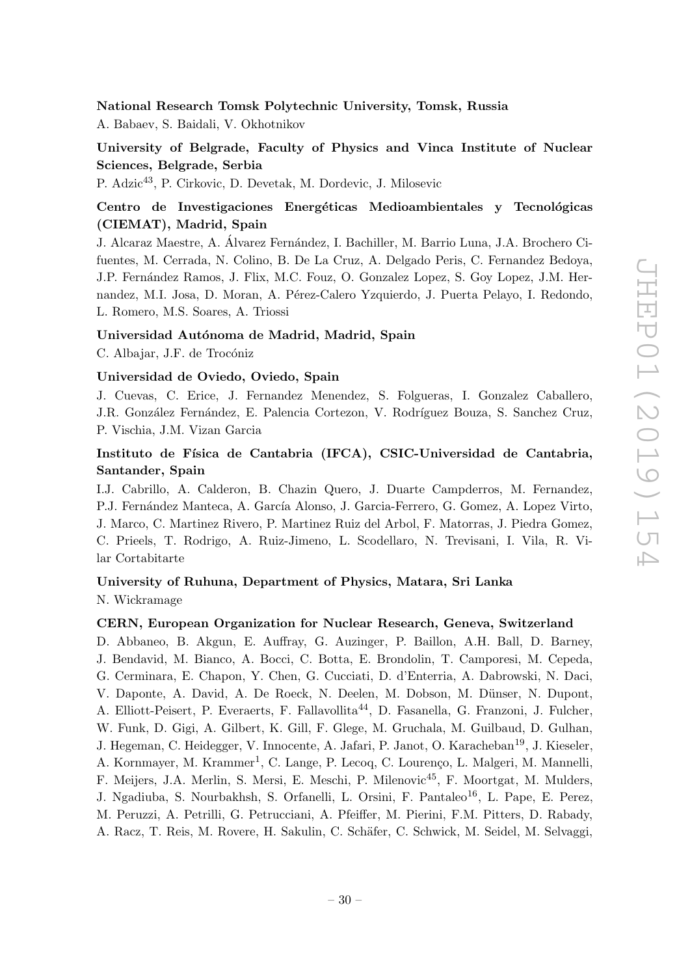#### National Research Tomsk Polytechnic University, Tomsk, Russia

A. Babaev, S. Baidali, V. Okhotnikov

## University of Belgrade, Faculty of Physics and Vinca Institute of Nuclear Sciences, Belgrade, Serbia

P. Adzic43, P. Cirkovic, D. Devetak, M. Dordevic, J. Milosevic

## Centro de Investigaciones Energéticas Medioambientales y Tecnológicas (CIEMAT), Madrid, Spain

J. Alcaraz Maestre, A. Álvarez Fernández, I. Bachiller, M. Barrio Luna, J.A. Brochero Cifuentes, M. Cerrada, N. Colino, B. De La Cruz, A. Delgado Peris, C. Fernandez Bedoya, J.P. Fern´andez Ramos, J. Flix, M.C. Fouz, O. Gonzalez Lopez, S. Goy Lopez, J.M. Hernandez, M.I. Josa, D. Moran, A. Pérez-Calero Yzquierdo, J. Puerta Pelayo, I. Redondo, L. Romero, M.S. Soares, A. Triossi

### Universidad Autónoma de Madrid, Madrid, Spain

C. Albajar, J.F. de Trocóniz

## Universidad de Oviedo, Oviedo, Spain

J. Cuevas, C. Erice, J. Fernandez Menendez, S. Folgueras, I. Gonzalez Caballero, J.R. González Fernández, E. Palencia Cortezon, V. Rodríguez Bouza, S. Sanchez Cruz, P. Vischia, J.M. Vizan Garcia

## Instituto de Física de Cantabria (IFCA), CSIC-Universidad de Cantabria, Santander, Spain

I.J. Cabrillo, A. Calderon, B. Chazin Quero, J. Duarte Campderros, M. Fernandez, P.J. Fernández Manteca, A. García Alonso, J. Garcia-Ferrero, G. Gomez, A. Lopez Virto, J. Marco, C. Martinez Rivero, P. Martinez Ruiz del Arbol, F. Matorras, J. Piedra Gomez, C. Prieels, T. Rodrigo, A. Ruiz-Jimeno, L. Scodellaro, N. Trevisani, I. Vila, R. Vilar Cortabitarte

University of Ruhuna, Department of Physics, Matara, Sri Lanka N. Wickramage

#### CERN, European Organization for Nuclear Research, Geneva, Switzerland

D. Abbaneo, B. Akgun, E. Auffray, G. Auzinger, P. Baillon, A.H. Ball, D. Barney, J. Bendavid, M. Bianco, A. Bocci, C. Botta, E. Brondolin, T. Camporesi, M. Cepeda, G. Cerminara, E. Chapon, Y. Chen, G. Cucciati, D. d'Enterria, A. Dabrowski, N. Daci, V. Daponte, A. David, A. De Roeck, N. Deelen, M. Dobson, M. Dünser, N. Dupont, A. Elliott-Peisert, P. Everaerts, F. Fallavollita<sup>44</sup>, D. Fasanella, G. Franzoni, J. Fulcher, W. Funk, D. Gigi, A. Gilbert, K. Gill, F. Glege, M. Gruchala, M. Guilbaud, D. Gulhan, J. Hegeman, C. Heidegger, V. Innocente, A. Jafari, P. Janot, O. Karacheban<sup>19</sup>, J. Kieseler, A. Kornmayer, M. Krammer<sup>1</sup>, C. Lange, P. Lecoq, C. Lourenço, L. Malgeri, M. Mannelli, F. Meijers, J.A. Merlin, S. Mersi, E. Meschi, P. Milenovic<sup>45</sup>, F. Moortgat, M. Mulders, J. Ngadiuba, S. Nourbakhsh, S. Orfanelli, L. Orsini, F. Pantaleo<sup>16</sup>, L. Pape, E. Perez, M. Peruzzi, A. Petrilli, G. Petrucciani, A. Pfeiffer, M. Pierini, F.M. Pitters, D. Rabady, A. Racz, T. Reis, M. Rovere, H. Sakulin, C. Schäfer, C. Schwick, M. Seidel, M. Selvaggi,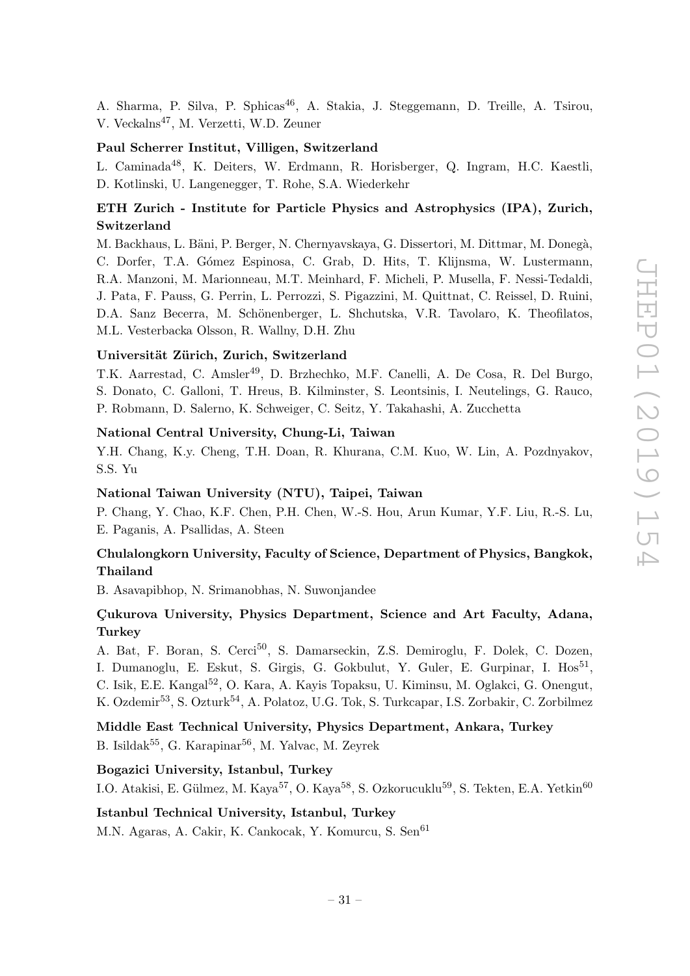A. Sharma, P. Silva, P. Sphicas<sup>46</sup>, A. Stakia, J. Steggemann, D. Treille, A. Tsirou, V. Veckalns47, M. Verzetti, W.D. Zeuner

## Paul Scherrer Institut, Villigen, Switzerland

L. Caminada48, K. Deiters, W. Erdmann, R. Horisberger, Q. Ingram, H.C. Kaestli, D. Kotlinski, U. Langenegger, T. Rohe, S.A. Wiederkehr

## ETH Zurich - Institute for Particle Physics and Astrophysics (IPA), Zurich, Switzerland

M. Backhaus, L. Bäni, P. Berger, N. Chernyavskaya, G. Dissertori, M. Dittmar, M. Donegà, C. Dorfer, T.A. G´omez Espinosa, C. Grab, D. Hits, T. Klijnsma, W. Lustermann, R.A. Manzoni, M. Marionneau, M.T. Meinhard, F. Micheli, P. Musella, F. Nessi-Tedaldi, J. Pata, F. Pauss, G. Perrin, L. Perrozzi, S. Pigazzini, M. Quittnat, C. Reissel, D. Ruini, D.A. Sanz Becerra, M. Schönenberger, L. Shchutska, V.R. Tavolaro, K. Theofilatos, M.L. Vesterbacka Olsson, R. Wallny, D.H. Zhu

### Universität Zürich, Zurich, Switzerland

T.K. Aarrestad, C. Amsler<sup>49</sup>, D. Brzhechko, M.F. Canelli, A. De Cosa, R. Del Burgo, S. Donato, C. Galloni, T. Hreus, B. Kilminster, S. Leontsinis, I. Neutelings, G. Rauco, P. Robmann, D. Salerno, K. Schweiger, C. Seitz, Y. Takahashi, A. Zucchetta

#### National Central University, Chung-Li, Taiwan

Y.H. Chang, K.y. Cheng, T.H. Doan, R. Khurana, C.M. Kuo, W. Lin, A. Pozdnyakov, S.S. Yu

## National Taiwan University (NTU), Taipei, Taiwan

P. Chang, Y. Chao, K.F. Chen, P.H. Chen, W.-S. Hou, Arun Kumar, Y.F. Liu, R.-S. Lu, E. Paganis, A. Psallidas, A. Steen

## Chulalongkorn University, Faculty of Science, Department of Physics, Bangkok, Thailand

B. Asavapibhop, N. Srimanobhas, N. Suwonjandee

## Cukurova University, Physics Department, Science and Art Faculty, Adana, **Turkey**

A. Bat, F. Boran, S. Cerci<sup>50</sup>, S. Damarseckin, Z.S. Demiroglu, F. Dolek, C. Dozen, I. Dumanoglu, E. Eskut, S. Girgis, G. Gokbulut, Y. Guler, E. Gurpinar, I. Hos<sup>51</sup>, C. Isik, E.E. Kangal<sup>52</sup>, O. Kara, A. Kayis Topaksu, U. Kiminsu, M. Oglakci, G. Onengut, K. Ozdemir<sup>53</sup>, S. Ozturk<sup>54</sup>, A. Polatoz, U.G. Tok, S. Turkcapar, I.S. Zorbakir, C. Zorbilmez

Middle East Technical University, Physics Department, Ankara, Turkey B. Isildak<sup>55</sup>, G. Karapinar<sup>56</sup>, M. Yalvac, M. Zeyrek

## Bogazici University, Istanbul, Turkey

I.O. Atakisi, E. Gülmez, M. Kaya<sup>57</sup>, O. Kaya<sup>58</sup>, S. Ozkorucuklu<sup>59</sup>, S. Tekten, E.A. Yetkin<sup>60</sup>

## Istanbul Technical University, Istanbul, Turkey

M.N. Agaras, A. Cakir, K. Cankocak, Y. Komurcu, S. Sen<sup>61</sup>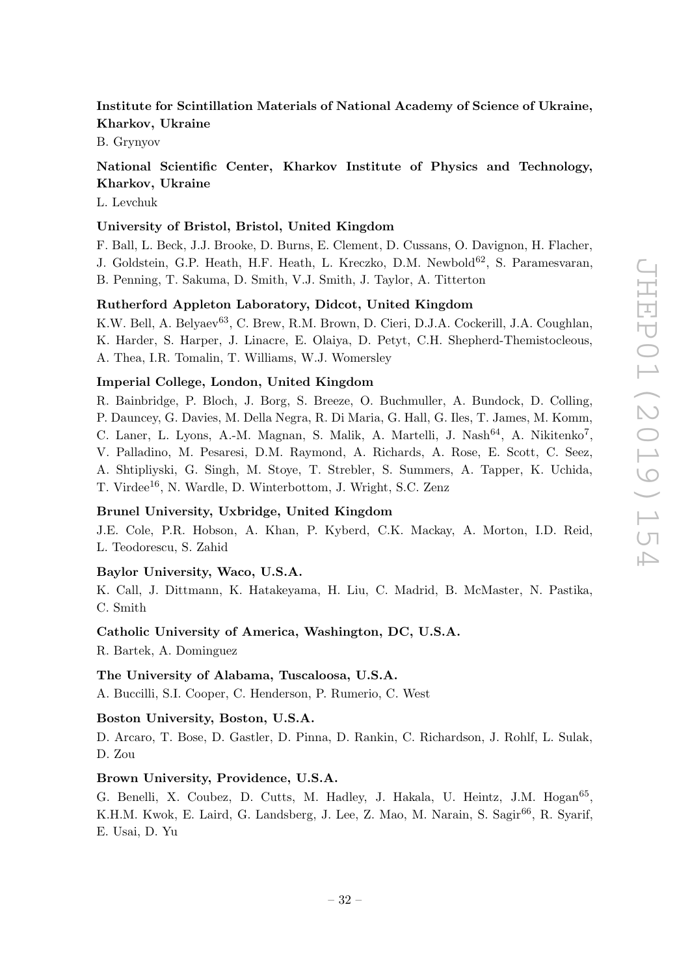## Institute for Scintillation Materials of National Academy of Science of Ukraine, Kharkov, Ukraine

B. Grynyov

## National Scientific Center, Kharkov Institute of Physics and Technology, Kharkov, Ukraine

L. Levchuk

## University of Bristol, Bristol, United Kingdom

F. Ball, L. Beck, J.J. Brooke, D. Burns, E. Clement, D. Cussans, O. Davignon, H. Flacher, J. Goldstein, G.P. Heath, H.F. Heath, L. Kreczko, D.M. Newbold<sup>62</sup>, S. Paramesvaran, B. Penning, T. Sakuma, D. Smith, V.J. Smith, J. Taylor, A. Titterton

## Rutherford Appleton Laboratory, Didcot, United Kingdom

K.W. Bell, A. Belyaev<sup>63</sup>, C. Brew, R.M. Brown, D. Cieri, D.J.A. Cockerill, J.A. Coughlan, K. Harder, S. Harper, J. Linacre, E. Olaiya, D. Petyt, C.H. Shepherd-Themistocleous, A. Thea, I.R. Tomalin, T. Williams, W.J. Womersley

## Imperial College, London, United Kingdom

R. Bainbridge, P. Bloch, J. Borg, S. Breeze, O. Buchmuller, A. Bundock, D. Colling, P. Dauncey, G. Davies, M. Della Negra, R. Di Maria, G. Hall, G. Iles, T. James, M. Komm, C. Laner, L. Lyons, A.-M. Magnan, S. Malik, A. Martelli, J. Nash<sup>64</sup>, A. Nikitenko<sup>7</sup>, V. Palladino, M. Pesaresi, D.M. Raymond, A. Richards, A. Rose, E. Scott, C. Seez, A. Shtipliyski, G. Singh, M. Stoye, T. Strebler, S. Summers, A. Tapper, K. Uchida, T. Virdee<sup>16</sup>, N. Wardle, D. Winterbottom, J. Wright, S.C. Zenz

## Brunel University, Uxbridge, United Kingdom

J.E. Cole, P.R. Hobson, A. Khan, P. Kyberd, C.K. Mackay, A. Morton, I.D. Reid, L. Teodorescu, S. Zahid

## Baylor University, Waco, U.S.A.

K. Call, J. Dittmann, K. Hatakeyama, H. Liu, C. Madrid, B. McMaster, N. Pastika, C. Smith

## Catholic University of America, Washington, DC, U.S.A.

R. Bartek, A. Dominguez

## The University of Alabama, Tuscaloosa, U.S.A.

A. Buccilli, S.I. Cooper, C. Henderson, P. Rumerio, C. West

## Boston University, Boston, U.S.A.

D. Arcaro, T. Bose, D. Gastler, D. Pinna, D. Rankin, C. Richardson, J. Rohlf, L. Sulak, D. Zou

## Brown University, Providence, U.S.A.

G. Benelli, X. Coubez, D. Cutts, M. Hadley, J. Hakala, U. Heintz, J.M. Hogan<sup>65</sup>, K.H.M. Kwok, E. Laird, G. Landsberg, J. Lee, Z. Mao, M. Narain, S. Sagir<sup>66</sup>, R. Syarif, E. Usai, D. Yu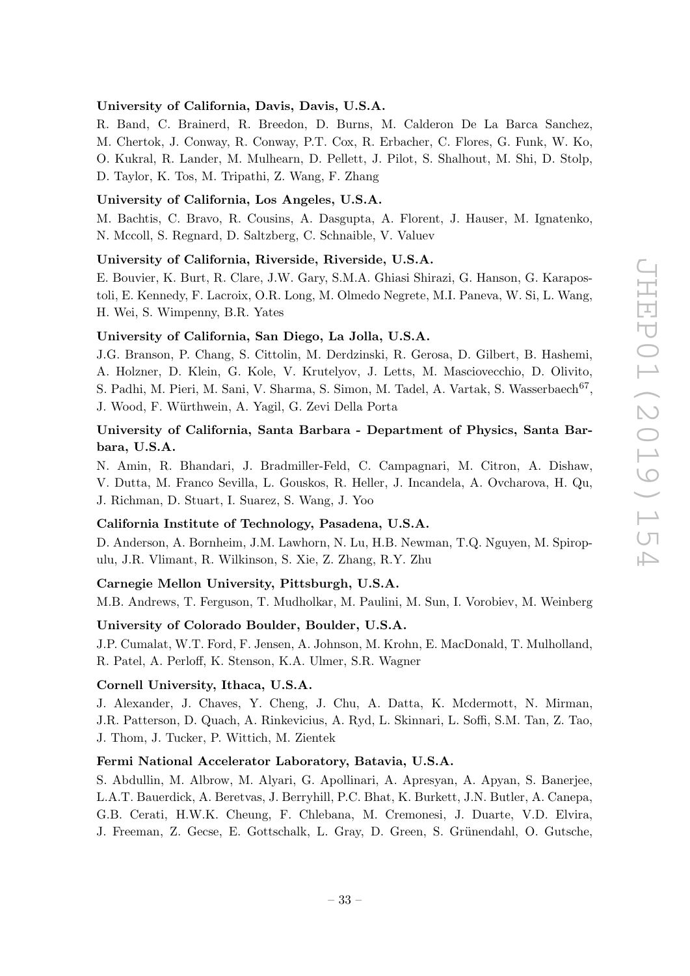#### University of California, Davis, Davis, U.S.A.

R. Band, C. Brainerd, R. Breedon, D. Burns, M. Calderon De La Barca Sanchez, M. Chertok, J. Conway, R. Conway, P.T. Cox, R. Erbacher, C. Flores, G. Funk, W. Ko,

O. Kukral, R. Lander, M. Mulhearn, D. Pellett, J. Pilot, S. Shalhout, M. Shi, D. Stolp,

D. Taylor, K. Tos, M. Tripathi, Z. Wang, F. Zhang

#### University of California, Los Angeles, U.S.A.

M. Bachtis, C. Bravo, R. Cousins, A. Dasgupta, A. Florent, J. Hauser, M. Ignatenko, N. Mccoll, S. Regnard, D. Saltzberg, C. Schnaible, V. Valuev

### University of California, Riverside, Riverside, U.S.A.

E. Bouvier, K. Burt, R. Clare, J.W. Gary, S.M.A. Ghiasi Shirazi, G. Hanson, G. Karapostoli, E. Kennedy, F. Lacroix, O.R. Long, M. Olmedo Negrete, M.I. Paneva, W. Si, L. Wang, H. Wei, S. Wimpenny, B.R. Yates

#### University of California, San Diego, La Jolla, U.S.A.

J.G. Branson, P. Chang, S. Cittolin, M. Derdzinski, R. Gerosa, D. Gilbert, B. Hashemi, A. Holzner, D. Klein, G. Kole, V. Krutelyov, J. Letts, M. Masciovecchio, D. Olivito, S. Padhi, M. Pieri, M. Sani, V. Sharma, S. Simon, M. Tadel, A. Vartak, S. Wasserbaech<sup>67</sup>, J. Wood, F. Würthwein, A. Yagil, G. Zevi Della Porta

## University of California, Santa Barbara - Department of Physics, Santa Barbara, U.S.A.

N. Amin, R. Bhandari, J. Bradmiller-Feld, C. Campagnari, M. Citron, A. Dishaw, V. Dutta, M. Franco Sevilla, L. Gouskos, R. Heller, J. Incandela, A. Ovcharova, H. Qu, J. Richman, D. Stuart, I. Suarez, S. Wang, J. Yoo

## California Institute of Technology, Pasadena, U.S.A.

D. Anderson, A. Bornheim, J.M. Lawhorn, N. Lu, H.B. Newman, T.Q. Nguyen, M. Spiropulu, J.R. Vlimant, R. Wilkinson, S. Xie, Z. Zhang, R.Y. Zhu

## Carnegie Mellon University, Pittsburgh, U.S.A.

M.B. Andrews, T. Ferguson, T. Mudholkar, M. Paulini, M. Sun, I. Vorobiev, M. Weinberg

## University of Colorado Boulder, Boulder, U.S.A.

J.P. Cumalat, W.T. Ford, F. Jensen, A. Johnson, M. Krohn, E. MacDonald, T. Mulholland, R. Patel, A. Perloff, K. Stenson, K.A. Ulmer, S.R. Wagner

#### Cornell University, Ithaca, U.S.A.

J. Alexander, J. Chaves, Y. Cheng, J. Chu, A. Datta, K. Mcdermott, N. Mirman, J.R. Patterson, D. Quach, A. Rinkevicius, A. Ryd, L. Skinnari, L. Soffi, S.M. Tan, Z. Tao, J. Thom, J. Tucker, P. Wittich, M. Zientek

#### Fermi National Accelerator Laboratory, Batavia, U.S.A.

S. Abdullin, M. Albrow, M. Alyari, G. Apollinari, A. Apresyan, A. Apyan, S. Banerjee, L.A.T. Bauerdick, A. Beretvas, J. Berryhill, P.C. Bhat, K. Burkett, J.N. Butler, A. Canepa, G.B. Cerati, H.W.K. Cheung, F. Chlebana, M. Cremonesi, J. Duarte, V.D. Elvira, J. Freeman, Z. Gecse, E. Gottschalk, L. Gray, D. Green, S. Grünendahl, O. Gutsche,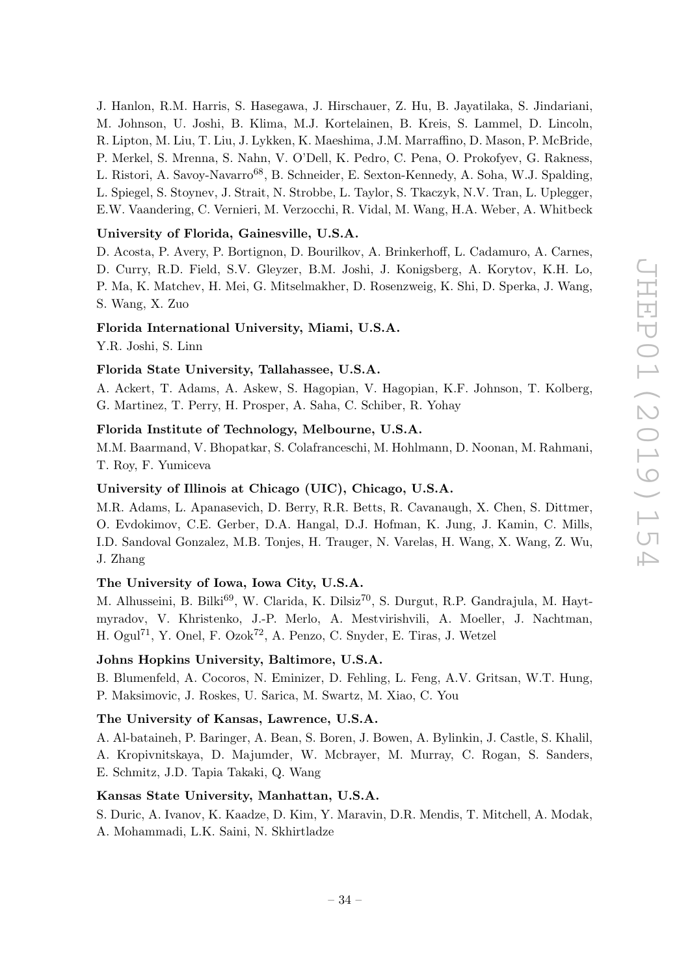J. Hanlon, R.M. Harris, S. Hasegawa, J. Hirschauer, Z. Hu, B. Jayatilaka, S. Jindariani, M. Johnson, U. Joshi, B. Klima, M.J. Kortelainen, B. Kreis, S. Lammel, D. Lincoln, R. Lipton, M. Liu, T. Liu, J. Lykken, K. Maeshima, J.M. Marraffino, D. Mason, P. McBride, P. Merkel, S. Mrenna, S. Nahn, V. O'Dell, K. Pedro, C. Pena, O. Prokofyev, G. Rakness, L. Ristori, A. Savoy-Navarro<sup>68</sup>, B. Schneider, E. Sexton-Kennedy, A. Soha, W.J. Spalding, L. Spiegel, S. Stoynev, J. Strait, N. Strobbe, L. Taylor, S. Tkaczyk, N.V. Tran, L. Uplegger, E.W. Vaandering, C. Vernieri, M. Verzocchi, R. Vidal, M. Wang, H.A. Weber, A. Whitbeck

### University of Florida, Gainesville, U.S.A.

D. Acosta, P. Avery, P. Bortignon, D. Bourilkov, A. Brinkerhoff, L. Cadamuro, A. Carnes, D. Curry, R.D. Field, S.V. Gleyzer, B.M. Joshi, J. Konigsberg, A. Korytov, K.H. Lo, P. Ma, K. Matchev, H. Mei, G. Mitselmakher, D. Rosenzweig, K. Shi, D. Sperka, J. Wang, S. Wang, X. Zuo

### Florida International University, Miami, U.S.A.

Y.R. Joshi, S. Linn

#### Florida State University, Tallahassee, U.S.A.

A. Ackert, T. Adams, A. Askew, S. Hagopian, V. Hagopian, K.F. Johnson, T. Kolberg, G. Martinez, T. Perry, H. Prosper, A. Saha, C. Schiber, R. Yohay

#### Florida Institute of Technology, Melbourne, U.S.A.

M.M. Baarmand, V. Bhopatkar, S. Colafranceschi, M. Hohlmann, D. Noonan, M. Rahmani, T. Roy, F. Yumiceva

## University of Illinois at Chicago (UIC), Chicago, U.S.A.

M.R. Adams, L. Apanasevich, D. Berry, R.R. Betts, R. Cavanaugh, X. Chen, S. Dittmer, O. Evdokimov, C.E. Gerber, D.A. Hangal, D.J. Hofman, K. Jung, J. Kamin, C. Mills, I.D. Sandoval Gonzalez, M.B. Tonjes, H. Trauger, N. Varelas, H. Wang, X. Wang, Z. Wu, J. Zhang

### The University of Iowa, Iowa City, U.S.A.

M. Alhusseini, B. Bilki<sup>69</sup>, W. Clarida, K. Dilsiz<sup>70</sup>, S. Durgut, R.P. Gandrajula, M. Haytmyradov, V. Khristenko, J.-P. Merlo, A. Mestvirishvili, A. Moeller, J. Nachtman, H. Ogul71, Y. Onel, F. Ozok72, A. Penzo, C. Snyder, E. Tiras, J. Wetzel

#### Johns Hopkins University, Baltimore, U.S.A.

B. Blumenfeld, A. Cocoros, N. Eminizer, D. Fehling, L. Feng, A.V. Gritsan, W.T. Hung, P. Maksimovic, J. Roskes, U. Sarica, M. Swartz, M. Xiao, C. You

## The University of Kansas, Lawrence, U.S.A.

A. Al-bataineh, P. Baringer, A. Bean, S. Boren, J. Bowen, A. Bylinkin, J. Castle, S. Khalil, A. Kropivnitskaya, D. Majumder, W. Mcbrayer, M. Murray, C. Rogan, S. Sanders, E. Schmitz, J.D. Tapia Takaki, Q. Wang

#### Kansas State University, Manhattan, U.S.A.

S. Duric, A. Ivanov, K. Kaadze, D. Kim, Y. Maravin, D.R. Mendis, T. Mitchell, A. Modak, A. Mohammadi, L.K. Saini, N. Skhirtladze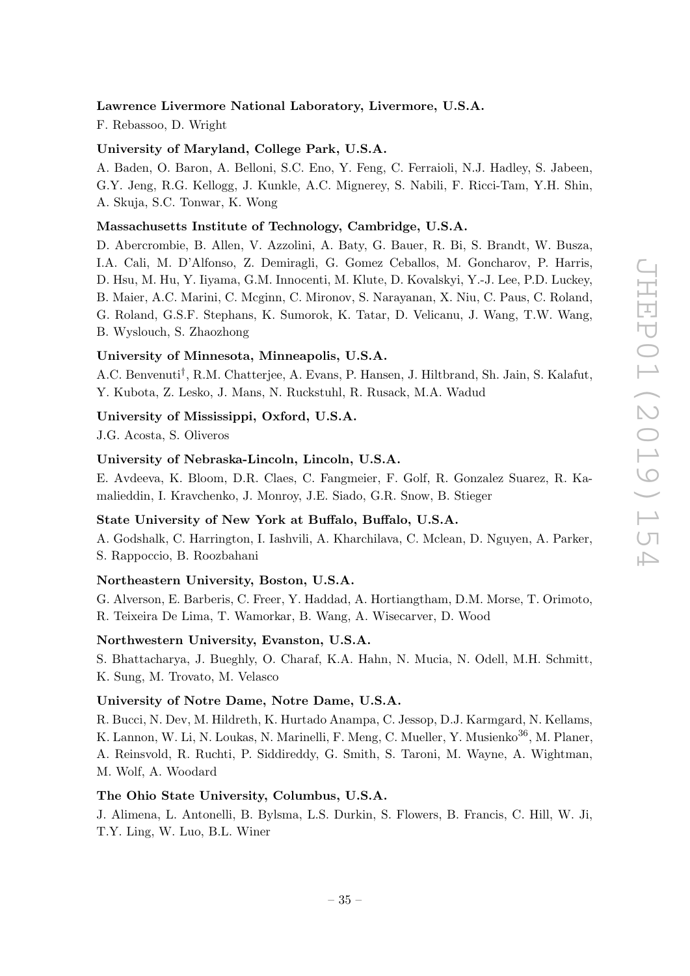### Lawrence Livermore National Laboratory, Livermore, U.S.A.

F. Rebassoo, D. Wright

## University of Maryland, College Park, U.S.A.

A. Baden, O. Baron, A. Belloni, S.C. Eno, Y. Feng, C. Ferraioli, N.J. Hadley, S. Jabeen, G.Y. Jeng, R.G. Kellogg, J. Kunkle, A.C. Mignerey, S. Nabili, F. Ricci-Tam, Y.H. Shin, A. Skuja, S.C. Tonwar, K. Wong

#### Massachusetts Institute of Technology, Cambridge, U.S.A.

D. Abercrombie, B. Allen, V. Azzolini, A. Baty, G. Bauer, R. Bi, S. Brandt, W. Busza, I.A. Cali, M. D'Alfonso, Z. Demiragli, G. Gomez Ceballos, M. Goncharov, P. Harris, D. Hsu, M. Hu, Y. Iiyama, G.M. Innocenti, M. Klute, D. Kovalskyi, Y.-J. Lee, P.D. Luckey, B. Maier, A.C. Marini, C. Mcginn, C. Mironov, S. Narayanan, X. Niu, C. Paus, C. Roland, G. Roland, G.S.F. Stephans, K. Sumorok, K. Tatar, D. Velicanu, J. Wang, T.W. Wang, B. Wyslouch, S. Zhaozhong

#### University of Minnesota, Minneapolis, U.S.A.

A.C. Benvenuti† , R.M. Chatterjee, A. Evans, P. Hansen, J. Hiltbrand, Sh. Jain, S. Kalafut, Y. Kubota, Z. Lesko, J. Mans, N. Ruckstuhl, R. Rusack, M.A. Wadud

### University of Mississippi, Oxford, U.S.A.

J.G. Acosta, S. Oliveros

#### University of Nebraska-Lincoln, Lincoln, U.S.A.

E. Avdeeva, K. Bloom, D.R. Claes, C. Fangmeier, F. Golf, R. Gonzalez Suarez, R. Kamalieddin, I. Kravchenko, J. Monroy, J.E. Siado, G.R. Snow, B. Stieger

#### State University of New York at Buffalo, Buffalo, U.S.A.

A. Godshalk, C. Harrington, I. Iashvili, A. Kharchilava, C. Mclean, D. Nguyen, A. Parker, S. Rappoccio, B. Roozbahani

### Northeastern University, Boston, U.S.A.

G. Alverson, E. Barberis, C. Freer, Y. Haddad, A. Hortiangtham, D.M. Morse, T. Orimoto, R. Teixeira De Lima, T. Wamorkar, B. Wang, A. Wisecarver, D. Wood

#### Northwestern University, Evanston, U.S.A.

S. Bhattacharya, J. Bueghly, O. Charaf, K.A. Hahn, N. Mucia, N. Odell, M.H. Schmitt, K. Sung, M. Trovato, M. Velasco

#### University of Notre Dame, Notre Dame, U.S.A.

R. Bucci, N. Dev, M. Hildreth, K. Hurtado Anampa, C. Jessop, D.J. Karmgard, N. Kellams, K. Lannon, W. Li, N. Loukas, N. Marinelli, F. Meng, C. Mueller, Y. Musienko<sup>36</sup>, M. Planer, A. Reinsvold, R. Ruchti, P. Siddireddy, G. Smith, S. Taroni, M. Wayne, A. Wightman, M. Wolf, A. Woodard

#### The Ohio State University, Columbus, U.S.A.

J. Alimena, L. Antonelli, B. Bylsma, L.S. Durkin, S. Flowers, B. Francis, C. Hill, W. Ji, T.Y. Ling, W. Luo, B.L. Winer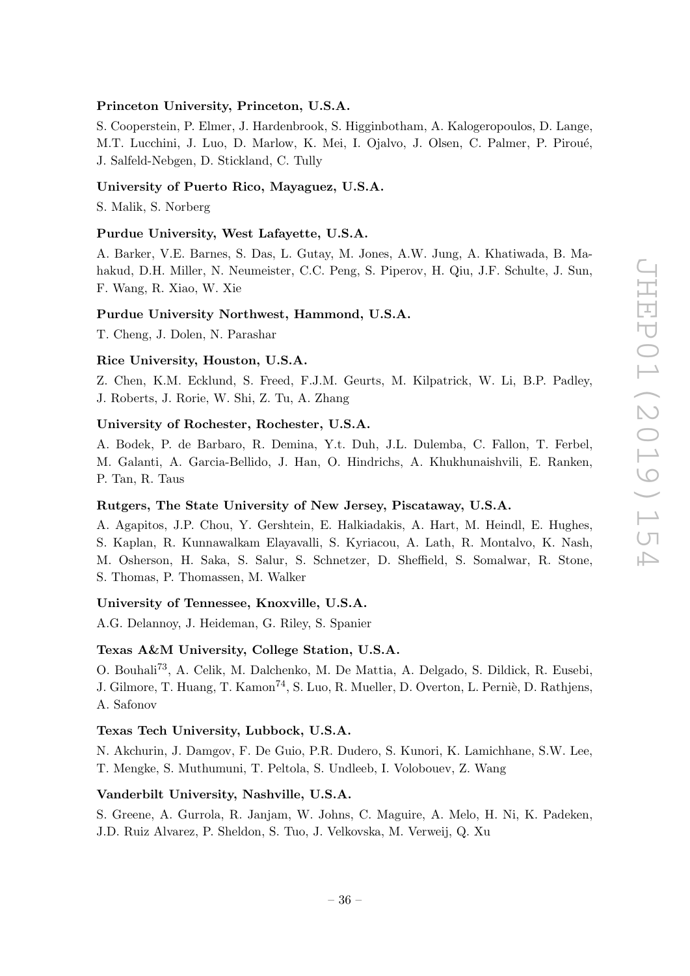#### Princeton University, Princeton, U.S.A.

S. Cooperstein, P. Elmer, J. Hardenbrook, S. Higginbotham, A. Kalogeropoulos, D. Lange, M.T. Lucchini, J. Luo, D. Marlow, K. Mei, I. Ojalvo, J. Olsen, C. Palmer, P. Piroué, J. Salfeld-Nebgen, D. Stickland, C. Tully

#### University of Puerto Rico, Mayaguez, U.S.A.

S. Malik, S. Norberg

### Purdue University, West Lafayette, U.S.A.

A. Barker, V.E. Barnes, S. Das, L. Gutay, M. Jones, A.W. Jung, A. Khatiwada, B. Mahakud, D.H. Miller, N. Neumeister, C.C. Peng, S. Piperov, H. Qiu, J.F. Schulte, J. Sun, F. Wang, R. Xiao, W. Xie

#### Purdue University Northwest, Hammond, U.S.A.

T. Cheng, J. Dolen, N. Parashar

## Rice University, Houston, U.S.A.

Z. Chen, K.M. Ecklund, S. Freed, F.J.M. Geurts, M. Kilpatrick, W. Li, B.P. Padley, J. Roberts, J. Rorie, W. Shi, Z. Tu, A. Zhang

### University of Rochester, Rochester, U.S.A.

A. Bodek, P. de Barbaro, R. Demina, Y.t. Duh, J.L. Dulemba, C. Fallon, T. Ferbel, M. Galanti, A. Garcia-Bellido, J. Han, O. Hindrichs, A. Khukhunaishvili, E. Ranken, P. Tan, R. Taus

### Rutgers, The State University of New Jersey, Piscataway, U.S.A.

A. Agapitos, J.P. Chou, Y. Gershtein, E. Halkiadakis, A. Hart, M. Heindl, E. Hughes, S. Kaplan, R. Kunnawalkam Elayavalli, S. Kyriacou, A. Lath, R. Montalvo, K. Nash, M. Osherson, H. Saka, S. Salur, S. Schnetzer, D. Sheffield, S. Somalwar, R. Stone, S. Thomas, P. Thomassen, M. Walker

## University of Tennessee, Knoxville, U.S.A.

A.G. Delannoy, J. Heideman, G. Riley, S. Spanier

## Texas A&M University, College Station, U.S.A.

O. Bouhali73, A. Celik, M. Dalchenko, M. De Mattia, A. Delgado, S. Dildick, R. Eusebi, J. Gilmore, T. Huang, T. Kamon<sup>74</sup>, S. Luo, R. Mueller, D. Overton, L. Perniè, D. Rathjens, A. Safonov

### Texas Tech University, Lubbock, U.S.A.

N. Akchurin, J. Damgov, F. De Guio, P.R. Dudero, S. Kunori, K. Lamichhane, S.W. Lee, T. Mengke, S. Muthumuni, T. Peltola, S. Undleeb, I. Volobouev, Z. Wang

## Vanderbilt University, Nashville, U.S.A.

S. Greene, A. Gurrola, R. Janjam, W. Johns, C. Maguire, A. Melo, H. Ni, K. Padeken, J.D. Ruiz Alvarez, P. Sheldon, S. Tuo, J. Velkovska, M. Verweij, Q. Xu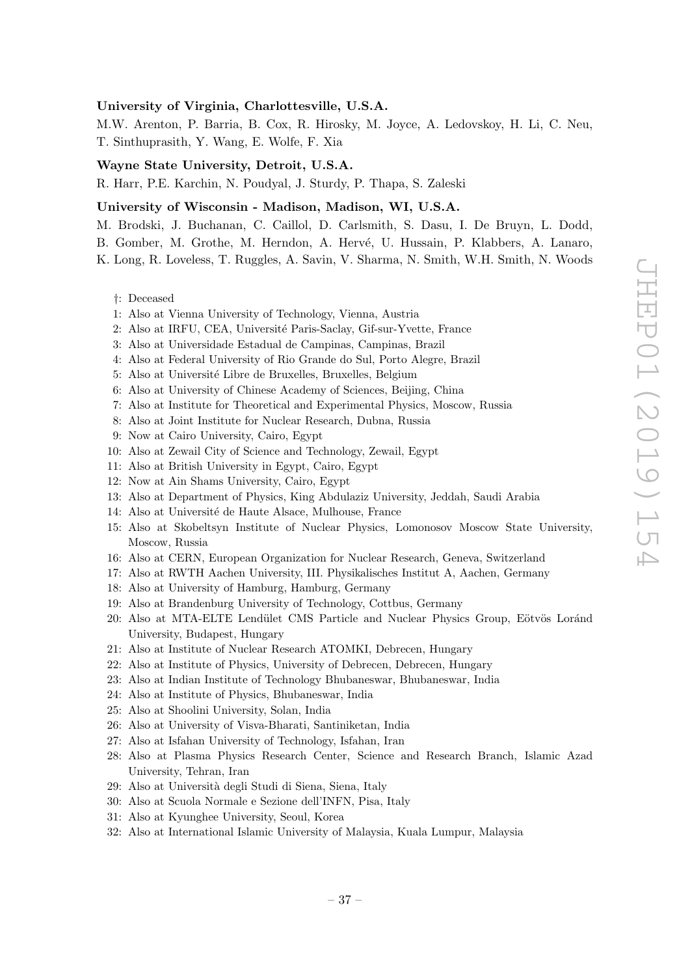#### University of Virginia, Charlottesville, U.S.A.

M.W. Arenton, P. Barria, B. Cox, R. Hirosky, M. Joyce, A. Ledovskoy, H. Li, C. Neu, T. Sinthuprasith, Y. Wang, E. Wolfe, F. Xia

#### Wayne State University, Detroit, U.S.A.

R. Harr, P.E. Karchin, N. Poudyal, J. Sturdy, P. Thapa, S. Zaleski

#### University of Wisconsin - Madison, Madison, WI, U.S.A.

M. Brodski, J. Buchanan, C. Caillol, D. Carlsmith, S. Dasu, I. De Bruyn, L. Dodd,

- B. Gomber, M. Grothe, M. Herndon, A. Hervé, U. Hussain, P. Klabbers, A. Lanaro,
- K. Long, R. Loveless, T. Ruggles, A. Savin, V. Sharma, N. Smith, W.H. Smith, N. Woods
	- †: Deceased
	- 1: Also at Vienna University of Technology, Vienna, Austria
	- 2: Also at IRFU, CEA, Université Paris-Saclay, Gif-sur-Yvette, France
	- 3: Also at Universidade Estadual de Campinas, Campinas, Brazil
	- 4: Also at Federal University of Rio Grande do Sul, Porto Alegre, Brazil
	- 5: Also at Université Libre de Bruxelles, Bruxelles, Belgium
	- 6: Also at University of Chinese Academy of Sciences, Beijing, China
	- 7: Also at Institute for Theoretical and Experimental Physics, Moscow, Russia
	- 8: Also at Joint Institute for Nuclear Research, Dubna, Russia
	- 9: Now at Cairo University, Cairo, Egypt
	- 10: Also at Zewail City of Science and Technology, Zewail, Egypt
	- 11: Also at British University in Egypt, Cairo, Egypt
	- 12: Now at Ain Shams University, Cairo, Egypt
	- 13: Also at Department of Physics, King Abdulaziz University, Jeddah, Saudi Arabia
	- 14: Also at Université de Haute Alsace, Mulhouse, France
	- 15: Also at Skobeltsyn Institute of Nuclear Physics, Lomonosov Moscow State University, Moscow, Russia
	- 16: Also at CERN, European Organization for Nuclear Research, Geneva, Switzerland
	- 17: Also at RWTH Aachen University, III. Physikalisches Institut A, Aachen, Germany
	- 18: Also at University of Hamburg, Hamburg, Germany
	- 19: Also at Brandenburg University of Technology, Cottbus, Germany
	- 20: Also at MTA-ELTE Lendület CMS Particle and Nuclear Physics Group, Eötvös Loránd University, Budapest, Hungary
	- 21: Also at Institute of Nuclear Research ATOMKI, Debrecen, Hungary
	- 22: Also at Institute of Physics, University of Debrecen, Debrecen, Hungary
	- 23: Also at Indian Institute of Technology Bhubaneswar, Bhubaneswar, India
	- 24: Also at Institute of Physics, Bhubaneswar, India
	- 25: Also at Shoolini University, Solan, India
	- 26: Also at University of Visva-Bharati, Santiniketan, India
	- 27: Also at Isfahan University of Technology, Isfahan, Iran
	- 28: Also at Plasma Physics Research Center, Science and Research Branch, Islamic Azad University, Tehran, Iran
	- 29: Also at Universit`a degli Studi di Siena, Siena, Italy
	- 30: Also at Scuola Normale e Sezione dell'INFN, Pisa, Italy
	- 31: Also at Kyunghee University, Seoul, Korea
	- 32: Also at International Islamic University of Malaysia, Kuala Lumpur, Malaysia